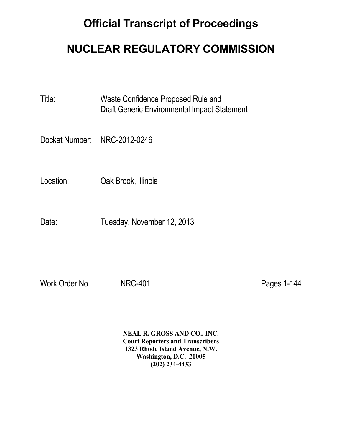# **Official Transcript of Proceedings**

# **NUCLEAR REGULATORY COMMISSION**

Title: Waste Confidence Proposed Rule and Draft Generic Environmental Impact Statement

Docket Number: NRC-2012-0246

Location: Oak Brook, Illinois

Date: Tuesday, November 12, 2013

Work Order No.: NRC-401 **Pages 1-144** 

 **NEAL R. GROSS AND CO., INC. Court Reporters and Transcribers 1323 Rhode Island Avenue, N.W. Washington, D.C. 20005 (202) 234-4433**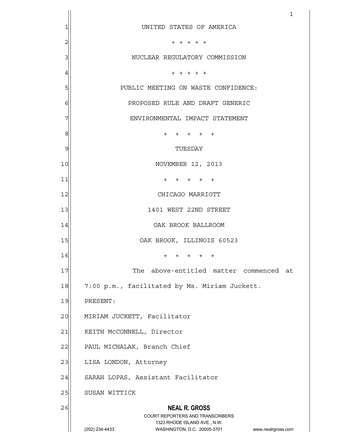|                | 1                                                                |
|----------------|------------------------------------------------------------------|
| $\mathbf{1}$   | UNITED STATES OF AMERICA                                         |
| $\overline{c}$ | $+ + + + + +$                                                    |
| 3              | NUCLEAR REGULATORY COMMISSION                                    |
| $\overline{4}$ | $+ + + + + +$                                                    |
| 5              | PUBLIC MEETING ON WASTE CONFIDENCE:                              |
| 6              | PROPOSED RULE AND DRAFT GENERIC                                  |
| 7              | ENVIRONMENTAL IMPACT STATEMENT                                   |
| 8              | + + + + +                                                        |
| 9              | TUESDAY                                                          |
| 10             | NOVEMBER 12, 2013                                                |
| 11             | + + + + +                                                        |
| 12             | CHICAGO MARRIOTT                                                 |
| 13             | 1401 WEST 22ND STREET                                            |
| 14             | OAK BROOK BALLROOM                                               |
| 15             | OAK BROOK, ILLINOIS 60523                                        |
| 16             | $+$ $+$ $+$ $+$ $+$                                              |
| 17             | The above-entitled matter commenced at                           |
| 18             | 7:00 p.m., facilitated by Ms. Miriam Juckett.                    |
| 19             | PRESENT:                                                         |
| 20             | MIRIAM JUCKETT, Facilitator                                      |
| 21             | KEITH McCONNELL, Director                                        |
| 22             | PAUL MICHALAK, Branch Chief                                      |
| 23             | LISA LONDON, Attorney                                            |
| 24             | SARAH LOPAS, Assistant Facilitator                               |
| 25             | SUSAN WITTICK                                                    |
| 26             | <b>NEAL R. GROSS</b><br><b>COURT REPORTERS AND TRANSCRIBERS</b>  |
|                | 1323 RHODE ISLAND AVE., N.W.                                     |
|                | (202) 234-4433<br>WASHINGTON, D.C. 20005-3701 www.nealrgross.com |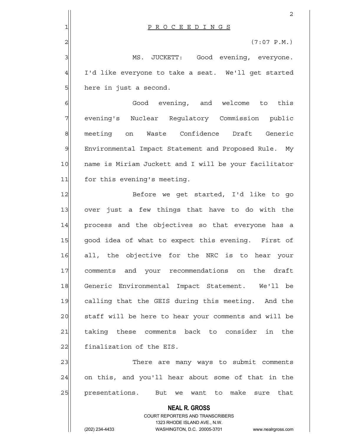|                  | 2                                                                   |
|------------------|---------------------------------------------------------------------|
| 1                | PROCEEDINGS                                                         |
| $\overline{c}$   | $(7:07 \text{ P.M.})$                                               |
| 3                | MS. JUCKETT: Good evening, everyone.                                |
| $\overline{4}$   | I'd like everyone to take a seat. We'll get started                 |
| 5                | here in just a second.                                              |
| $\epsilon$       | Good evening, and welcome to this                                   |
| 7                | evening's Nuclear Regulatory Commission public                      |
| $\boldsymbol{8}$ | meeting on Waste Confidence Draft Generic                           |
| $\mathcal{G}$    | Environmental Impact Statement and Proposed Rule. My                |
| 10               | name is Miriam Juckett and I will be your facilitator               |
| 11               | for this evening's meeting.                                         |
| 12               | Before we get started, I'd like to go                               |
| 13               | over just a few things that have to do with the                     |
| 14               | process and the objectives so that everyone has a                   |
| 15               | good idea of what to expect this evening. First of                  |
| 16               | all, the objective for the NRC is to hear your                      |
| 17               | comments and your recommendations on the draft                      |
| 18               | Generic Environmental Impact Statement. We'll be                    |
| 19               | calling that the GEIS during this meeting. And the                  |
| 20               | staff will be here to hear your comments and will be                |
| 21               | taking these comments back to consider in the                       |
| 22               | finalization of the EIS.                                            |
| 23               | There are many ways to submit comments                              |
| 24               | on this, and you'll hear about some of that in the                  |
| 25               | presentations.<br>make sure that<br>But<br>want to<br>we            |
|                  | <b>NEAL R. GROSS</b>                                                |
|                  | <b>COURT REPORTERS AND TRANSCRIBERS</b>                             |
|                  | 1323 RHODE ISLAND AVE., N.W.                                        |
|                  | (202) 234-4433<br>WASHINGTON, D.C. 20005-3701<br>www.nealrgross.com |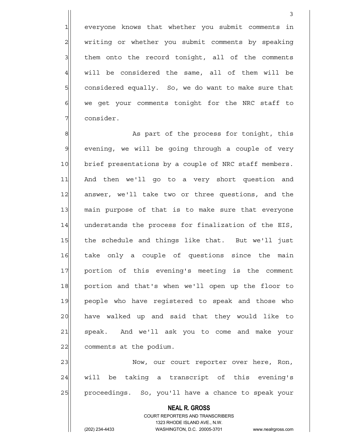1 everyone knows that whether you submit comments in 2 | writing or whether you submit comments by speaking 3| them onto the record tonight, all of the comments  $4$  will be considered the same, all of them will be 5 Sollar considered equally. So, we do want to make sure that  $6$  we get your comments tonight for the NRC staff to 7 consider.

3

8 8 As part of the process for tonight, this  $9$  evening, we will be going through a couple of very 10 brief presentations by a couple of NRC staff members. 11 And then we'll go to a very short question and 12 answer, we'll take two or three questions, and the 13 main purpose of that is to make sure that everyone 14 understands the process for finalization of the EIS, 15 the schedule and things like that. But we'll just 16 take only a couple of questions since the main 17 | portion of this evening's meeting is the comment 18 portion and that's when we'll open up the floor to 19 people who have reqistered to speak and those who 20 have walked up and said that they would like to 21 speak. And we'll ask you to come and make your 22 comments at the podium.

23 Now, our court reporter over here, Ron, 24 will be taking a transcript of this evening's 25 | proceedings. So, you'll have a chance to speak your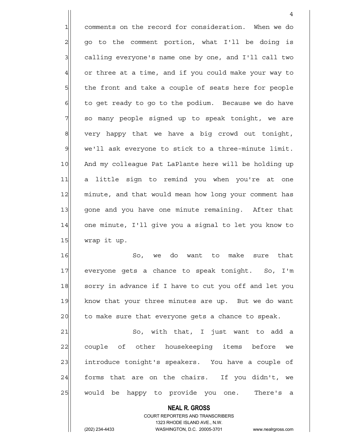1 comments on the record for consideration. When we do 2| go to the comment portion, what I'll be doing is 3 calling everyone's name one by one, and I'll call two 4 or three at a time, and if you could make your way to 5 the front and take a couple of seats here for people 6 6 6 to get ready to go to the podium. Because we do have 7 so many people signed up to speak tonight, we are  $8$  very happy that we have a big crowd out tonight, 9 we'll ask everyone to stick to a three-minute limit. 10 And my colleague Pat LaPlante here will be holding up 11 a little sign to remind you when you're at one 12 minute, and that would mean how long your comment has 13 gone and you have one minute remaining. After that 14 one minute, I'll give you a signal to let you know to  $15$  wrap it up.

4

16 So, we do want to make sure that 17 everyone gets a chance to speak tonight. So, I'm 18 sorry in advance if I have to cut you off and let you 19 know that your three minutes are up. But we do want 20 to make sure that everyone gets a chance to speak.

21 So, with that, I just want to add a 22 couple of other housekeeping items before we 23 introduce tonight's speakers. You have a couple of  $24$  forms that are on the chairs. If you didn't, we 25 | would be happy to provide you one. There's a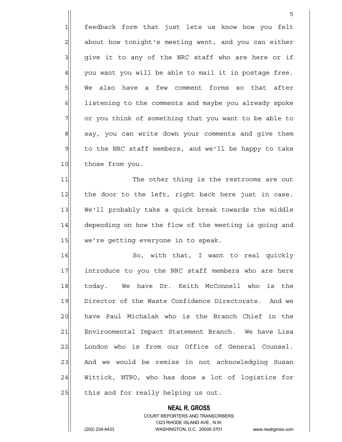1 feedback form that just lets us know how you felt 2 about how tonight's meeting went, and you can either  $3$  give it to any of the NRC staff who are here or if  $4$  you want you will be able to mail it in postage free. 5 We also have a few comment forms so that after 6 6 6 listening to the comments and maybe you already spoke 7 or you think of something that you want to be able to 8 say, you can write down your comments and give them 9 to the NRC staff members, and we'll be happy to take 10 those from you.

<u>5</u>

11 The other thing is the restrooms are out 12 the door to the left, right back here just in case. 13 We'll probably take a quick break towards the middle 14 depending on how the flow of the meeting is going and 15 we're getting everyone in to speak.

16 So, with that, I want to real quickly 17 17 introduce to you the NRC staff members who are here 18 today. We have Dr. Keith McConnell who is the 19 Director of the Waste Confidence Directorate. And we 20 have Paul Michalak who is the Branch Chief in the 21 Environmental Impact Statement Branch. We have Lisa 22 London who is from our Office of General Counsel. 23 And we would be remiss in not acknowledging Susan 24 Wittick, NTRO, who has done a lot of logistics for 25 this and for really helping us out.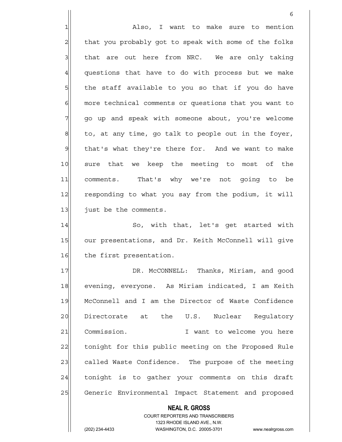$\sim$  6 1 also, I want to make sure to mention 2 that you probably got to speak with some of the folks  $3$  that are out here from NRC. We are only taking  $4$  questions that have to do with process but we make  $5$  the staff available to you so that if you do have 6 6 6 more technical comments or questions that you want to 7 go up and speak with someone about, you're welcome  $8$  to, at any time, go talk to people out in the foyer,  $9$  that's what they're there for. And we want to make 10 sure that we keep the meeting to most of the 11 comments. That's why we're not going to be 12 responding to what you say from the podium, it will 13 just be the comments. 14 So, with that, let's get started with 15 our presentations, and Dr. Keith McConnell will give 16 the first presentation. 17 | DR. McCONNELL: Thanks, Miriam, and good 18 evening, everyone. As Miriam indicated, I am Keith 19 | McConnell and I am the Director of Waste Confidence 20 Directorate at the U.S. Nuclear Requlatory 21 Commission. Twant to welcome you here

22 tonight for this public meeting on the Proposed Rule 23 called Waste Confidence. The purpose of the meeting 24 tonight is to gather your comments on this draft 25 Generic Environmental Impact Statement and proposed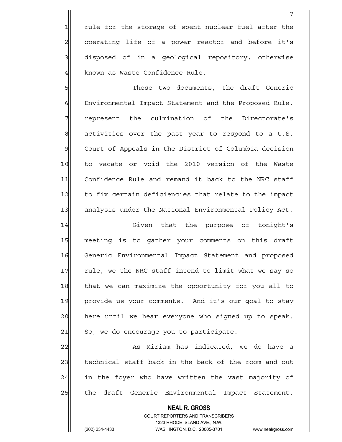1 rule for the storage of spent nuclear fuel after the 2 operating life of a power reactor and before it's 3 disposed of in a geological repository, otherwise 4 known as Waste Confidence Rule.

5 S 6 | Environmental Impact Statement and the Proposed Rule, 7 represent the culmination of the Directorate's  $8$  activities over the past year to respond to a U.S. 9 Court of Appeals in the District of Columbia decision 10 to vacate or void the 2010 version of the Waste 11 Confidence Rule and remand it back to the NRC staff 12 to fix certain deficiencies that relate to the impact 13 analysis under the National Environmental Policy Act.

14 Given that the purpose of tonight's 15 meeting is to gather your comments on this draft 16 Generic Environmental Impact Statement and proposed 17 rule, we the NRC staff intend to limit what we say so 18 that we can maximize the opportunity for you all to 19 provide us your comments. And it's our goal to stay 20 here until we hear everyone who signed up to speak.  $21$  So, we do encourage you to participate.

22| As Miriam has indicated, we do have a 23 technical staff back in the back of the room and out  $24$  in the foyer who have written the vast majority of 25 | the draft Generic Environmental Impact Statement.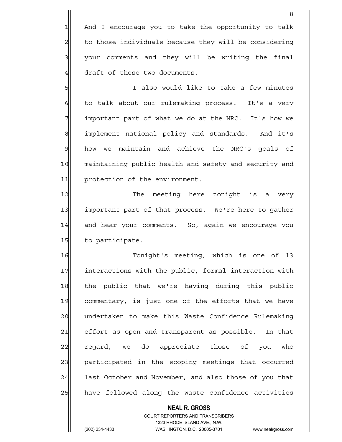1 And I encourage you to take the opportunity to talk 2 to those individuals because they will be considering 3 | your comments and they will be writing the final 4 draft of these two documents.

5 | Sille is the U.S. of the totake a few minutes 6 to talk about our rulemaking process. It's a very  $7$  important part of what we do at the NRC. It's how we 8 8 implement national policy and standards. And it's 9 how we maintain and achieve the NRC's goals of 10 maintaining public health and safety and security and 11 protection of the environment.

12 The meeting here tonight is a very 13 important part of that process. We're here to gather 14 and hear your comments. So, again we encourage you 15 to participate.

16 Tonight's meeting, which is one of 13 17 | interactions with the public, formal interaction with 18 the public that we're having during this public 19 commentary, is just one of the efforts that we have 20 undertaken to make this Waste Confidence Rulemaking 21 effort as open and transparent as possible. In that 22 regard, we do appreciate those of you who 23| participated in the scoping meetings that occurred 24 last October and November, and also those of you that 25 have followed along the waste confidence activities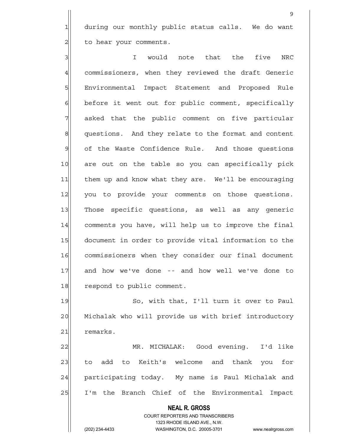1 during our monthly public status calls. We do want 2 | to hear your comments.

9

3 || I would note that the five NRC 4 commissioners, when they reviewed the draft Generic 5 Environmental Impact Statement and Proposed Rule  $6$  before it went out for public comment, specifically 7 asked that the public comment on five particular 8 questions. And they relate to the format and content 9 of the Waste Confidence Rule. And those questions 10 are out on the table so you can specifically pick 11 them up and know what they are. We'll be encouraging 12 you to provide your comments on those questions. 13 Those specific questions, as well as any generic 14 comments you have, will help us to improve the final 15 document in order to provide vital information to the 16 commissioners when they consider our final document 17 and how we've done -- and how well we've done to 18 respond to public comment.

19 So, with that, I'll turn it over to Paul 20 Michalak who will provide us with brief introductory 21 remarks.

22 MR. MICHALAK: Good evening. I'd like 23 to add to Keith's welcome and thank you for 24 participating today. My name is Paul Michalak and 25 I'm the Branch Chief of the Environmental Impact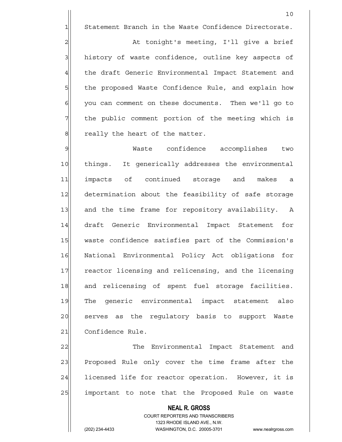1 Statement Branch in the Waste Confidence Directorate.

10

2 at tonight's meeting, I'll give a brief 3 history of waste confidence, outline key aspects of 4 the draft Generic Environmental Impact Statement and 5 5 5 5 the proposed Waste Confidence Rule, and explain how 6 | you can comment on these documents. Then we'll go to 7 The public comment portion of the meeting which is 8 8 really the heart of the matter.

9 Maste confidence accomplishes two 10 things. It generically addresses the environmental 11 impacts of continued storage and makes a 12 determination about the feasibility of safe storage 13 and the time frame for repository availability. A 14 draft Generic Environmental Impact Statement for 15 waste confidence satisfies part of the Commission's 16 National Environmental Policy Act obligations for 17 reactor licensing and relicensing, and the licensing 18 and relicensing of spent fuel storage facilities. 19 The generic environmental impact statement also 20 serves as the regulatory basis to support Waste 21 Confidence Rule.

22| The Environmental Impact Statement and 23 Proposed Rule only cover the time frame after the 24 licensed life for reactor operation. However, it is 25 | important to note that the Proposed Rule on waste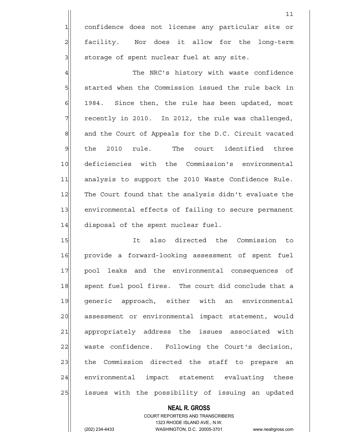1 confidence does not license any particular site or 2 facility. Nor does it allow for the long-term  $3$  storage of spent nuclear fuel at any site.

 $11$ 

4 The NRC's history with waste confidence 5| started when the Commission issued the rule back in  $6$  1984. Since then, the rule has been updated, most  $7$  recently in 2010. In 2012, the rule was challenged, 8 and the Court of Appeals for the D.C. Circuit vacated 9 the 2010 rule. The court identified three 10 deficiencies with the Commission's environmental 11 analysis to support the 2010 Waste Confidence Rule. 12 The Court found that the analysis didn't evaluate the 13 environmental effects of failing to secure permanent 14 disposal of the spent nuclear fuel.

15 It also directed the Commission to 16 provide a forward-looking assessment of spent fuel 17 pool leaks and the environmental consequences of 18 spent fuel pool fires. The court did conclude that a 19 generic approach, either with an environmental 20 assessment or environmental impact statement, would 21 appropriately address the issues associated with 22 waste confidence. Following the Court's decision, 23 the Commission directed the staff to prepare an 24 environmental impact statement evaluating these 25 | issues with the possibility of issuing an updated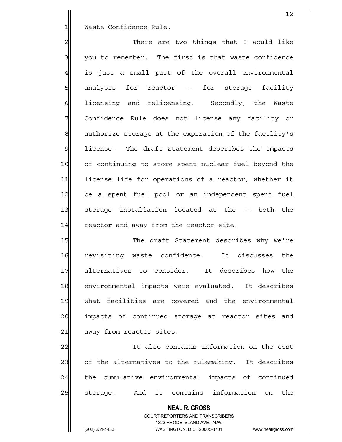1 Waste Confidence Rule.

2 2 There are two things that I would like 3 you to remember. The first is that waste confidence  $4$  is just a small part of the overall environmental 5 5 5 5 5 5 analysis for reactor -- for storage facility 6 6 6 6 ilcensing and relicensing. Secondly, the Waste 7 Confidence Rule does not license any facility or 8 authorize storage at the expiration of the facility's 9 license. The draft Statement describes the impacts 10 of continuing to store spent nuclear fuel beyond the 11 license life for operations of a reactor, whether it 12 be a spent fuel pool or an independent spent fuel 13 storage installation located at the -- both the  $14$  reactor and away from the reactor site.

15 The draft Statement describes why we're 16 revisiting waste confidence. It discusses the 17 alternatives to consider. It describes how the 18 environmental impacts were evaluated. It describes 19 what facilities are covered and the environmental 20 impacts of continued storage at reactor sites and 21 away from reactor sites.

22 It also contains information on the cost 23 of the alternatives to the rulemaking. It describes 24 the cumulative environmental impacts of continued 25 storage. And it contains information on the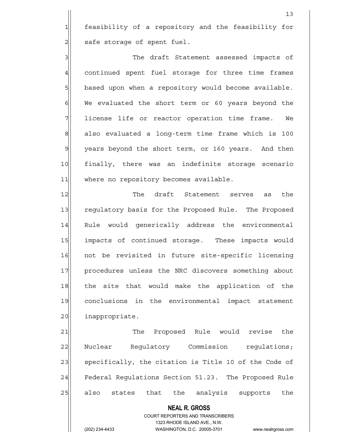1 feasibility of a repository and the feasibility for  $2$  safe storage of spent fuel.

3 3 3 The draft Statement assessed impacts of 4| continued spent fuel storage for three time frames 5 based upon when a repository would become available.  $6$  We evaluated the short term or 60 years beyond the 7 1icense life or reactor operation time frame. We  $8$  also evaluated a long-term time frame which is 100 9 years beyond the short term, or 160 years. And then 10 finally, there was an indefinite storage scenario 11 where no repository becomes available.

12 The draft Statement serves as the 13 regulatory basis for the Proposed Rule. The Proposed 14 Rule would generically address the environmental 15 | impacts of continued storage. These impacts would 16 not be revisited in future site-specific licensing 17 | procedures unless the NRC discovers something about 18 the site that would make the application of the 19 conclusions in the environmental impact statement 20 inappropriate.

21 The Proposed Rule would revise the 22 Nuclear Regulatory Commission regulations; 23 specifically, the citation is Title 10 of the Code of 24 Federal Regulations Section 51.23. The Proposed Rule 25 also states that the analysis supports the

 **NEAL R. GROSS**

 COURT REPORTERS AND TRANSCRIBERS 1323 RHODE ISLAND AVE., N.W.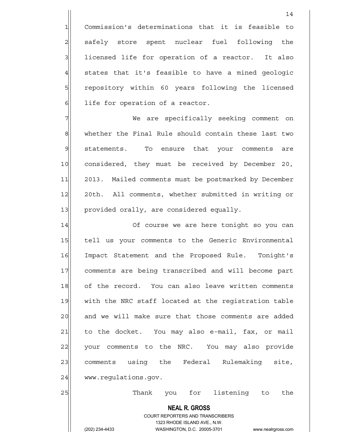1 Commission's determinations that it is feasible to 2 safely store spent nuclear fuel following the  $3$  licensed life for operation of a reactor. It also  $4$  states that it's feasible to have a mined geologic 5 5 5 5 1 10 repository within 60 years following the licensed 6 6 life for operation of a reactor.

7 We are specifically seeking comment on 8 8 whether the Final Rule should contain these last two 9 statements. To ensure that your comments are 10 considered, they must be received by December 20, 11 2013. Mailed comments must be postmarked by December 12 20th. All comments, whether submitted in writing or 13 provided orally, are considered equally.

14 Of course we are here tonight so you can 15 tell us your comments to the Generic Environmental 16 Impact Statement and the Proposed Rule. Tonight's 17 comments are being transcribed and will become part 18 of the record. You can also leave written comments 19 with the NRC staff located at the registration table 20 and we will make sure that those comments are added 21 to the docket. You may also e-mail, fax, or mail 22 your comments to the NRC. You may also provide 23 comments using the Federal Rulemaking site, 24 www.regulations.gov.

25 Thank you for listening to the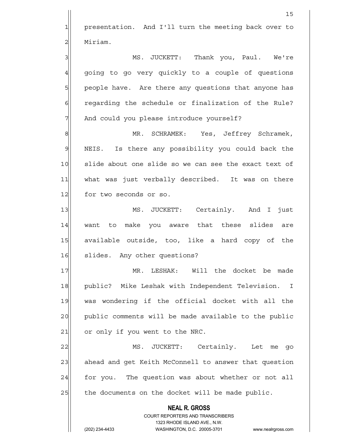1 presentation. And I'll turn the meeting back over to 2 | Miriam.

3 MS. JUCKETT: Thank you, Paul. We're 4 going to go very quickly to a couple of questions 5 | people have. Are there any questions that anyone has 6 6 6 6 6 regarding the schedule or finalization of the Rule? 7 And could you please introduce yourself?

8 MR. SCHRAMEK: Yes, Jeffrey Schramek, 9 NEIS. Is there any possibility you could back the 10 slide about one slide so we can see the exact text of 11 what was just verbally described. It was on there 12 for two seconds or so.

13 MS. JUCKETT: Certainly. And I just 14 want to make you aware that these slides are 15 available outside, too, like a hard copy of the 16 slides. Any other questions?

17 MR. LESHAK: Will the docket be made 18 public? Mike Leshak with Independent Television. I 19 was wondering if the official docket with all the 20 public comments will be made available to the public  $21$  or only if you went to the NRC.

22 MS. JUCKETT: Certainly. Let me go 23 ahead and get Keith McConnell to answer that question  $24$  for you. The question was about whether or not all  $25$  the documents on the docket will be made public.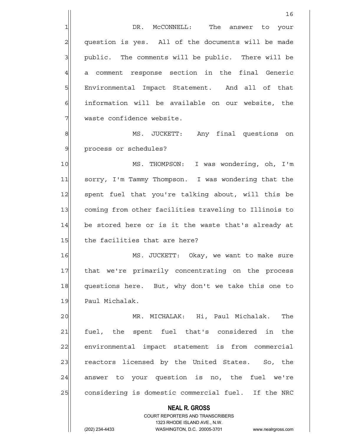16 1 DR. McCONNELL: The answer to your 2 question is yes. All of the documents will be made 3 3 public. The comments will be public. There will be 4| a comment response section in the final Generic 5 | Environmental Impact Statement. And all of that 6 information will be available on our website, the

8|| MS. JUCKETT: Any final questions on 9 | process or schedules?

7 | waste confidence website.

10 MS. THOMPSON: I was wondering, oh, I'm 11 sorry, I'm Tammy Thompson. I was wondering that the 12 spent fuel that you're talking about, will this be 13 coming from other facilities traveling to Illinois to 14 be stored here or is it the waste that's already at 15 the facilities that are here?

16 MS. JUCKETT: Okay, we want to make sure 17 | that we're primarily concentrating on the process 18 questions here. But, why don't we take this one to 19 Paul Michalak.

20 MR. MICHALAK: Hi, Paul Michalak. The 21 fuel, the spent fuel that's considered in the 22 environmental impact statement is from commercial 23 reactors licensed by the United States. So, the 24 answer to your question is no, the fuel we're 25 considering is domestic commercial fuel. If the NRC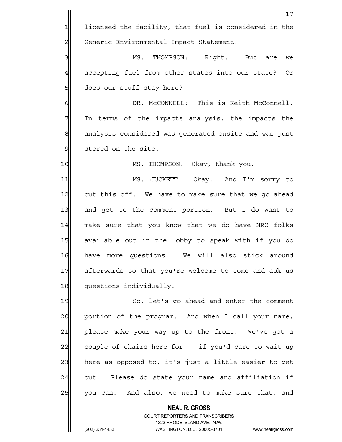17  $1$  licensed the facility, that fuel is considered in the 2 Generic Environmental Impact Statement. 3 3 MS. THOMPSON: Right. But are we 4 accepting fuel from other states into our state? Or 5 | does our stuff stay here? 6 GI DR. McCONNELL: This is Keith McConnell. 7 In terms of the impacts analysis, the impacts the 8 analysis considered was generated onsite and was just 9 stored on the site. 10 MS. THOMPSON: Okay, thank you. 11 MS. JUCKETT: Okay. And I'm sorry to 12 cut this off. We have to make sure that we go ahead 13 and get to the comment portion. But I do want to 14 make sure that you know that we do have NRC folks 15 available out in the lobby to speak with if you do 16 have more questions. We will also stick around 17 afterwards so that you're welcome to come and ask us 18 questions individually. 19 So, let's go ahead and enter the comment 20 portion of the program. And when I call your name, 21 please make your way up to the front. We've got a 22 couple of chairs here for -- if you'd care to wait up 23 here as opposed to, it's just a little easier to get  $24$  out. Please do state your name and affiliation if 25 you can. And also, we need to make sure that, and

> **NEAL R. GROSS** COURT REPORTERS AND TRANSCRIBERS 1323 RHODE ISLAND AVE., N.W.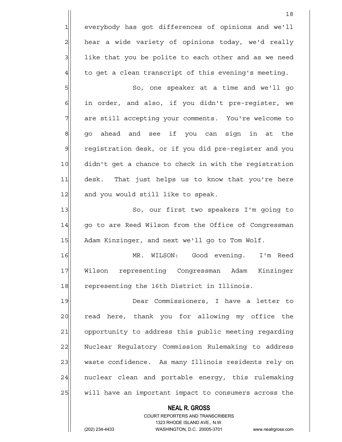1 everybody has got differences of opinions and we'll 2 hear a wide variety of opinions today, we'd really  $3$  like that you be polite to each other and as we need  $4$  to get a clean transcript of this evening's meeting.

5 So, one speaker at a time and we'll go  $6$  in order, and also, if you didn't pre-register, we 7 are still accepting your comments. You're welcome to 8 go ahead and see if you can sign in at the 9 registration desk, or if you did pre-register and you 10 didn't get a chance to check in with the registration 11 desk. That just helps us to know that you're here 12 and you would still like to speak.

13 So, our first two speakers I'm going to 14 | qo to are Reed Wilson from the Office of Congressman 15 Adam Kinzinger, and next we'll go to Tom Wolf.

16 MR. WILSON: Good evening. I'm Reed 17 Wilson representing Congressman Adam Kinzinger 18 representing the 16th District in Illinois.

19 Dear Commissioners, I have a letter to 20 read here, thank you for allowing my office the 21 opportunity to address this public meeting regarding 22 | Nuclear Regulatory Commission Rulemaking to address 23 waste confidence. As many Illinois residents rely on 24 | nuclear clean and portable energy, this rulemaking 25 will have an important impact to consumers across the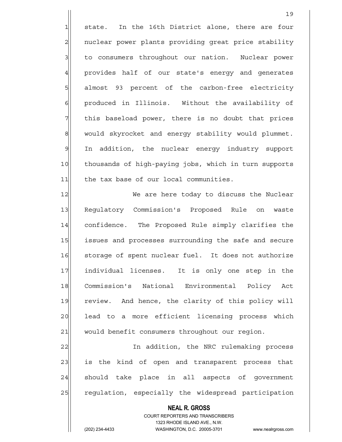1 state. In the 16th District alone, there are four 2 | nuclear power plants providing great price stability 3 to consumers throughout our nation. Nuclear power 4 provides half of our state's energy and generates 5 5 5 5 5 almost 93 percent of the carbon-free electricity 6 6 6 produced in Illinois. Without the availability of 7 This baseload power, there is no doubt that prices 8 would skyrocket and energy stability would plummet. 9 In addition, the nuclear energy industry support 10 thousands of high-paying jobs, which in turn supports 11 the tax base of our local communities.

12 We are here today to discuss the Nuclear 13 Regulatory Commission's Proposed Rule on waste 14 confidence. The Proposed Rule simply clarifies the 15 issues and processes surrounding the safe and secure 16 storage of spent nuclear fuel. It does not authorize 17 individual licenses. It is only one step in the 18 Commission's National Environmental Policy Act 19 review. And hence, the clarity of this policy will 20 | lead to a more efficient licensing process which 21 would benefit consumers throughout our region.

22 In addition, the NRC rulemaking process 23 is the kind of open and transparent process that 24 should take place in all aspects of government 25 regulation, especially the widespread participation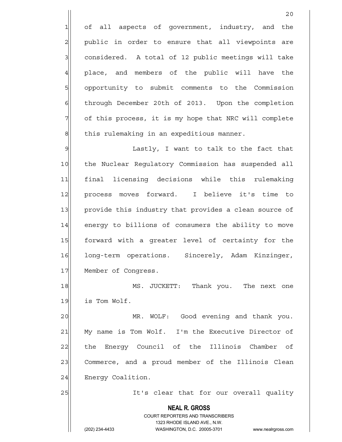1 of all aspects of government, industry, and the 2 | public in order to ensure that all viewpoints are 3 3 3 considered. A total of 12 public meetings will take 4 place, and members of the public will have the 5 | opportunity to submit comments to the Commission 6 6 through December 20th of 2013. Upon the completion 7 of this process, it is my hope that NRC will complete  $8$  this rulemaking in an expeditious manner.

9 Solution and the state of the fact that the fact that that in Lastly, I want to talk to the fact that 10 the Nuclear Regulatory Commission has suspended all 11 final licensing decisions while this rulemaking 12 process moves forward. I believe it's time to 13 provide this industry that provides a clean source of 14 energy to billions of consumers the ability to move 15 forward with a greater level of certainty for the 16 long-term operations. Sincerely, Adam Kinzinger, 17 Member of Congress.

18 MS. JUCKETT: Thank you. The next one 19 is Tom Wolf.

20 MR. WOLF: Good evening and thank you. 21 My name is Tom Wolf. I'm the Executive Director of 22 the Energy Council of the Illinois Chamber of 23 Commerce, and a proud member of the Illinois Clean 24 Energy Coalition.

25 || It's clear that for our overall quality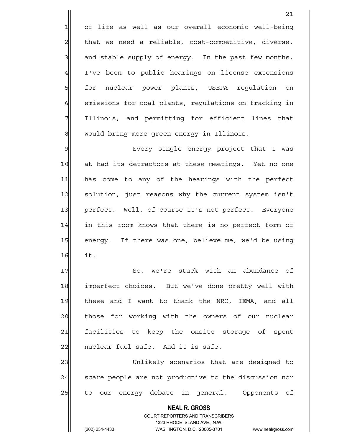1 of life as well as our overall economic well-being  $2$  that we need a reliable, cost-competitive, diverse,  $3$  and stable supply of energy. In the past few months, 4 I've been to public hearings on license extensions 5 for nuclear power plants, USEPA regulation on 6 6 6 emissions for coal plants, regulations on fracking in 7| Illinois, and permitting for efficient lines that 8 would bring more green energy in Illinois.

9 By Every single energy project that I was 10 at had its detractors at these meetings. Yet no one 11 has come to any of the hearings with the perfect 12 solution, just reasons why the current system isn't 13 perfect. Well, of course it's not perfect. Everyone 14 in this room knows that there is no perfect form of 15 energy. If there was one, believe me, we'd be using  $16$  it.

17 So, we're stuck with an abundance of 18 imperfect choices. But we've done pretty well with 19 these and I want to thank the NRC, IEMA, and all 20 those for working with the owners of our nuclear 21 facilities to keep the onsite storage of spent  $22$  nuclear fuel safe. And it is safe.

23 Unlikely scenarios that are designed to 24 Scare people are not productive to the discussion nor 25 to our energy debate in general. Opponents of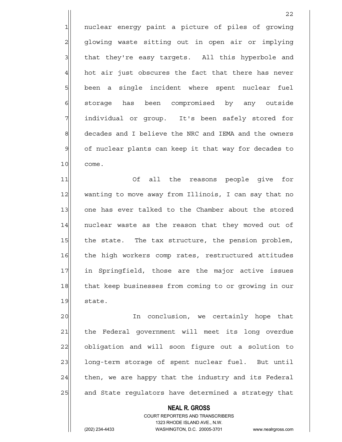1 nuclear energy paint a picture of piles of growing 2 glowing waste sitting out in open air or implying 3 3 a that they're easy targets. All this hyperbole and  $4$  hot air just obscures the fact that there has never 5 been a single incident where spent nuclear fuel 6 storage has been compromised by any outside 7 individual or group. It's been safely stored for 8 8 decades and I believe the NRC and IEMA and the owners 9 of nuclear plants can keep it that way for decades to 10 come.

<u>22</u>

11 Of all the reasons people give for 12 wanting to move away from Illinois, I can say that no 13 one has ever talked to the Chamber about the stored 14 | nuclear waste as the reason that they moved out of 15 the state. The tax structure, the pension problem, 16 the high workers comp rates, restructured attitudes 17 in Springfield, those are the major active issues 18 that keep businesses from coming to or growing in our 19 state.

20 and the conclusion, we certainly hope that 21 the Federal government will meet its long overdue 22 obligation and will soon figure out a solution to 23 | long-term storage of spent nuclear fuel. But until  $24$  then, we are happy that the industry and its Federal 25 and State regulators have determined a strategy that

> **NEAL R. GROSS** COURT REPORTERS AND TRANSCRIBERS 1323 RHODE ISLAND AVE., N.W.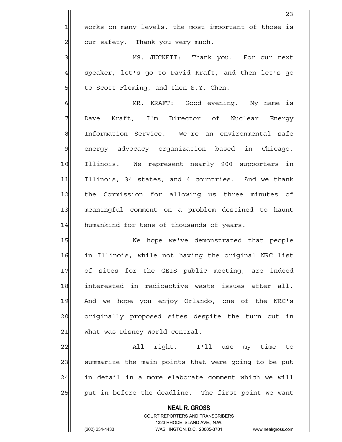23 1 works on many levels, the most important of those is 2 | our safety. Thank you very much. 3 MS. JUCKETT: Thank you. For our next  $4$  speaker, let's go to David Kraft, and then let's go  $5$  to Scott Fleming, and then S.Y. Chen. 6 MR. KRAFT: Good evening. My name is 7 Dave Kraft, I'm Director of Nuclear Energy 8 Information Service. We're an environmental safe 9 energy advocacy organization based in Chicago, 10 Illinois. We represent nearly 900 supporters in 11 Illinois, 34 states, and 4 countries. And we thank 12 the Commission for allowing us three minutes of 13 meaningful comment on a problem destined to haunt 14 humankind for tens of thousands of years. 15 We hope we've demonstrated that people 16 in Illinois, while not having the original NRC list 17 of sites for the GEIS public meeting, are indeed 18 interested in radioactive waste issues after all. 19 And we hope you enjoy Orlando, one of the NRC's 20 | originally proposed sites despite the turn out in 21 what was Disney World central. 22 All right. I'll use my time to 23 summarize the main points that were going to be put 24 in detail in a more elaborate comment which we will

> **NEAL R. GROSS** COURT REPORTERS AND TRANSCRIBERS 1323 RHODE ISLAND AVE., N.W.

25 put in before the deadline. The first point we want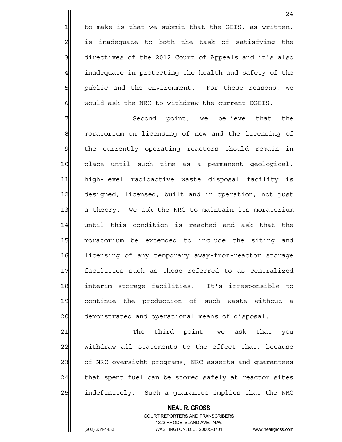to make is that we submit that the GEIS, as written, 2| is inadequate to both the task of satisfying the 3 directives of the 2012 Court of Appeals and it's also inadequate in protecting the health and safety of the public and the environment. For these reasons, we would ask the NRC to withdraw the current DGEIS.

7 The Second point, we believe that the 8 moratorium on licensing of new and the licensing of 9 | the currently operating reactors should remain in 10 place until such time as a permanent geological, 11 high-level radioactive waste disposal facility is 12 designed, licensed, built and in operation, not just 13 a theory. We ask the NRC to maintain its moratorium 14 until this condition is reached and ask that the 15 moratorium be extended to include the siting and 16 licensing of any temporary away-from-reactor storage 17 facilities such as those referred to as centralized 18 interim storage facilities. It's irresponsible to 19 continue the production of such waste without a 20 demonstrated and operational means of disposal.

21 The third point, we ask that you 22 withdraw all statements to the effect that, because 23 of NRC oversight programs, NRC asserts and guarantees  $24$  that spent fuel can be stored safely at reactor sites 25 | indefinitely. Such a guarantee implies that the NRC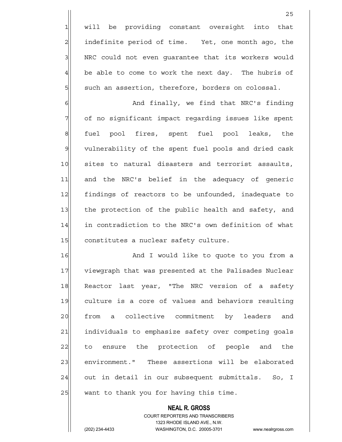1 will be providing constant oversight into that 2 all indefinite period of time. Yet, one month ago, the 3 | NRC could not even quarantee that its workers would  $4$  be able to come to work the next day. The hubris of  $5$  such an assertion, therefore, borders on colossal.

<u>25 and 25</u>

6 6 And finally, we find that NRC's finding 7 of no significant impact regarding issues like spent 8 | fuel pool fires, spent fuel pool leaks, the 9 vulnerability of the spent fuel pools and dried cask 10 sites to natural disasters and terrorist assaults, 11 and the NRC's belief in the adequacy of generic 12 findings of reactors to be unfounded, inadequate to 13 the protection of the public health and safety, and 14 in contradiction to the NRC's own definition of what 15 constitutes a nuclear safety culture.

16 and I would like to quote to you from a 17 viewgraph that was presented at the Palisades Nuclear 18 Reactor last year, "The NRC version of a safety 19 culture is a core of values and behaviors resulting 20 from a collective commitment by leaders and 21 individuals to emphasize safety over competing goals 22 to ensure the protection of people and the 23 environment." These assertions will be elaborated 24 out in detail in our subsequent submittals. So, I 25 want to thank you for having this time.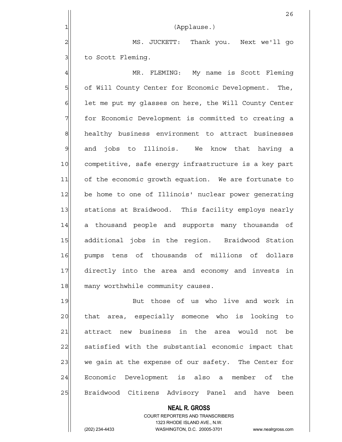|                | 26                                                    |
|----------------|-------------------------------------------------------|
| $\mathbf{1}$   | (Applause.)                                           |
| $\overline{2}$ | MS. JUCKETT: Thank you. Next we'll go                 |
| 3              | to Scott Fleming.                                     |
| $\overline{4}$ | MR. FLEMING: My name is Scott Fleming                 |
| 5              | of Will County Center for Economic Development. The,  |
| 6              | let me put my glasses on here, the Will County Center |
| 7              | for Economic Development is committed to creating a   |
| 8              | healthy business environment to attract businesses    |
| $\mathcal{Q}$  | and jobs to Illinois. We know that having a           |
| 10             | competitive, safe energy infrastructure is a key part |
| 11             | of the economic growth equation. We are fortunate to  |
| 12             | be home to one of Illinois' nuclear power generating  |
| 13             | stations at Braidwood. This facility employs nearly   |
| 14             | a thousand people and supports many thousands of      |
| 15             | additional jobs in the region. Braidwood Station      |
| 16             | pumps tens of thousands of millions of dollars        |
| 17             | directly into the area and economy and invests in     |
| 18             | many worthwhile community causes.                     |
| 19             | But those of us who live and work in                  |
| 20             | that area, especially someone who is looking to       |
| 21             | attract new business in the area would not be         |
| 22             | satisfied with the substantial economic impact that   |
| 23             | we gain at the expense of our safety. The Center for  |
| 24             | Economic Development is also a member of the          |
| 25             | Braidwood Citizens Advisory Panel and have been       |

 **NEAL R. GROSS** COURT REPORTERS AND TRANSCRIBERS 1323 RHODE ISLAND AVE., N.W.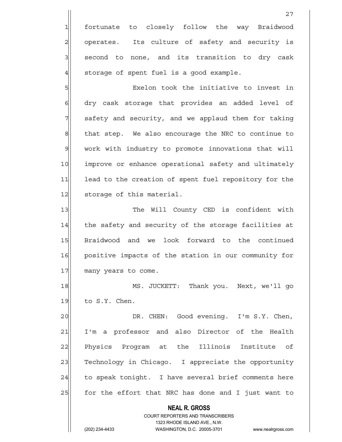1 fortunate to closely follow the way Braidwood 2 | operates. Its culture of safety and security is  $3$  second to none, and its transition to dry cask  $4$  storage of spent fuel is a good example.

5 SI Exelon took the initiative to invest in 6 6 6 dry cask storage that provides an added level of 7 Safety and security, and we applaud them for taking 8 that step. We also encourage the NRC to continue to 9 work with industry to promote innovations that will 10 improve or enhance operational safety and ultimately 11 lead to the creation of spent fuel repository for the 12 storage of this material.

13 The Will County CED is confident with 14 the safety and security of the storage facilities at 15 Braidwood and we look forward to the continued 16 positive impacts of the station in our community for 17 many years to come.

18 MS. JUCKETT: Thank you. Next, we'll go  $19$  to S.Y. Chen.

20 DR. CHEN: Good evening. I'm S.Y. Chen, 21 I'm a professor and also Director of the Health 22 Physics Program at the Illinois Institute of 23 Technology in Chicago. I appreciate the opportunity 24 to speak tonight. I have several brief comments here 25 for the effort that NRC has done and I just want to

 **NEAL R. GROSS**

 COURT REPORTERS AND TRANSCRIBERS 1323 RHODE ISLAND AVE., N.W.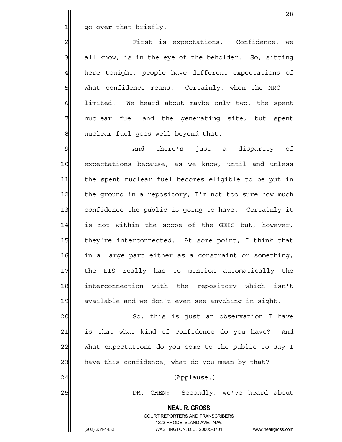$1$  go over that briefly.

2 Pirst is expectations. Confidence, we  $3$  all know, is in the eye of the beholder. So, sitting 4 here tonight, people have different expectations of 5 | what confidence means. Certainly, when the NRC --6 6 1imited. We heard about maybe only two, the spent 7 || nuclear fuel and the generating site, but spent 8 | nuclear fuel goes well beyond that.

9 And there's just a disparity of 10 expectations because, as we know, until and unless 11 the spent nuclear fuel becomes eligible to be put in 12 the ground in a repository, I'm not too sure how much 13 confidence the public is going to have. Certainly it 14 is not within the scope of the GEIS but, however, 15 they're interconnected. At some point, I think that 16 in a large part either as a constraint or something, 17 | the EIS really has to mention automatically the 18 interconnection with the repository which isn't 19 available and we don't even see anything in sight.

20 So, this is just an observation I have 21 is that what kind of confidence do you have? And 22 what expectations do you come to the public to say I  $23$  have this confidence, what do you mean by that? 24 (Applause.)

 **NEAL R. GROSS**

25 DR. CHEN: Secondly, we've heard about

 COURT REPORTERS AND TRANSCRIBERS 1323 RHODE ISLAND AVE., N.W.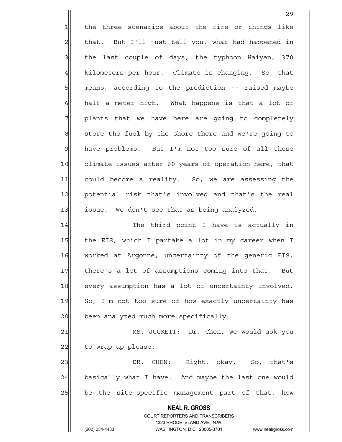**NEAL R. GROSS** COURT REPORTERS AND TRANSCRIBERS 1323 RHODE ISLAND AVE., N.W. <u>29</u>  $1$  the three scenarios about the fire or things like 2 | that. But I'll just tell you, what had happened in  $3$  the last couple of days, the typhoon Haiyan, 370 4 kilometers per hour. Climate is changing. So, that 5 | means, according to the prediction -- raised maybe  $6$  half a meter high. What happens is that a lot of 7 plants that we have here are going to completely  $8$  store the fuel by the shore there and we're going to 9 have problems. But I'm not too sure of all these 10 climate issues after 60 years of operation here, that 11 could become a reality. So, we are assessing the 12 potential risk that's involved and that's the real  $13$  issue. We don't see that as being analyzed. 14 The third point I have is actually in 15 the EIS, which I partake a lot in my career when I 16 worked at Argonne, uncertainty of the generic EIS, 17 there's a lot of assumptions coming into that. But 18 every assumption has a lot of uncertainty involved. 19 So, I'm not too sure of how exactly uncertainty has 20 been analyzed much more specifically. 21 MS. JUCKETT: Dr. Chen, we would ask you  $22$  to wrap up please. 23 DR. CHEN: Right, okay. So, that's 24 basically what I have. And maybe the last one would 25 be the site-specific management part of that, how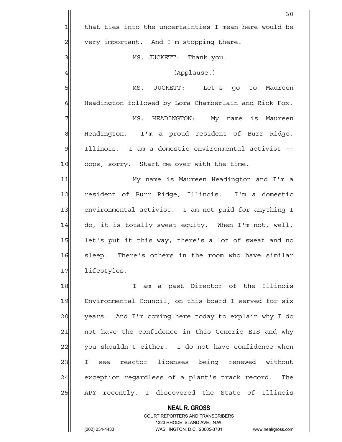**NEAL R. GROSS** 30  $1$  that ties into the uncertainties I mean here would be  $2$  very important. And I'm stopping there. 3| MS. JUCKETT: Thank you. 4 (Applause.) 5 MS. JUCKETT: Let's go to Maureen 6 Headington followed by Lora Chamberlain and Rick Fox. 7 MS. HEADINGTON: My name is Maureen 8 Headington. I'm a proud resident of Burr Ridge, 9 | Illinois. I am a domestic environmental activist --10 oops, sorry. Start me over with the time. 11 My name is Maureen Headington and I'm a 12 resident of Burr Ridge, Illinois. I'm a domestic 13 environmental activist. I am not paid for anything I  $14$  do, it is totally sweat equity. When I'm not, well, 15 let's put it this way, there's a lot of sweat and no 16 sleep. There's others in the room who have similar 17 lifestyles. 18 I am a past Director of the Illinois 19 Environmental Council, on this board I served for six 20 years. And I'm coming here today to explain why I do 21 | not have the confidence in this Generic EIS and why  $22$  you shouldn't either. I do not have confidence when 23 I see reactor licenses being renewed without 24 exception regardless of a plant's track record. The 25 APY recently, I discovered the State of Illinois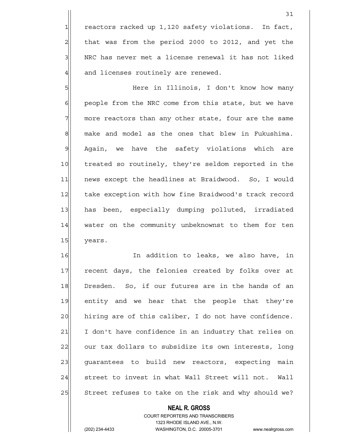$1$  reactors racked up 1,120 safety violations. In fact,  $2$  that was from the period 2000 to 2012, and yet the 3 | NRC has never met a license renewal it has not liked 4 and licenses routinely are renewed.

5 Here in Illinois, I don't know how many 6 6 people from the NRC come from this state, but we have  $7$  more reactors than any other state, four are the same 8 make and model as the ones that blew in Fukushima. 9 Again, we have the safety violations which are 10 treated so routinely, they're seldom reported in the 11 | news except the headlines at Braidwood. So, I would 12 take exception with how fine Braidwood's track record 13 has been, especially dumping polluted, irradiated 14 water on the community unbeknownst to them for ten 15 years.

16 In addition to leaks, we also have, in 17 recent days, the felonies created by folks over at 18 Dresden. So, if our futures are in the hands of an 19 entity and we hear that the people that they're 20 hiring are of this caliber, I do not have confidence. 21 I don't have confidence in an industry that relies on 22 our tax dollars to subsidize its own interests, long 23 guarantees to build new reactors, expecting main 24 street to invest in what Wall Street will not. Wall 25 Street refuses to take on the risk and why should we?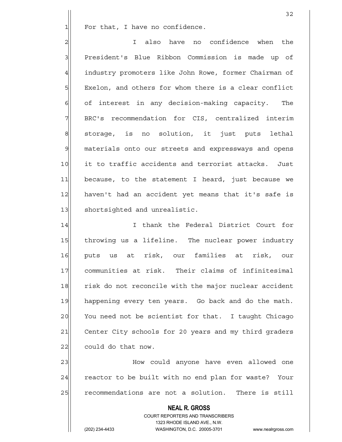$1$  For that, I have no confidence.

2 also have no confidence when the loss of the set of the set of the set of the set of the set of the set of t 3 President's Blue Ribbon Commission is made up of 4 industry promoters like John Rowe, former Chairman of 5 | Exelon, and others for whom there is a clear conflict  $6$  of interest in any decision-making capacity. The 7 BRC's recommendation for CIS, centralized interim 8 storage, is no solution, it just puts lethal 9 materials onto our streets and expressways and opens 10 it to traffic accidents and terrorist attacks. Just 11 because, to the statement I heard, just because we 12 haven't had an accident yet means that it's safe is 13 Shortsighted and unrealistic.

14 I I thank the Federal District Court for 15 throwing us a lifeline. The nuclear power industry 16 puts us at risk, our families at risk, our 17 communities at risk. Their claims of infinitesimal 18 risk do not reconcile with the major nuclear accident 19 happening every ten years. Go back and do the math. 20 You need not be scientist for that. I taught Chicago 21 Center City schools for 20 years and my third graders  $22$  could do that now.

23 | Mow could anyone have even allowed one 24 reactor to be built with no end plan for waste? Your 25 recommendations are not a solution. There is still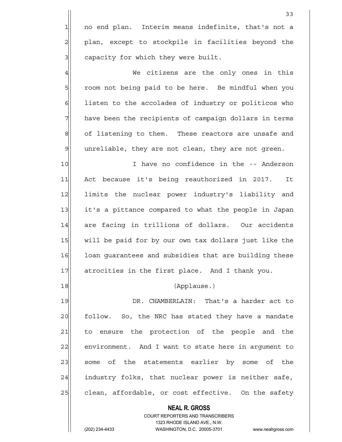1 no end plan. Interim means indefinite, that's not a 2 plan, except to stockpile in facilities beyond the  $3$  capacity for which they were built.

4 We citizens are the only ones in this 5| room not being paid to be here. Be mindful when you 6 6 6 listen to the accolades of industry or politicos who  $7$  have been the recipients of campaign dollars in terms 8 of listening to them. These reactors are unsafe and  $9$  unreliable, they are not clean, they are not green.

10 I have no confidence in the -- Anderson 11 Act because it's being reauthorized in 2017. It 12 limits the nuclear power industry's liability and 13 it's a pittance compared to what the people in Japan 14 are facing in trillions of dollars. Our accidents 15 will be paid for by our own tax dollars just like the 16 loan guarantees and subsidies that are building these 17 atrocities in the first place. And I thank you.

18 (Applause.)

19 DR. CHAMBERLAIN: That's a harder act to 20 follow. So, the NRC has stated they have a mandate 21 to ensure the protection of the people and the 22 environment. And I want to state here in argument to 23 some of the statements earlier by some of the  $24$  industry folks, that nuclear power is neither safe, 25 clean, affordable, or cost effective. On the safety

> **NEAL R. GROSS** COURT REPORTERS AND TRANSCRIBERS 1323 RHODE ISLAND AVE., N.W. (202) 234-4433 WASHINGTON, D.C. 20005-3701 www.nealrgross.com

33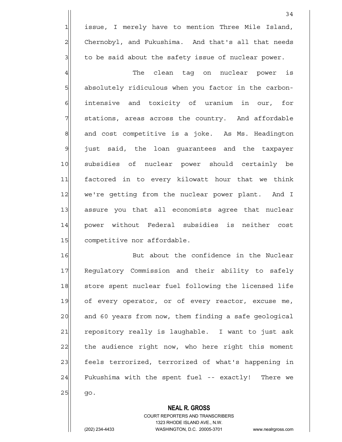1 issue, I merely have to mention Three Mile Island, 2 Chernobyl, and Fukushima. And that's all that needs  $3$  to be said about the safety issue of nuclear power.

4 The clean tag on nuclear power is 5 5 5 5 5 absolutely ridiculous when you factor in the carbon-6| intensive and toxicity of uranium in our, for 7 | stations, areas across the country. And affordable 8 and cost competitive is a joke. As Ms. Headington 9 just said, the loan quarantees and the taxpayer 10 subsidies of nuclear power should certainly be 11 factored in to every kilowatt hour that we think 12 we're getting from the nuclear power plant. And I 13 assure you that all economists agree that nuclear 14 power without Federal subsidies is neither cost 15 competitive nor affordable.

16 But about the confidence in the Nuclear 17 Regulatory Commission and their ability to safely 18 store spent nuclear fuel following the licensed life 19 of every operator, or of every reactor, excuse me, 20 and 60 years from now, them finding a safe geological 21 repository really is laughable. I want to just ask 22 the audience right now, who here right this moment 23 feels terrorized, terrorized of what's happening in 24 Fukushima with the spent fuel -- exactly! There we  $25$  go.

#### **NEAL R. GROSS**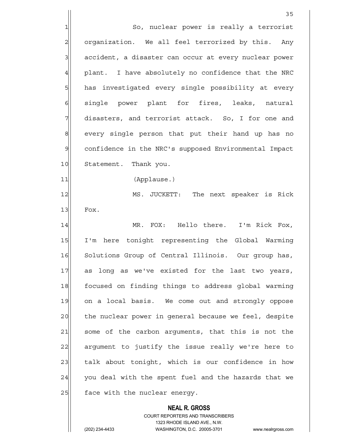**NEAL R. GROSS** <u>35 and 2001 and 2001 and 2001 and 2001 and 2001 and 2001 and 2001 and 2001 and 2001 and 2001 and 2001 and 200</u> 1 So, nuclear power is really a terrorist 2 | organization. We all feel terrorized by this. Any 3 | accident, a disaster can occur at every nuclear power  $4$  plant. I have absolutely no confidence that the NRC 5 has investigated every single possibility at every 6 single power plant for fires, leaks, natural  $7$  disasters, and terrorist attack. So, I for one and 8 every single person that put their hand up has no 9 confidence in the NRC's supposed Environmental Impact 10 Statement. Thank you. 11|| (Applause.) 12 MS. JUCKETT: The next speaker is Rick  $13$  Fox. 14 MR. FOX: Hello there. I'm Rick Fox, 15 I'm here tonight representing the Global Warming 16 Solutions Group of Central Illinois. Our group has, 17 as long as we've existed for the last two years, 18 focused on finding things to address global warming 19 on a local basis. We come out and strongly oppose 20 the nuclear power in general because we feel, despite 21 some of the carbon arguments, that this is not the 22 argument to justify the issue really we're here to 23 talk about tonight, which is our confidence in how  $24$  you deal with the spent fuel and the hazards that we 25 face with the nuclear energy.

> COURT REPORTERS AND TRANSCRIBERS 1323 RHODE ISLAND AVE., N.W.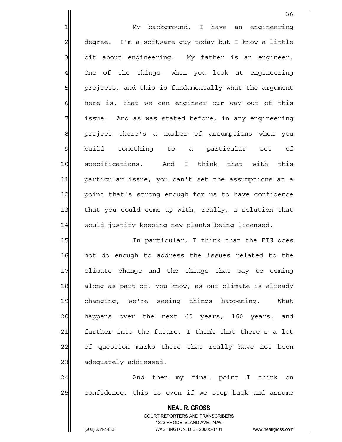1 My background, I have an engineering 2 degree. I'm a software guy today but I know a little  $3$  bit about engineering. My father is an engineer. 4 One of the things, when you look at engineering 5 projects, and this is fundamentally what the argument  $6$  here is, that we can engineer our way out of this  $7$  issue. And as was stated before, in any engineering 8 8 project there's a number of assumptions when you 9 build something to a particular set of 10 specifications. And I think that with this 11 particular issue, you can't set the assumptions at a 12 point that's strong enough for us to have confidence 13 that you could come up with, really, a solution that 14 would justify keeping new plants being licensed.

15 In particular, I think that the EIS does 16 not do enough to address the issues related to the 17 climate change and the things that may be coming 18 along as part of, you know, as our climate is already 19 changing, we're seeing things happening. What 20 happens over the next 60 years, 160 years, and  $21$  further into the future, I think that there's a lot 22 of question marks there that really have not been 23 adequately addressed.

24 And then my final point I think on 25 confidence, this is even if we step back and assume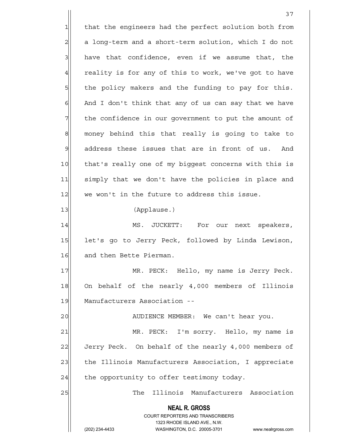**NEAL R. GROSS** COURT REPORTERS AND TRANSCRIBERS 1323 RHODE ISLAND AVE., N.W. 37 1 that the engineers had the perfect solution both from  $2$  a long-term and a short-term solution, which I do not  $3$  have that confidence, even if we assume that, the  $4$  reality is for any of this to work, we've got to have 5 5 5 5 the policy makers and the funding to pay for this.  $6$  And I don't think that any of us can say that we have 7 The confidence in our government to put the amount of 8 money behind this that really is going to take to  $9$  address these issues that are in front of us. And 10 that's really one of my biggest concerns with this is 11 simply that we don't have the policies in place and  $12$  we won't in the future to address this issue. 13 (Applause.) 14 MS. JUCKETT: For our next speakers, 15 let's go to Jerry Peck, followed by Linda Lewison, 16 and then Bette Pierman. 17 MR. PECK: Hello, my name is Jerry Peck. 18 On behalf of the nearly 4,000 members of Illinois 19 | Manufacturers Association --20 | AUDIENCE MEMBER: We can't hear you. 21 MR. PECK: I'm sorry. Hello, my name is 22 Jerry Peck. On behalf of the nearly 4,000 members of 23 the Illinois Manufacturers Association, I appreciate  $24$  the opportunity to offer testimony today. 25 The Illinois Manufacturers Association

(202) 234-4433 WASHINGTON, D.C. 20005-3701 www.nealrgross.com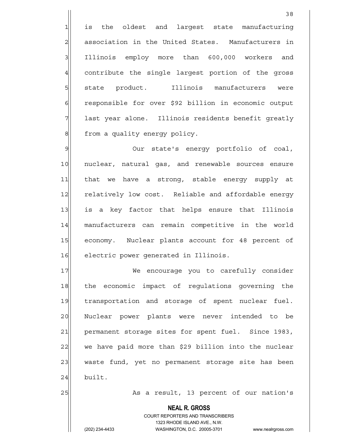1 is the oldest and largest state manufacturing 2 association in the United States. Manufacturers in 3 Illinois employ more than 600,000 workers and 4 contribute the single largest portion of the gross 5 state product. Illinois manufacturers were 6 responsible for over \$92 billion in economic output 7 last year alone. Illinois residents benefit greatly 8 | from a quality energy policy.

9 9 Our state's energy portfolio of coal, 10 nuclear, natural gas, and renewable sources ensure 11 that we have a strong, stable energy supply at 12 relatively low cost. Reliable and affordable energy 13 is a key factor that helps ensure that Illinois 14 manufacturers can remain competitive in the world 15 economy. Nuclear plants account for 48 percent of 16 electric power generated in Illinois.

17 We encourage you to carefully consider 18 the economic impact of regulations governing the 19 transportation and storage of spent nuclear fuel. 20 Nuclear power plants were never intended to be 21 permanent storage sites for spent fuel. Since 1983, 22 we have paid more than \$29 billion into the nuclear 23 waste fund, yet no permanent storage site has been  $24$  built.

25 As a result, 13 percent of our nation's

 **NEAL R. GROSS**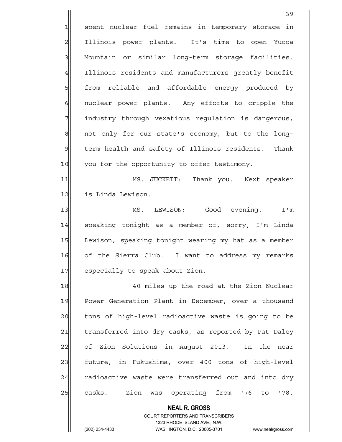1 spent nuclear fuel remains in temporary storage in 2 Illinois power plants. It's time to open Yucca 3 | Mountain or similar long-term storage facilities. 4 Illinois residents and manufacturers greatly benefit 5 | Sim from reliable and affordable energy produced by 6 6 6 nuclear power plants. Any efforts to cripple the 7 | industry through vexatious regulation is dangerous, 8 not only for our state's economy, but to the long-9 term health and safety of Illinois residents. Thank 10 you for the opportunity to offer testimony.

11 MS. JUCKETT: Thank you. Next speaker 12 is Linda Lewison.

13 | MS. LEWISON: Good evening. I'm 14 speaking tonight as a member of, sorry, I'm Linda 15 Lewison, speaking tonight wearing my hat as a member 16 of the Sierra Club. I want to address my remarks 17 especially to speak about Zion.

18 18 18 40 miles up the road at the Zion Nuclear 19 Power Generation Plant in December, over a thousand 20 tons of high-level radioactive waste is going to be 21 transferred into dry casks, as reported by Pat Daley 22 of Zion Solutions in August 2013. In the near 23 future, in Fukushima, over 400 tons of high-level 24 radioactive waste were transferred out and into dry 25 casks. Zion was operating from '76 to '78.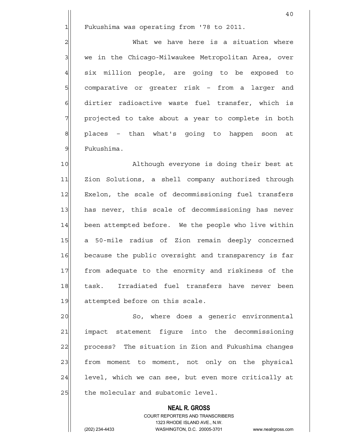1 Fukushima was operating from '78 to 2011.

2 2 What we have here is a situation where 3 | we in the Chicago-Milwaukee Metropolitan Area, over 4 six million people, are going to be exposed to 5| comparative or greater risk – from a larger and 6 dirtier radioactive waste fuel transfer, which is 7 | projected to take about a year to complete in both 8 | places – than what's going to happen soon at 9 Fukushima.

10 Although everyone is doing their best at 11 Zion Solutions, a shell company authorized through 12 Exelon, the scale of decommissioning fuel transfers 13 has never, this scale of decommissioning has never 14 been attempted before. We the people who live within 15 a 50-mile radius of Zion remain deeply concerned 16 because the public oversight and transparency is far 17 | from adequate to the enormity and riskiness of the 18 task. Irradiated fuel transfers have never been 19 attempted before on this scale.

20 So, where does a generic environmental 21 impact statement figure into the decommissioning 22 process? The situation in Zion and Fukushima changes 23 from moment to moment, not only on the physical 24 level, which we can see, but even more critically at  $25$  the molecular and subatomic level.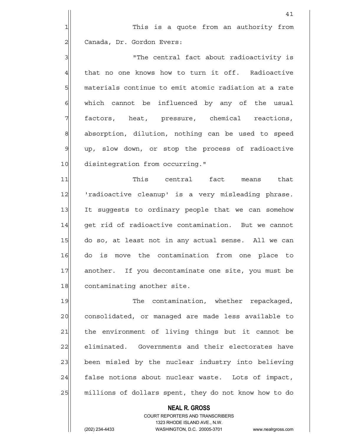41

3 3 The central fact about radioactivity is 4 that no one knows how to turn it off. Radioactive 5 materials continue to emit atomic radiation at a rate 6 6 which cannot be influenced by any of the usual 7 | factors, heat, pressure, chemical reactions, 8 absorption, dilution, nothing can be used to speed 9 up, slow down, or stop the process of radioactive 10 disintegration from occurring."

11 This central fact means that 12 | 'radioactive cleanup' is a very misleading phrase. 13 It suggests to ordinary people that we can somehow 14 get rid of radioactive contamination. But we cannot 15 do so, at least not in any actual sense. All we can 16 do is move the contamination from one place to 17 another. If you decontaminate one site, you must be 18 contaminating another site.

19 The contamination, whether repackaged, 20 consolidated, or managed are made less available to 21 the environment of living things but it cannot be 22 eliminated. Governments and their electorates have 23 been misled by the nuclear industry into believing 24 false notions about nuclear waste. Lots of impact, 25 millions of dollars spent, they do not know how to do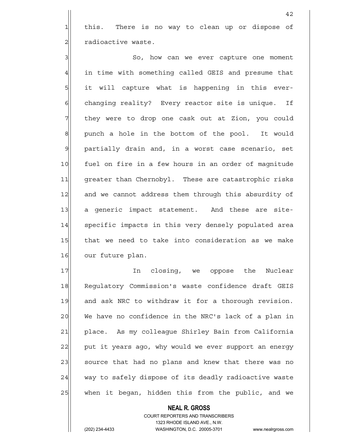1 this. There is no way to clean up or dispose of 2 | radioactive waste.

3 | So, how can we ever capture one moment 4 in time with something called GEIS and presume that 5 5 5 it will capture what is happening in this ever-6 6 6 changing reality? Every reactor site is unique. If 7 They were to drop one cask out at Zion, you could 8 punch a hole in the bottom of the pool. It would 9 partially drain and, in a worst case scenario, set 10 fuel on fire in a few hours in an order of magnitude 11| greater than Chernobyl. These are catastrophic risks 12 and we cannot address them through this absurdity of 13 a generic impact statement. And these are site-14 specific impacts in this very densely populated area 15 that we need to take into consideration as we make 16 our future plan.

17 In closing, we oppose the Nuclear 18 Requlatory Commission's waste confidence draft GEIS 19 and ask NRC to withdraw it for a thorough revision. 20 We have no confidence in the NRC's lack of a plan in 21 place. As my colleague Shirley Bain from California 22 put it years ago, why would we ever support an energy 23 source that had no plans and knew that there was no 24 way to safely dispose of its deadly radioactive waste 25 | when it began, hidden this from the public, and we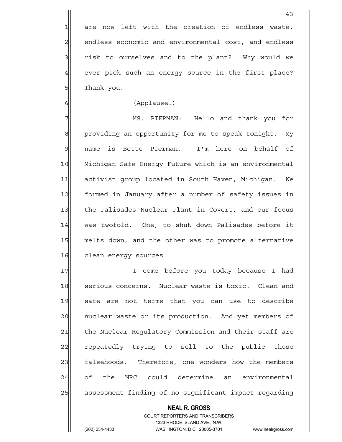4 ever pick such an energy source in the first place? 5 Thank you.

#### 6 (Applause.)

7 MS. PIERMAN: Hello and thank you for 8 providing an opportunity for me to speak tonight. My 9 name is Bette Pierman. I'm here on behalf of 10 Michigan Safe Energy Future which is an environmental 11 activist group located in South Haven, Michigan. We 12 formed in January after a number of safety issues in 13 the Palisades Nuclear Plant in Covert, and our focus 14 was twofold. One, to shut down Palisades before it 15 melts down, and the other was to promote alternative 16 clean energy sources.

17 I come before you today because I had 18 serious concerns. Nuclear waste is toxic. Clean and 19 safe are not terms that you can use to describe 20 | nuclear waste or its production. And yet members of 21 the Nuclear Regulatory Commission and their staff are 22 repeatedly trying to sell to the public those 23 falsehoods. Therefore, one wonders how the members 24 of the NRC could determine an environmental 25 assessment finding of no significant impact regarding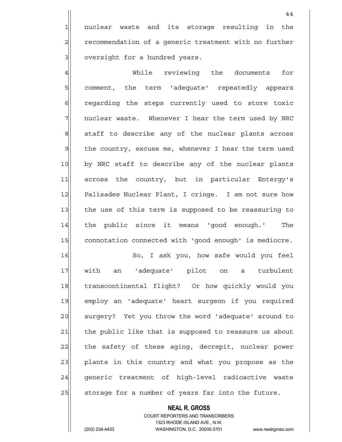1 nuclear waste and its storage resulting in the 2 recommendation of a generic treatment with no further 3 oversight for a hundred years.

4 While reviewing the documents for 5 5 5 somment, the term 'adequate' repeatedly appears 6 6 regarding the steps currently used to store toxic 7 7 nuclear waste. Whenever I hear the term used by NRC 8 staff to describe any of the nuclear plants across 9 | the country, excuse me, whenever I hear the term used 10 by NRC staff to describe any of the nuclear plants 11 across the country, but in particular Entergy's 12 Palisades Nuclear Plant, I cringe. I am not sure how 13 the use of this term is supposed to be reassuring to 14 | the public since it means 'good enough.' The 15 connotation connected with 'good enough' is mediocre.

16 So, I ask you, how safe would you feel 17 with an 'adequate' pilot on a turbulent 18 | transcontinental flight? Or how quickly would you 19 employ an 'adequate' heart surgeon if you required 20 surgery? Yet you throw the word 'adequate' around to 21 the public like that is supposed to reassure us about 22 the safety of these aging, decrepit, nuclear power 23 plants in this country and what you propose as the 24 generic treatment of high-level radioactive waste 25 Storage for a number of years far into the future.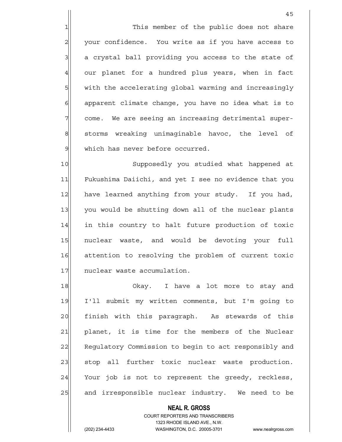1 This member of the public does not share 2 your confidence. You write as if you have access to 3 a crystal ball providing you access to the state of 4 our planet for a hundred plus years, when in fact 5 with the accelerating global warming and increasingly  $6$  apparent climate change, you have no idea what is to 7 come. We are seeing an increasing detrimental super-8 storms wreaking unimaginable havoc, the level of 9 | which has never before occurred.

10 Supposedly you studied what happened at 11 Fukushima Daiichi, and yet I see no evidence that you 12 have learned anything from your study. If you had, 13 you would be shutting down all of the nuclear plants 14 in this country to halt future production of toxic 15 nuclear waste, and would be devoting your full 16 attention to resolving the problem of current toxic 17 nuclear waste accumulation.

18 Okay. I have a lot more to stay and 19 I'll submit my written comments, but I'm going to 20 | finish with this paragraph. As stewards of this 21 planet, it is time for the members of the Nuclear 22 Regulatory Commission to begin to act responsibly and 23 | stop all further toxic nuclear waste production.  $24$  Your job is not to represent the greedy, reckless, 25 and irresponsible nuclear industry. We need to be

> COURT REPORTERS AND TRANSCRIBERS 1323 RHODE ISLAND AVE., N.W. (202) 234-4433 WASHINGTON, D.C. 20005-3701 www.nealrgross.com

 **NEAL R. GROSS**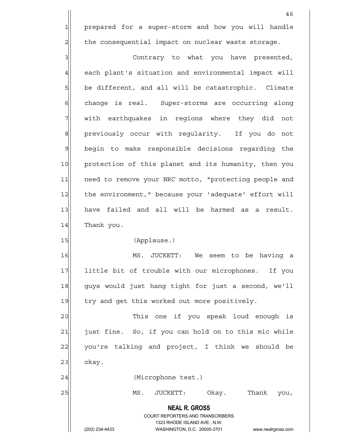1 prepared for a super-storm and how you will handle  $2$  the consequential impact on nuclear waste storage.

3 3 Contrary to what you have presented, 4 each plant's situation and environmental impact will 5 be different, and all will be catastrophic. Climate 6 6 change is real. Super-storms are occurring along 7 With earthquakes in regions where they did not 8 previously occur with regularity. If you do not 9 begin to make responsible decisions regarding the 10 protection of this planet and its humanity, then you 11 need to remove your NRC motto, "protecting people and 12 the environment," because your 'adequate' effort will 13 have failed and all will be harmed as a result. 14 Thank you.

15 (Applause.)

16 MS. JUCKETT: We seem to be having a 17 little bit of trouble with our microphones. If you 18 guys would just hang tight for just a second, we'll 19 try and get this worked out more positively.

20 This one if you speak loud enough is 21 | just fine. So, if you can hold on to this mic while 22 you're talking and project, I think we should be  $23$  okay.

24 | (Microphone test.)

25 MS. JUCKETT: Okay. Thank you,

 **NEAL R. GROSS** COURT REPORTERS AND TRANSCRIBERS 1323 RHODE ISLAND AVE., N.W.

(202) 234-4433 WASHINGTON, D.C. 20005-3701 www.nealrgross.com

46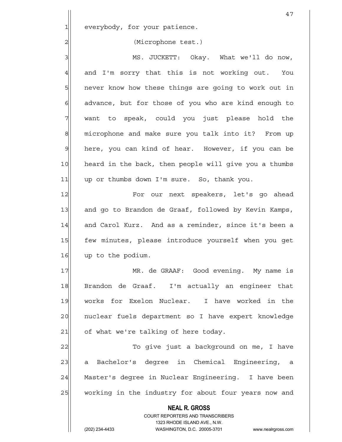1 everybody, for your patience.

### 2| (Microphone test.)

3 MS. JUCKETT: Okay. What we'll do now,  $4$  and I'm sorry that this is not working out. You 5 - 5 never know how these things are going to work out in  $6$  advance, but for those of you who are kind enough to 7 want to speak, could you just please hold the 8 microphone and make sure you talk into it? From up 9 here, you can kind of hear. However, if you can be 10 heard in the back, then people will give you a thumbs 11 up or thumbs down I'm sure. So, thank you.

12 For our next speakers, let's go ahead 13 and go to Brandon de Graaf, followed by Kevin Kamps, 14 and Carol Kurz. And as a reminder, since it's been a 15 few minutes, please introduce yourself when you get 16 up to the podium.

17 MR. de GRAAF: Good evening. My name is 18 Brandon de Graaf. I'm actually an engineer that 19 works for Exelon Nuclear. I have worked in the 20 | nuclear fuels department so I have expert knowledge  $21$  of what we're talking of here today.

22 To give just a background on me, I have 23 a Bachelor's degree in Chemical Engineering, a 24 Master's degree in Nuclear Engineering. I have been 25 working in the industry for about four years now and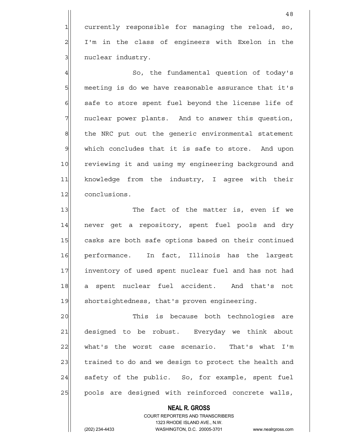1 currently responsible for managing the reload, so, 2 I'm in the class of engineers with Exelon in the 3 | nuclear industry.

4 Aucher So, the fundamental question of today's 5 meeting is do we have reasonable assurance that it's  $6$  safe to store spent fuel beyond the license life of 7 | nuclear power plants. And to answer this question, 8 the NRC put out the generic environmental statement  $9$  which concludes that it is safe to store. And upon 10 reviewing it and using my engineering background and 11 knowledge from the industry, I agree with their 12 conclusions.

13 The fact of the matter is, even if we 14 never get a repository, spent fuel pools and dry 15 casks are both safe options based on their continued 16 performance. In fact, Illinois has the largest 17 inventory of used spent nuclear fuel and has not had 18 a spent nuclear fuel accident. And that's not 19 shortsightedness, that's proven engineering.

20 This is because both technologies are 21 designed to be robust. Everyday we think about 22 what's the worst case scenario. That's what I'm 23 trained to do and we design to protect the health and 24 safety of the public. So, for example, spent fuel 25 pools are designed with reinforced concrete walls,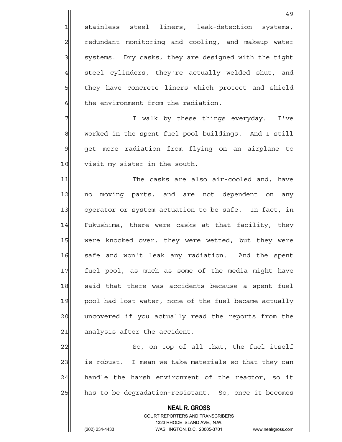1 stainless steel liners, leak-detection systems, 2 redundant monitoring and cooling, and makeup water 3 3 systems. Dry casks, they are designed with the tight  $4$  steel cylinders, they're actually welded shut, and 5 5 5 5 they have concrete liners which protect and shield  $6$  the environment from the radiation.

7 | T walk by these things everyday. I've 8 worked in the spent fuel pool buildings. And I still 9 get more radiation from flying on an airplane to 10 visit my sister in the south.

11 The casks are also air-cooled and, have 12 no moving parts, and are not dependent on any 13 operator or system actuation to be safe. In fact, in 14 Fukushima, there were casks at that facility, they 15 were knocked over, they were wetted, but they were 16 safe and won't leak any radiation. And the spent 17 fuel pool, as much as some of the media might have 18 said that there was accidents because a spent fuel 19 pool had lost water, none of the fuel became actually 20 uncovered if you actually read the reports from the  $21$  analysis after the accident.

22|| So, on top of all that, the fuel itself 23 is robust. I mean we take materials so that they can 24 handle the harsh environment of the reactor, so it 25 has to be degradation-resistant. So, once it becomes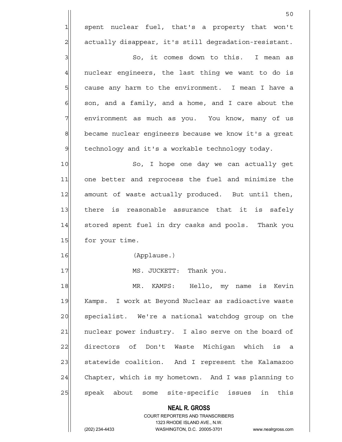1| spent nuclear fuel, that's a property that won't 2 actually disappear, it's still degradation-resistant.

3|| So, it comes down to this. I mean as  $4$  nuclear engineers, the last thing we want to do is 5 | cause any harm to the environment. I mean I have a  $6$  son, and a family, and a home, and I care about the 7 | environment as much as you. You know, many of us 8 became nuclear engineers because we know it's a great 9 technology and it's a workable technology today.

10 So, I hope one day we can actually get 11 one better and reprocess the fuel and minimize the 12 amount of waste actually produced. But until then, 13 there is reasonable assurance that it is safely 14 stored spent fuel in dry casks and pools. Thank you 15 for your time.

16 (Applause.)

17 MS. JUCKETT: Thank you.

18 MR. KAMPS: Hello, my name is Kevin 19 Kamps. I work at Beyond Nuclear as radioactive waste 20 specialist. We're a national watchdog group on the 21 | nuclear power industry. I also serve on the board of 22 directors of Don't Waste Michigan which is a 23 Statewide coalition. And I represent the Kalamazoo 24 Chapter, which is my hometown. And I was planning to 25 speak about some site-specific issues in this

> **NEAL R. GROSS** COURT REPORTERS AND TRANSCRIBERS 1323 RHODE ISLAND AVE., N.W.

(202) 234-4433 WASHINGTON, D.C. 20005-3701 www.nealrgross.com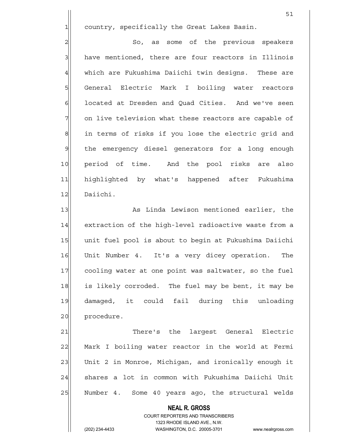1 country, specifically the Great Lakes Basin.

 $51$ 

2 | So, as some of the previous speakers 3 | have mentioned, there are four reactors in Illinois 4 which are Fukushima Daiichi twin designs. These are 5 | General Electric Mark I boiling water reactors 6 6 located at Dresden and Quad Cities. And we've seen 7 on live television what these reactors are capable of 8 in terms of risks if you lose the electric grid and 9 | the emergency diesel generators for a long enough 10 period of time. And the pool risks are also 11 highlighted by what's happened after Fukushima 12 Daiichi.

13 As Linda Lewison mentioned earlier, the 14 extraction of the high-level radioactive waste from a 15 unit fuel pool is about to begin at Fukushima Daiichi 16 Unit Number 4. It's a very dicey operation. The 17 cooling water at one point was saltwater, so the fuel 18 is likely corroded. The fuel may be bent, it may be 19 damaged, it could fail during this unloading 20 procedure.

21 There's the largest General Electric 22 Mark I boiling water reactor in the world at Fermi 23 Unit 2 in Monroe, Michigan, and ironically enough it 24 shares a lot in common with Fukushima Daiichi Unit 25 Number 4. Some 40 years ago, the structural welds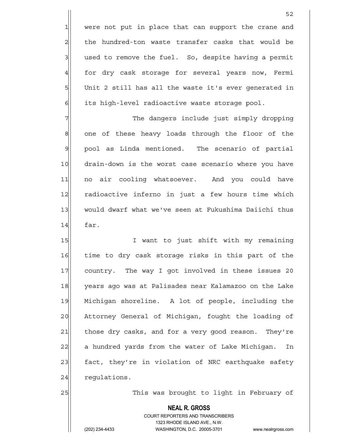$1$  were not put in place that can support the crane and 2 all the hundred-ton waste transfer casks that would be  $3$  used to remove the fuel. So, despite having a permit 4 for dry cask storage for several years now, Fermi 5 Unit 2 still has all the waste it's ever generated in 6 its high-level radioactive waste storage pool.

7 The dangers include just simply dropping 8 one of these heavy loads through the floor of the 9 pool as Linda mentioned. The scenario of partial 10 drain-down is the worst case scenario where you have 11 no air cooling whatsoever. And you could have 12 radioactive inferno in just a few hours time which 13 would dwarf what we've seen at Fukushima Daiichi thus  $14$  far.

15 I want to just shift with my remaining 16 time to dry cask storage risks in this part of the 17 country. The way I got involved in these issues 20 18 years ago was at Palisades near Kalamazoo on the Lake 19 Michigan shoreline. A lot of people, including the 20 Attorney General of Michigan, fought the loading of 21 those dry casks, and for a very good reason. They're 22 a hundred yards from the water of Lake Michigan. In 23 fact, they're in violation of NRC earthquake safety  $24$  requistions.

25 This was brought to light in February of

# **NEAL R. GROSS**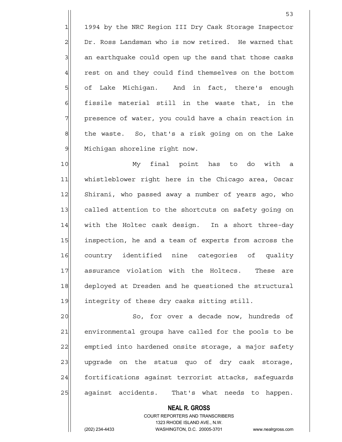1 1994 by the NRC Region III Dry Cask Storage Inspector 2 Dr. Ross Landsman who is now retired. He warned that  $3$  an earthquake could open up the sand that those casks 4 rest on and they could find themselves on the bottom 5 of Lake Michigan. And in fact, there's enough  $6$  fissile material still in the waste that, in the 7| presence of water, you could have a chain reaction in 8 the waste. So, that's a risk going on on the Lake 9 Michigan shoreline right now.

 $53$ 

10 My final point has to do with a 11 whistleblower right here in the Chicago area, Oscar 12 Shirani, who passed away a number of years ago, who 13 called attention to the shortcuts on safety going on 14 with the Holtec cask design. In a short three-day 15 inspection, he and a team of experts from across the 16 country identified nine categories of quality 17 assurance violation with the Holtecs. These are 18 deployed at Dresden and he questioned the structural 19 integrity of these dry casks sitting still.

20 So, for over a decade now, hundreds of 21 environmental groups have called for the pools to be 22 emptied into hardened onsite storage, a major safety 23 | upgrade on the status quo of dry cask storage, 24 fortifications against terrorist attacks, safeguards 25 against accidents. That's what needs to happen.

> **NEAL R. GROSS** COURT REPORTERS AND TRANSCRIBERS 1323 RHODE ISLAND AVE., N.W.

(202) 234-4433 WASHINGTON, D.C. 20005-3701 www.nealrgross.com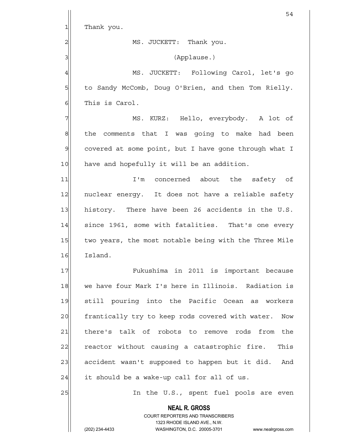|                | 54                                                                                                  |
|----------------|-----------------------------------------------------------------------------------------------------|
| 1              | Thank you.                                                                                          |
| $\overline{c}$ | MS. JUCKETT: Thank you.                                                                             |
| 3              | (Applause.)                                                                                         |
| $\overline{4}$ | MS. JUCKETT: Following Carol, let's go                                                              |
| 5              | to Sandy McComb, Doug O'Brien, and then Tom Rielly.                                                 |
| 6              | This is Carol.                                                                                      |
| 7              | MS. KURZ: Hello, everybody. A lot of                                                                |
| 8              | the comments that I was going to make had been                                                      |
| 9              | covered at some point, but I have gone through what I                                               |
| 10             | have and hopefully it will be an addition.                                                          |
| 11             | concerned about the safety of<br>$I'$ m                                                             |
| 12             | nuclear energy. It does not have a reliable safety                                                  |
| 13             | history. There have been 26 accidents in the U.S.                                                   |
| 14             | since 1961, some with fatalities. That's one every                                                  |
| 15             | two years, the most notable being with the Three Mile                                               |
| 16             | Island.                                                                                             |
| 17             | Fukushima in 2011 is important because                                                              |
| 18             | we have four Mark I's here in Illinois. Radiation is                                                |
| 19             | still pouring into the Pacific Ocean as workers                                                     |
| 20             | frantically try to keep rods covered with water.<br>Now                                             |
| 21             | there's talk of robots to remove rods from<br>the                                                   |
| 22             | reactor without causing a catastrophic fire. This                                                   |
| 23             | accident wasn't supposed to happen but it did.<br>And                                               |
| 24             | it should be a wake-up call for all of us.                                                          |
| 25             | In the U.S., spent fuel pools are even                                                              |
|                | <b>NEAL R. GROSS</b>                                                                                |
|                | <b>COURT REPORTERS AND TRANSCRIBERS</b>                                                             |
|                | 1323 RHODE ISLAND AVE., N.W.<br>(202) 234-4433<br>WASHINGTON, D.C. 20005-3701<br>www.nealrgross.com |
|                |                                                                                                     |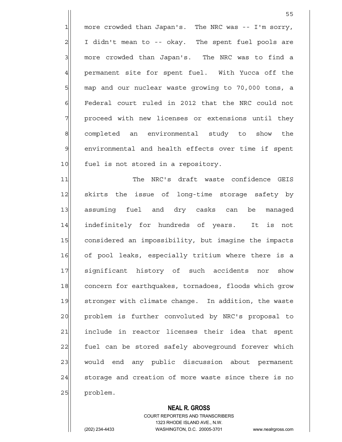1 more crowded than Japan's. The NRC was -- I'm sorry,  $2$  I didn't mean to -- okay. The spent fuel pools are 3 3 more crowded than Japan's. The NRC was to find a 4 permanent site for spent fuel. With Yucca off the 5 map and our nuclear waste growing to 70,000 tons, a 6 Federal court ruled in 2012 that the NRC could not 7 | proceed with new licenses or extensions until they 8 completed an environmental study to show the 9 environmental and health effects over time if spent 10 fuel is not stored in a repository.

11 The NRC's draft waste confidence GEIS 12 skirts the issue of long-time storage safety by 13 assuming fuel and dry casks can be managed 14 indefinitely for hundreds of years. It is not 15 considered an impossibility, but imagine the impacts 16 of pool leaks, especially tritium where there is a 17 significant history of such accidents nor show 18 concern for earthquakes, tornadoes, floods which grow 19 stronger with climate change. In addition, the waste 20 problem is further convoluted by NRC's proposal to 21 | include in reactor licenses their idea that spent 22 fuel can be stored safely aboveground forever which 23 | would end any public discussion about permanent 24 storage and creation of more waste since there is no 25 problem.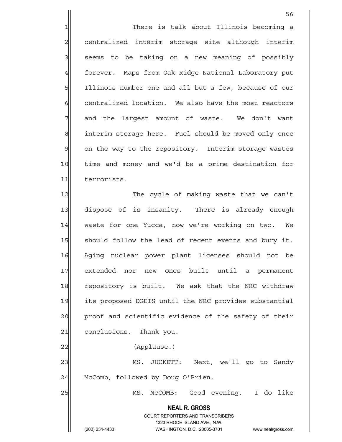1 1 There is talk about Illinois becoming a 2| centralized interim storage site although interim 3 | seems to be taking on a new meaning of possibly 4 forever. Maps from Oak Ridge National Laboratory put 5 Illinois number one and all but a few, because of our 6 6 centralized location. We also have the most reactors  $7$  and the largest amount of waste. We don't want 8 interim storage here. Fuel should be moved only once 9 on the way to the repository. Interim storage wastes 10 time and money and we'd be a prime destination for 11 terrorists.

 $56$ 

12 The cycle of making waste that we can't 13 dispose of is insanity. There is already enough 14 waste for one Yucca, now we're working on two. We 15 Should follow the lead of recent events and bury it. 16 Aging nuclear power plant licenses should not be 17 extended nor new ones built until a permanent 18 repository is built. We ask that the NRC withdraw 19 its proposed DGEIS until the NRC provides substantial 20 proof and scientific evidence of the safety of their 21 conclusions. Thank you.

22 | (Applause.)

23 MS. JUCKETT: Next, we'll go to Sandy 24 McComb, followed by Doug O'Brien.

25 MS. McCOMB: Good evening. I do like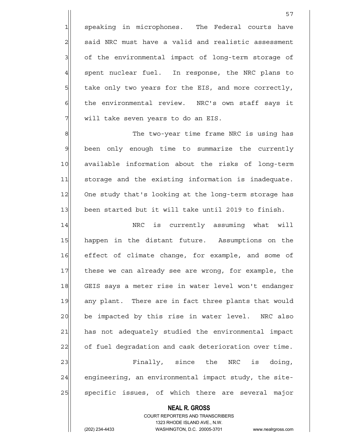1 speaking in microphones. The Federal courts have  $2$  said NRC must have a valid and realistic assessment 3 3 of the environmental impact of long-term storage of 4 spent nuclear fuel. In response, the NRC plans to 5 take only two years for the EIS, and more correctly, 6 the environmental review. NRC's own staff says it 7 | will take seven years to do an EIS.

8|| The two-year time frame NRC is using has 9 been only enough time to summarize the currently 10 available information about the risks of long-term 11 storage and the existing information is inadequate. 12 One study that's looking at the long-term storage has 13 been started but it will take until 2019 to finish.

14 NRC is currently assuming what will 15 happen in the distant future. Assumptions on the 16 effect of climate change, for example, and some of 17 these we can already see are wrong, for example, the 18 GEIS says a meter rise in water level won't endanger 19 any plant. There are in fact three plants that would 20 be impacted by this rise in water level. NRC also 21 has not adequately studied the environmental impact 22 of fuel degradation and cask deterioration over time. 23 Finally, since the NRC is doing,  $24$  engineering, an environmental impact study, the site-25 | specific issues, of which there are several major

> COURT REPORTERS AND TRANSCRIBERS 1323 RHODE ISLAND AVE., N.W. (202) 234-4433 WASHINGTON, D.C. 20005-3701 www.nealrgross.com

 **NEAL R. GROSS**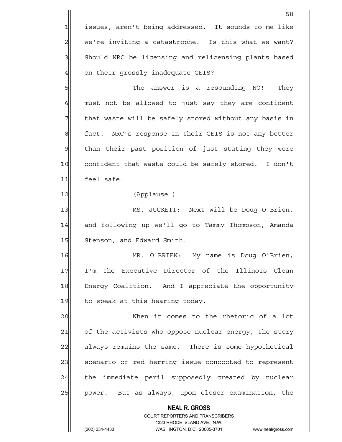1 issues, aren't being addressed. It sounds to me like  $2 \parallel$  we're inviting a catastrophe. Is this what we want? 3 Should NRC be licensing and relicensing plants based 4 on their grossly inadequate GEIS?

5 SM She answer is a resounding NO! They  $6$  must not be allowed to just say they are confident  $7$  that waste will be safely stored without any basis in 8 fact. NRC's response in their GEIS is not any better 9 | than their past position of just stating they were 10 confident that waste could be safely stored. I don't 11 feel safe.

12|| (Applause.)

13 MS. JUCKETT: Next will be Doug O'Brien, 14 and following up we'll go to Tammy Thompson, Amanda 15 Stenson, and Edward Smith.

16 MR. O'BRIEN: My name is Doug O'Brien, 17 I'm the Executive Director of the Illinois Clean 18 Energy Coalition. And I appreciate the opportunity  $19$  to speak at this hearing today.

20 When it comes to the rhetoric of a lot 21 of the activists who oppose nuclear energy, the story 22 always remains the same. There is some hypothetical 23 scenario or red herring issue concocted to represent 24 the immediate peril supposedly created by nuclear 25 | power. But as always, upon closer examination, the

 **NEAL R. GROSS**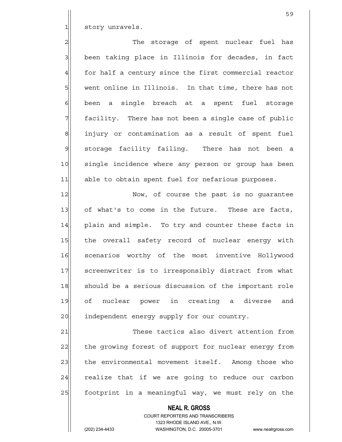1 story unravels.

2 2 The storage of spent nuclear fuel has 3 been taking place in Illinois for decades, in fact 4 for half a century since the first commercial reactor 5 went online in Illinois. In that time, there has not 6 been a single breach at a spent fuel storage 7 Tacility. There has not been a single case of public 8 injury or contamination as a result of spent fuel  $9$  storage facility failing. There has not been a 10 single incidence where any person or group has been 11 able to obtain spent fuel for nefarious purposes.

12 Now, of course the past is no guarantee 13 of what's to come in the future. These are facts, 14 plain and simple. To try and counter these facts in 15 | the overall safety record of nuclear energy with 16 scenarios worthy of the most inventive Hollywood 17 Screenwriter is to irresponsibly distract from what 18 should be a serious discussion of the important role 19 of nuclear power in creating a diverse and 20 independent energy supply for our country.

21 These tactics also divert attention from 22 the growing forest of support for nuclear energy from 23 the environmental movement itself. Among those who  $24$  realize that if we are going to reduce our carbon 25 | footprint in a meaningful way, we must rely on the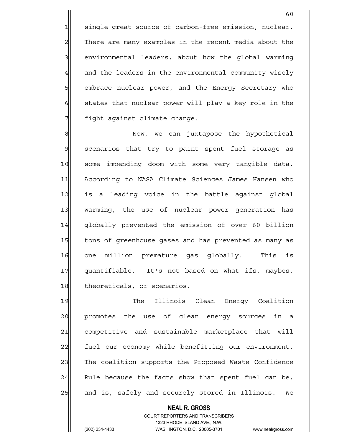1 single great source of carbon-free emission, nuclear. 2 There are many examples in the recent media about the 3 3 and incommental leaders, about how the global warming 4 and the leaders in the environmental community wisely 5 Sembrace nuclear power, and the Energy Secretary who  $6$  states that nuclear power will play a key role in the 7 | fight against climate change.

8| Mow, we can juxtapose the hypothetical 9 scenarios that try to paint spent fuel storage as 10 some impending doom with some very tangible data. 11 According to NASA Climate Sciences James Hansen who 12 is a leading voice in the battle against global 13 warming, the use of nuclear power generation has 14 || globally prevented the emission of over 60 billion 15 tons of greenhouse gases and has prevented as many as 16 one million premature gas globally. This is 17 quantifiable. It's not based on what ifs, maybes, 18 theoreticals, or scenarios.

19 The Illinois Clean Energy Coalition 20 promotes the use of clean energy sources in a 21 competitive and sustainable marketplace that will 22 fuel our economy while benefitting our environment. 23 | The coalition supports the Proposed Waste Confidence  $24$  Rule because the facts show that spent fuel can be, 25 and is, safely and securely stored in Illinois. We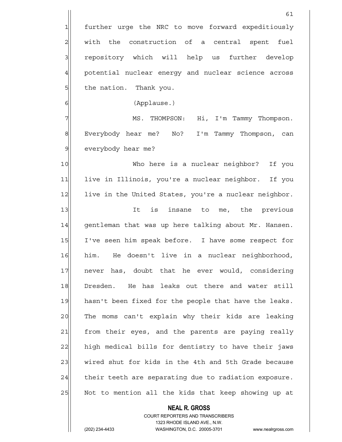**NEAL R. GROSS** COURT REPORTERS AND TRANSCRIBERS 61 1 further urge the NRC to move forward expeditiously 2 | with the construction of a central spent fuel 3 3 repository which will help us further develop 4 potential nuclear energy and nuclear science across 5 5 5 5 b. Fhank you. 6 (Applause.) 7 MS. THOMPSON: Hi, I'm Tammy Thompson. 8 Everybody hear me? No? I'm Tammy Thompson, can 9 everybody hear me? 10 Who here is a nuclear neighbor? If you 11 live in Illinois, you're a nuclear neighbor. If you 12 live in the United States, you're a nuclear neighbor. 13 13 It is insane to me, the previous 14 | gentleman that was up here talking about Mr. Hansen. 15 I've seen him speak before. I have some respect for 16 him. He doesn't live in a nuclear neighborhood, 17 never has, doubt that he ever would, considering 18 Dresden. He has leaks out there and water still 19 hasn't been fixed for the people that have the leaks. 20 The moms can't explain why their kids are leaking 21 from their eyes, and the parents are paying really 22 high medical bills for dentistry to have their jaws 23 wired shut for kids in the 4th and 5th Grade because  $24$  their teeth are separating due to radiation exposure. 25 Not to mention all the kids that keep showing up at

1323 RHODE ISLAND AVE., N.W.

(202) 234-4433 WASHINGTON, D.C. 20005-3701 www.nealrgross.com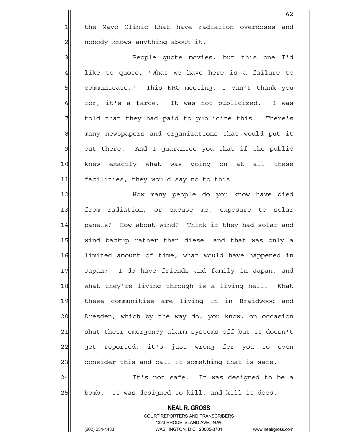1 the Mayo Clinic that have radiation overdoses and 2 | nobody knows anything about it.

3|| People quote movies, but this one I'd  $4$  like to quote, "What we have here is a failure to 5 | communicate." This NRC meeting, I can't thank you 6 for, it's a farce. It was not publicized. I was  $7$  told that they had paid to publicize this. There's 8 many newspapers and organizations that would put it 9 out there. And I quarantee you that if the public 10 knew exactly what was going on at all these 11 facilities, they would say no to this.

12 How many people do you know have died 13 from radiation, or excuse me, exposure to solar 14 panels? How about wind? Think if they had solar and 15 | wind backup rather than diesel and that was only a 16 limited amount of time, what would have happened in 17 Japan? I do have friends and family in Japan, and 18 what they're living through is a living hell. What 19 these communities are living in in Braidwood and 20 Dresden, which by the way do, you know, on occasion 21 Shut their emergency alarm systems off but it doesn't 22 get reported, it's just wrong for you to even 23 consider this and call it something that is safe. 24 It's not safe. It was designed to be a

25 bomb. It was designed to kill, and kill it does.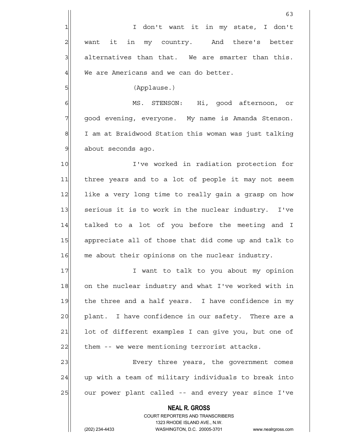|                | 63                                                                  |
|----------------|---------------------------------------------------------------------|
| $\mathbf{1}$   | I don't want it in my state, I don't                                |
| $\overline{c}$ | want it in my country. And there's better                           |
| 3              | alternatives than that. We are smarter than this.                   |
| $\overline{4}$ | We are Americans and we can do better.                              |
| 5              | (Applause.)                                                         |
| 6              | MS. STENSON: Hi, good afternoon, or                                 |
| 7              | good evening, everyone. My name is Amanda Stenson.                  |
| 8              | I am at Braidwood Station this woman was just talking               |
| $\mathfrak{S}$ | about seconds ago.                                                  |
| 10             | I've worked in radiation protection for                             |
| 11             | three years and to a lot of people it may not seem                  |
| 12             | like a very long time to really gain a grasp on how                 |
| 13             | serious it is to work in the nuclear industry. I've                 |
| 14             | talked to a lot of you before the meeting and I                     |
| 15             | appreciate all of those that did come up and talk to                |
| 16             | me about their opinions on the nuclear industry.                    |
| 17             | I want to talk to you about my opinion                              |
| 18             | on the nuclear industry and what I've worked with in                |
| 19             | the three and a half years. I have confidence in my                 |
| 20             | plant. I have confidence in our safety. There are a                 |
| 21             | lot of different examples I can give you, but one of                |
| 22             | them -- we were mentioning terrorist attacks.                       |
| 23             | Every three years, the government comes                             |
| 24             | up with a team of military individuals to break into                |
| 25             | our power plant called -- and every year since I've                 |
|                | <b>NEAL R. GROSS</b>                                                |
|                | <b>COURT REPORTERS AND TRANSCRIBERS</b>                             |
|                | 1323 RHODE ISLAND AVE., N.W.                                        |
|                | (202) 234-4433<br>WASHINGTON, D.C. 20005-3701<br>www.nealrgross.com |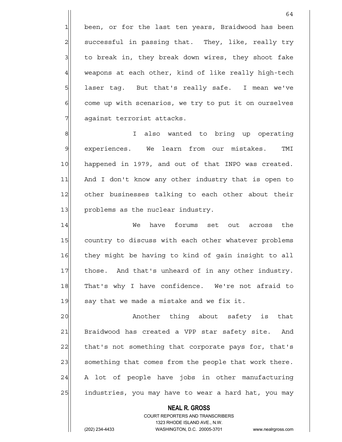1 been, or for the last ten years, Braidwood has been  $2$  successful in passing that. They, like, really try 3 to break in, they break down wires, they shoot fake 4 weapons at each other, kind of like really high-tech 5 | laser tag. But that's really safe. I mean we've 6 6 come up with scenarios, we try to put it on ourselves 7 against terrorist attacks.

8 8 I also wanted to bring up operating 9 experiences. We learn from our mistakes. TMI 10 happened in 1979, and out of that INPO was created. 11 And I don't know any other industry that is open to 12 other businesses talking to each other about their 13 problems as the nuclear industry.

14 We have forums set out across the 15 country to discuss with each other whatever problems 16 they might be having to kind of gain insight to all 17 those. And that's unheard of in any other industry. 18 That's why I have confidence. We're not afraid to  $19$  say that we made a mistake and we fix it.

20 another thing about safety is that 21 Braidwood has created a VPP star safety site. And 22 that's not something that corporate pays for, that's 23 something that comes from the people that work there.  $24$  A lot of people have jobs in other manufacturing 25 | industries, you may have to wear a hard hat, you may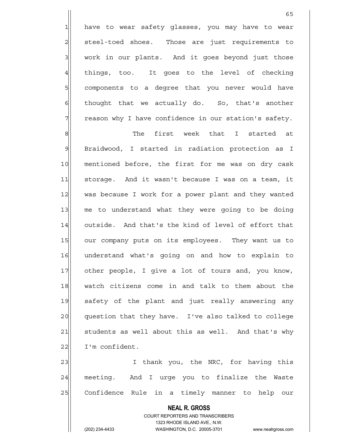1 have to wear safety glasses, you may have to wear 2 steel-toed shoes. Those are just requirements to  $3$  work in our plants. And it goes beyond just those 4 things, too. It goes to the level of checking 5 5 5 5 components to a degree that you never would have  $6$  thought that we actually do. So, that's another 7 The reason why I have confidence in our station's safety.

 $65$ 

8 || She first week that I started at 9 Braidwood, I started in radiation protection as I 10 mentioned before, the first for me was on dry cask 11 storage. And it wasn't because I was on a team, it 12 was because I work for a power plant and they wanted 13 me to understand what they were going to be doing 14 outside. And that's the kind of level of effort that 15 our company puts on its employees. They want us to 16 understand what's going on and how to explain to 17 other people, I give a lot of tours and, you know, 18 watch citizens come in and talk to them about the 19 safety of the plant and just really answering any 20 question that they have. I've also talked to college 21 Students as well about this as well. And that's why 22 | I'm confident.

23 | I thank you, the NRC, for having this 24 meeting. And I urge you to finalize the Waste 25 Confidence Rule in a timely manner to help our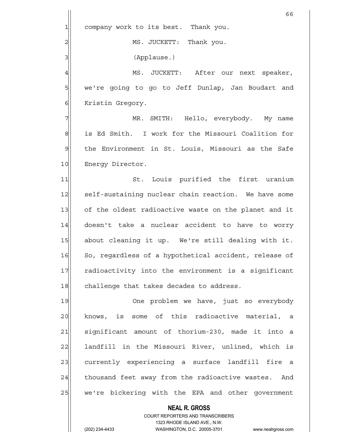**NEAL R. GROSS** COURT REPORTERS AND TRANSCRIBERS  $66$ 1 company work to its best. Thank you. 2| MS. JUCKETT: Thank you. 3|| (Applause.) 4 MS. JUCKETT: After our next speaker, 5 | we're going to go to Jeff Dunlap, Jan Boudart and 6 Kristin Gregory. 7 MR. SMITH: Hello, everybody. My name 8 | Sid Smith. I work for the Missouri Coalition for 9 | the Environment in St. Louis, Missouri as the Safe 10 Energy Director. 11 St. Louis purified the first uranium 12 self-sustaining nuclear chain reaction. We have some 13 of the oldest radioactive waste on the planet and it 14 doesn't take a nuclear accident to have to worry 15 about cleaning it up. We're still dealing with it. 16 So, regardless of a hypothetical accident, release of 17 radioactivity into the environment is a significant 18 challenge that takes decades to address. 19 One problem we have, just so everybody 20 knows, is some of this radioactive material, a 21 significant amount of thorium-230, made it into a 22 landfill in the Missouri River, unlined, which is 23 currently experiencing a surface landfill fire a 24 thousand feet away from the radioactive wastes. And 25 | we're bickering with the EPA and other government

1323 RHODE ISLAND AVE., N.W.

(202) 234-4433 WASHINGTON, D.C. 20005-3701 www.nealrgross.com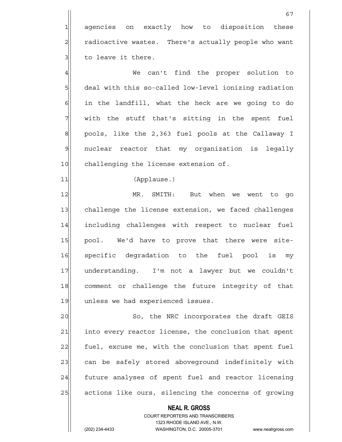1| agencies on exactly how to disposition these 2 radioactive wastes. There's actually people who want  $3$  to leave it there.

4 We can't find the proper solution to 5 6 5 deal with this so-called low-level ionizing radiation  $6$  in the landfill, what the heck are we going to do  $7$  with the stuff that's sitting in the spent fuel 8 pools, like the 2,363 fuel pools at the Callaway I 9 nuclear reactor that my organization is legally 10 challenging the license extension of.

11 (Applause.)

12 MR. SMITH: But when we went to go 13 challenge the license extension, we faced challenges 14 including challenges with respect to nuclear fuel 15 pool. We'd have to prove that there were site-16 specific degradation to the fuel pool is my 17 understanding. I'm not a lawyer but we couldn't 18 comment or challenge the future integrity of that 19 unless we had experienced issues.

20 So, the NRC incorporates the draft GEIS 21 into every reactor license, the conclusion that spent 22 fuel, excuse me, with the conclusion that spent fuel 23 can be safely stored aboveground indefinitely with 24 future analyses of spent fuel and reactor licensing 25 actions like ours, silencing the concerns of growing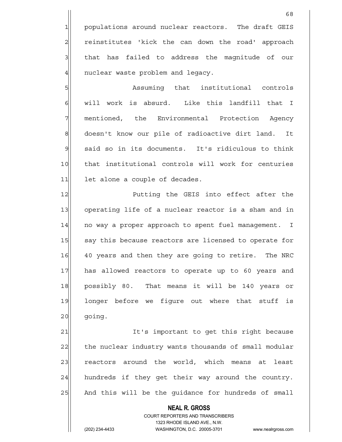1 populations around nuclear reactors. The draft GEIS 2 reinstitutes 'kick the can down the road' approach 3 3 all that has failed to address the magnitude of our  $4$  nuclear waste problem and legacy.

5 **5** Assuming that institutional controls 6 | will work is absurd. Like this landfill that I 7 mentioned, the Environmental Protection Agency 8 doesn't know our pile of radioactive dirt land. It 9 said so in its documents. It's ridiculous to think 10 that institutional controls will work for centuries 11 let alone a couple of decades.

12 Putting the GEIS into effect after the 13 operating life of a nuclear reactor is a sham and in 14 no way a proper approach to spent fuel management. I 15 say this because reactors are licensed to operate for 16 40 years and then they are going to retire. The NRC 17 has allowed reactors to operate up to 60 years and 18 possibly 80. That means it will be 140 years or 19 longer before we figure out where that stuff is 20 going.

21 It's important to get this right because 22 the nuclear industry wants thousands of small modular 23 reactors around the world, which means at least  $24$  hundreds if they get their way around the country. 25 And this will be the guidance for hundreds of small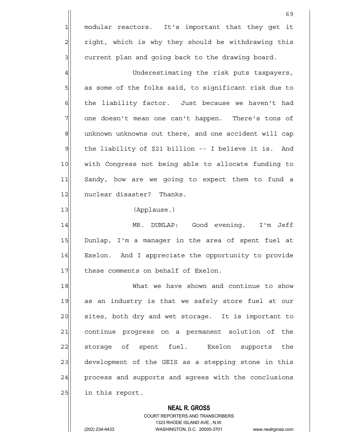1 modular reactors. It's important that they get it 2 right, which is why they should be withdrawing this  $3$  current plan and going back to the drawing board.

4 Underestimating the risk puts taxpayers, 5 as some of the folks said, to significant risk due to 6 6 6 fears in the liability factor. Just because we haven't had 7 one doesn't mean one can't happen. There's tons of 8 8 unknown unknowns out there, and one accident will cap 9 the liability of \$21 billion -- I believe it is. And 10 | with Congress not being able to allocate funding to 11 Sandy, how are we going to expect them to fund a 12 nuclear disaster? Thanks.

13 (Applause.)

14 MR. DUNLAP: Good evening. I'm Jeff 15 Dunlap, I'm a manager in the area of spent fuel at 16 Exelon. And I appreciate the opportunity to provide 17 | these comments on behalf of Exelon.

18 What we have shown and continue to show 19 as an industry is that we safely store fuel at our 20 sites, both dry and wet storage. It is important to 21 continue progress on a permanent solution of the 22 storage of spent fuel. Exelon supports the 23 development of the GEIS as a stepping stone in this 24 process and supports and agrees with the conclusions 25 in this report.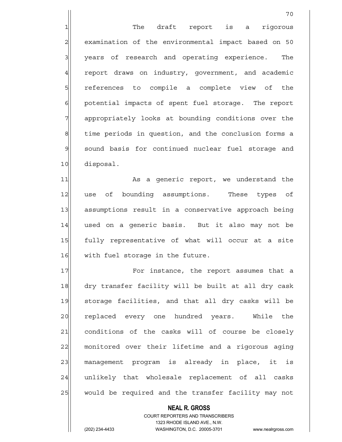1 The draft report is a rigorous 2 examination of the environmental impact based on 50 3 3 years of research and operating experience. The 4 report draws on industry, government, and academic 5 s 5 ferences to compile a complete view of the 6 6 potential impacts of spent fuel storage. The report 7 31 appropriately looks at bounding conditions over the 8 time periods in question, and the conclusion forms a 9 sound basis for continued nuclear fuel storage and 10 disposal.

70

11 and 11 and 11 As a generic report, we understand the 12 use of bounding assumptions. These types of 13 assumptions result in a conservative approach being 14 used on a generic basis. But it also may not be 15 fully representative of what will occur at a site 16 with fuel storage in the future.

17 **For instance, the report assumes that a** 18 dry transfer facility will be built at all dry cask 19 storage facilities, and that all dry casks will be 20 replaced every one hundred years. While the 21 conditions of the casks will of course be closely 22 monitored over their lifetime and a rigorous aging 23 management program is already in place, it is 24 unlikely that wholesale replacement of all casks 25 would be required and the transfer facility may not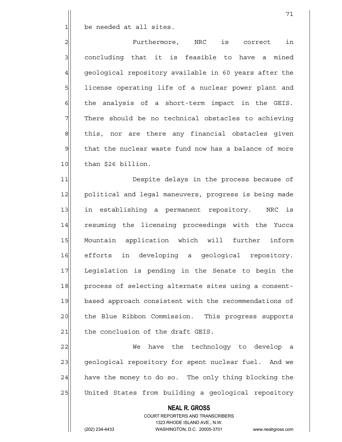1 be needed at all sites.

2 Purthermore, NRC is correct in 3| concluding that it is feasible to have a mined 4 geological repository available in 60 years after the 5 | license operating life of a nuclear power plant and  $6$  the analysis of a short-term impact in the GEIS.  $7$  There should be no technical obstacles to achieving 8 this, nor are there any financial obstacles given  $9$  that the nuclear waste fund now has a balance of more  $10$  than \$26 billion.

11 Despite delays in the process because of 12 political and legal maneuvers, progress is being made 13 in establishing a permanent repository. NRC is 14 resuming the licensing proceedings with the Yucca 15 Mountain application which will further inform 16 efforts in developing a geological repository. 17 Legislation is pending in the Senate to begin the 18 process of selecting alternate sites using a consent-19 based approach consistent with the recommendations of 20 the Blue Ribbon Commission. This progress supports 21 | the conclusion of the draft GEIS.

22 We have the technology to develop a 23 geological repository for spent nuclear fuel. And we  $24$  have the money to do so. The only thing blocking the 25 United States from building a geological repository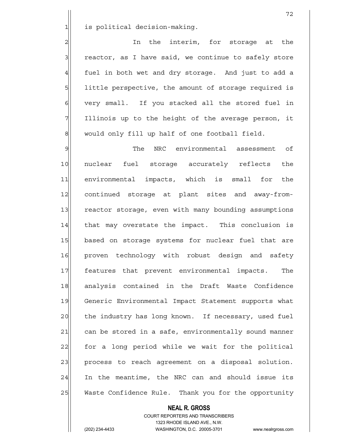1 is political decision-making.

2 2 In the interim, for storage at the  $3$  reactor, as I have said, we continue to safely store  $4$  fuel in both wet and dry storage. And just to add a 5 1ittle perspective, the amount of storage required is 6 very small. If you stacked all the stored fuel in 7 Illinois up to the height of the average person, it  $8$  would only fill up half of one football field.

9 I Georgian The NRC environmental assessment of 10 nuclear fuel storage accurately reflects the 11| environmental impacts, which is small for the 12 continued storage at plant sites and away-from-13 reactor storage, even with many bounding assumptions 14 | that may overstate the impact. This conclusion is 15 based on storage systems for nuclear fuel that are 16 proven technology with robust design and safety 17 features that prevent environmental impacts. The 18 analysis contained in the Draft Waste Confidence 19 Generic Environmental Impact Statement supports what 20 the industry has long known. If necessary, used fuel 21 can be stored in a safe, environmentally sound manner 22 for a long period while we wait for the political 23 | process to reach agreement on a disposal solution. 24 In the meantime, the NRC can and should issue its 25 Waste Confidence Rule. Thank you for the opportunity

### **NEAL R. GROSS**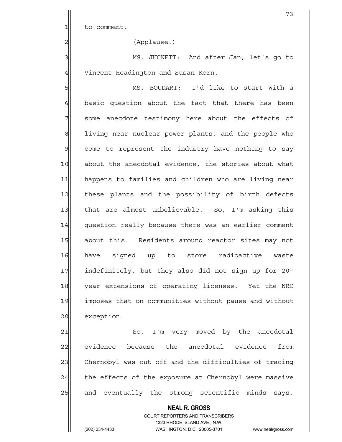$1$  to comment.

2 (Applause.)

3 MS. JUCKETT: And after Jan, let's go to 4 Vincent Headington and Susan Korn.

5 MS. BOUDART: I'd like to start with a  $6$  basic question about the fact that there has been 7 some anecdote testimony here about the effects of 8 8 living near nuclear power plants, and the people who 9 come to represent the industry have nothing to say 10 about the anecdotal evidence, the stories about what 11 happens to families and children who are living near 12 these plants and the possibility of birth defects 13 that are almost unbelievable. So, I'm asking this 14 question really because there was an earlier comment 15 about this. Residents around reactor sites may not 16 have signed up to store radioactive waste 17 indefinitely, but they also did not sign up for 20-18 year extensions of operating licenses. Yet the NRC 19 imposes that on communities without pause and without 20 exception.

21 So, I'm very moved by the anecdotal 22 evidence because the anecdotal evidence from 23 Chernobyl was cut off and the difficulties of tracing  $24$  the effects of the exposure at Chernobyl were massive 25 and eventually the strong scientific minds says,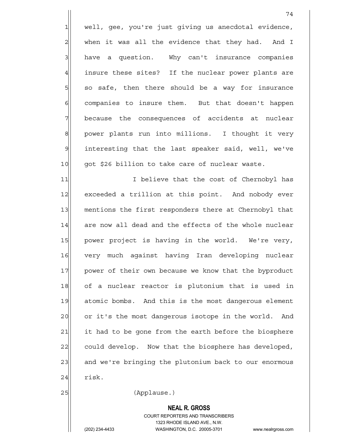1 well, gee, you're just giving us anecdotal evidence,  $2$  when it was all the evidence that they had. And I  $3$  have a question. Why can't insurance companies 4 insure these sites? If the nuclear power plants are  $5$  so safe, then there should be a way for insurance  $6$  companies to insure them. But that doesn't happen 7 because the consequences of accidents at nuclear 8 power plants run into millions. I thought it very 9 interesting that the last speaker said, well, we've 10 got \$26 billion to take care of nuclear waste.

11 11 I believe that the cost of Chernobyl has 12 exceeded a trillion at this point. And nobody ever 13 mentions the first responders there at Chernobyl that 14 are now all dead and the effects of the whole nuclear 15 power project is having in the world. We're very, 16 very much against having Iran developing nuclear 17 power of their own because we know that the byproduct 18 of a nuclear reactor is plutonium that is used in 19 atomic bombs. And this is the most dangerous element 20 or it's the most dangerous isotope in the world. And 21 it had to be gone from the earth before the biosphere 22 could develop. Now that the biosphere has developed, 23 and we're bringing the plutonium back to our enormous  $24$  risk.

25 (Applause.)

 **NEAL R. GROSS**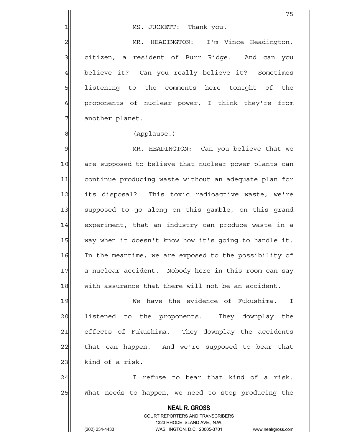2 MR. HEADINGTON: I'm Vince Headington, 3 3 citizen, a resident of Burr Ridge. And can you 4 believe it? Can you really believe it? Sometimes 5 | listening to the comments here tonight of the  $6$  proponents of nuclear power, I think they're from 7 another planet.

### 8|| (Applause.)

9 MR. HEADINGTON: Can you believe that we 10 are supposed to believe that nuclear power plants can 11 continue producing waste without an adequate plan for 12 its disposal? This toxic radioactive waste, we're 13 supposed to go along on this gamble, on this grand 14 experiment, that an industry can produce waste in a 15 way when it doesn't know how it's going to handle it. 16 In the meantime, we are exposed to the possibility of 17 a nuclear accident. Nobody here in this room can say 18 with assurance that there will not be an accident.

19 We have the evidence of Fukushima. I 20 listened to the proponents. They downplay the 21 effects of Fukushima. They downplay the accidents 22 that can happen. And we're supposed to bear that  $23$  kind of a risk.

24 I refuse to bear that kind of a risk. 25 What needs to happen, we need to stop producing the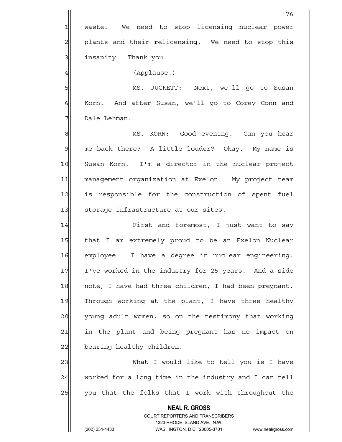1 waste. We need to stop licensing nuclear power 2 plants and their relicensing. We need to stop this 3 | insanity. Thank you.

4 (Applause.)

5 MS. JUCKETT: Next, we'll go to Susan  $6$  Korn. And after Susan, we'll go to Corey Conn and 7 Dale Lehman.

8 MS. KORN: Good evening. Can you hear 9 me back there? A little louder? Okay. My name is 10 Susan Korn. I'm a director in the nuclear project 11 management organization at Exelon. My project team 12 is responsible for the construction of spent fuel 13 storage infrastructure at our sites.

14 First and foremost, I just want to say 15 | that I am extremely proud to be an Exelon Nuclear 16 employee. I have a degree in nuclear engineering. 17 I've worked in the industry for 25 years. And a side 18 note, I have had three children, I had been pregnant. 19 Through working at the plant, I have three healthy 20 young adult women, so on the testimony that working 21 in the plant and being pregnant has no impact on 22 bearing healthy children.

23 What I would like to tell you is I have  $24$  worked for a long time in the industry and I can tell  $25$  you that the folks that I work with throughout the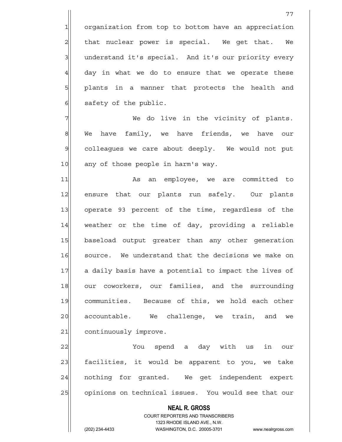1 organization from top to bottom have an appreciation  $2$  that nuclear power is special. We get that. We 3 3 understand it's special. And it's our priority every  $4$  day in what we do to ensure that we operate these 5 plants in a manner that protects the health and 6 safety of the public.

 $7$   $\parallel$  We do live in the vicinity of plants. 8 We have family, we have friends, we have our 9 colleagues we care about deeply. We would not put 10 any of those people in harm's way.

11 and As an employee, we are committed to 12 ensure that our plants run safely. Our plants 13 operate 93 percent of the time, regardless of the 14 weather or the time of day, providing a reliable 15 baseload output greater than any other generation 16 source. We understand that the decisions we make on 17 a daily basis have a potential to impact the lives of 18 our coworkers, our families, and the surrounding 19 communities. Because of this, we hold each other 20 accountable. We challenge, we train, and we 21 continuously improve.

22 You spend a day with us in our 23 facilities, it would be apparent to you, we take 24 | nothing for granted. We get independent expert 25 opinions on technical issues. You would see that our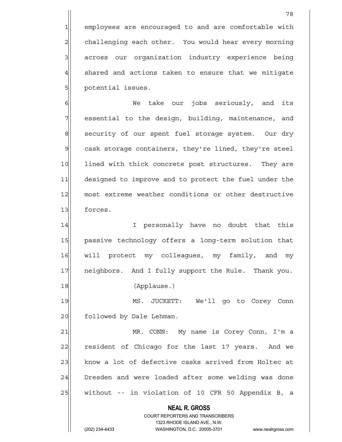1 employees are encouraged to and are comfortable with 2 challenging each other. You would hear every morning 3 3 across our organization industry experience being  $4$  shared and actions taken to ensure that we mitigate 5| potential issues.

6 Me take our jobs seriously, and its 7 | essential to the design, building, maintenance, and 8 security of our spent fuel storage system. Our dry 9 cask storage containers, they're lined, they're steel 10 lined with thick concrete post structures. They are 11 designed to improve and to protect the fuel under the 12 most extreme weather conditions or other destructive 13 forces.

14 I personally have no doubt that this 15 | passive technology offers a long-term solution that 16 will protect my colleagues, my family, and my 17 | neighbors. And I fully support the Rule. Thank you. 18 (Applause.)

19 MS. JUCKETT: We'll go to Corey Conn 20 followed by Dale Lehman.

21 MR. CONN: My name is Corey Conn, I'm a 22 resident of Chicago for the last 17 years. And we 23 know a lot of defective casks arrived from Holtec at 24 Dresden and were loaded after some welding was done  $25$  without -- in violation of 10 CFR 50 Appendix B, a

> **NEAL R. GROSS** COURT REPORTERS AND TRANSCRIBERS 1323 RHODE ISLAND AVE., N.W.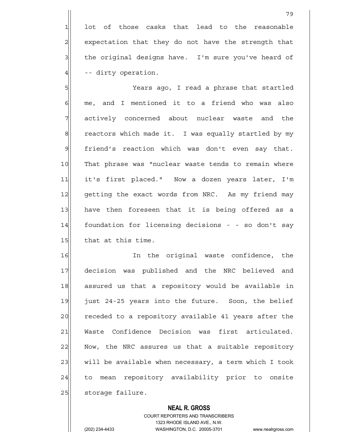lot of those casks that lead to the reasonable 2 expectation that they do not have the strength that the original designs have. I'm sure you've heard of -- dirty operation.

5 Years ago, I read a phrase that startled  $6$  me, and I mentioned it to a friend who was also 7 actively concerned about nuclear waste and the  $8$  reactors which made it. I was equally startled by my  $9$  friend's reaction which was don't even say that. 10 That phrase was "nuclear waste tends to remain where 11 it's first placed." Now a dozen years later, I'm 12 getting the exact words from NRC. As my friend may 13 have then foreseen that it is being offered as a 14 foundation for licensing decisions - - so don't say 15 that at this time.

16 16 In the original waste confidence, the 17 decision was published and the NRC believed and 18 assured us that a repository would be available in 19 just 24-25 years into the future. Soon, the belief 20 receded to a repository available 41 years after the 21 Waste Confidence Decision was first articulated. 22 Now, the NRC assures us that a suitable repository 23 will be available when necessary, a term which I took 24 to mean repository availability prior to onsite 25 | storage failure.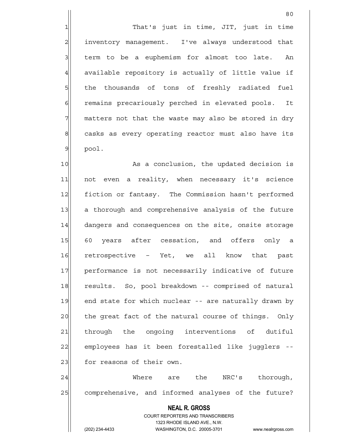2| inventory management. I've always understood that  $3$  term to be a euphemism for almost too late. An  $4$  available repository is actually of little value if 5 5 5 5 the thousands of tons of freshly radiated fuel 6 6 6 6 remains precariously perched in elevated pools. It 7 matters not that the waste may also be stored in dry 8 8 casks as every operating reactor must also have its  $9$  pool.

<u>80</u>

10 As a conclusion, the updated decision is 11 not even a reality, when necessary it's science 12 fiction or fantasy. The Commission hasn't performed 13 a thorough and comprehensive analysis of the future 14 dangers and consequences on the site, onsite storage 15 60 years after cessation, and offers only a 16 retrospective – Yet, we all know that past 17 performance is not necessarily indicative of future 18 results. So, pool breakdown -- comprised of natural 19 end state for which nuclear -- are naturally drawn by 20 the great fact of the natural course of things. Only 21 through the ongoing interventions of dutiful 22 employees has it been forestalled like jugglers --23 for reasons of their own.

24 Where are the NRC's thorough, 25 comprehensive, and informed analyses of the future?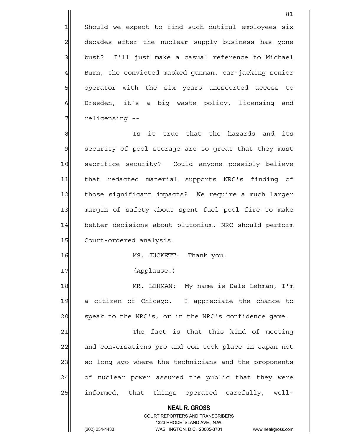1 Should we expect to find such dutiful employees six 2 decades after the nuclear supply business has gone 3 bust? I'll just make a casual reference to Michael  $4$  Burn, the convicted masked qunman, car-jacking senior 5 | operator with the six years unescorted access to 6 Dresden, it's a big waste policy, licensing and 7 relicensing --

81

8 8 Is it true that the hazards and its 9 security of pool storage are so great that they must 10 sacrifice security? Could anyone possibly believe 11 that redacted material supports NRC's finding of 12 those significant impacts? We require a much larger 13 margin of safety about spent fuel pool fire to make 14 better decisions about plutonium, NRC should perform 15 Court-ordered analysis.

16 MS. JUCKETT: Thank you.

17 (Applause.)

18 MR. LEHMAN: My name is Dale Lehman, I'm 19 a citizen of Chicago. I appreciate the chance to 20 speak to the NRC's, or in the NRC's confidence game.

21 The fact is that this kind of meeting 22 and conversations pro and con took place in Japan not 23 so long ago where the technicians and the proponents 24 of nuclear power assured the public that they were 25 | informed, that things operated carefully, well-

 **NEAL R. GROSS**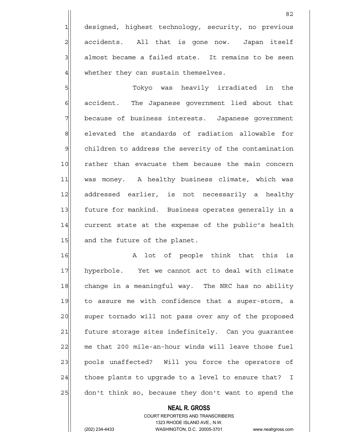1 designed, highest technology, security, no previous 2 accidents. All that is gone now. Japan itself  $3$  almost became a failed state. It remains to be seen  $4$  whether they can sustain themselves.

5|| Tokyo was heavily irradiated in the 6 6 6 6 accident. The Japanese government lied about that 7 because of business interests. Japanese government 8 8 elevated the standards of radiation allowable for 9| children to address the severity of the contamination 10 rather than evacuate them because the main concern 11 was money. A healthy business climate, which was 12 addressed earlier, is not necessarily a healthy 13 future for mankind. Business operates generally in a 14 current state at the expense of the public's health 15 and the future of the planet.

16 A lot of people think that this is 17 hyperbole. Yet we cannot act to deal with climate 18 change in a meaningful way. The NRC has no ability 19 to assure me with confidence that a super-storm, a 20 super tornado will not pass over any of the proposed 21 future storage sites indefinitely. Can you quarantee 22 me that 200 mile-an-hour winds will leave those fuel 23 pools unaffected? Will you force the operators of  $24$  those plants to upgrade to a level to ensure that? I 25 don't think so, because they don't want to spend the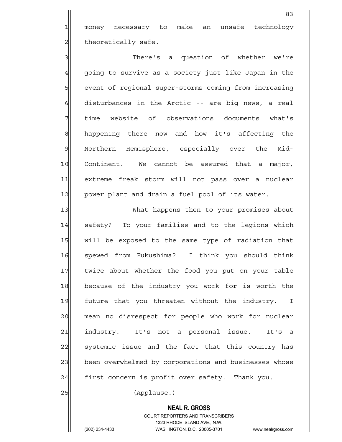1 money necessary to make an unsafe technology  $2$  theoretically safe.

3 3 3 There's a question of whether we're 4 going to survive as a society just like Japan in the 5 | state of regional super-storms coming from increasing  $6$  disturbances in the Arctic -- are big news, a real 7 time website of observations documents what's 8 happening there now and how it's affecting the 9 Northern Hemisphere, especially over the Mid-10 Continent. We cannot be assured that a major, 11 extreme freak storm will not pass over a nuclear 12 power plant and drain a fuel pool of its water.

13 What happens then to your promises about 14 safety? To your families and to the legions which 15 | will be exposed to the same type of radiation that 16 spewed from Fukushima? I think you should think 17 twice about whether the food you put on your table 18 because of the industry you work for is worth the 19 future that you threaten without the industry. I 20 mean no disrespect for people who work for nuclear 21 industry. It's not a personal issue. It's a 22 systemic issue and the fact that this country has 23 been overwhelmed by corporations and businesses whose  $24$  first concern is profit over safety. Thank you.

25 (Applause.)

#### **NEAL R. GROSS**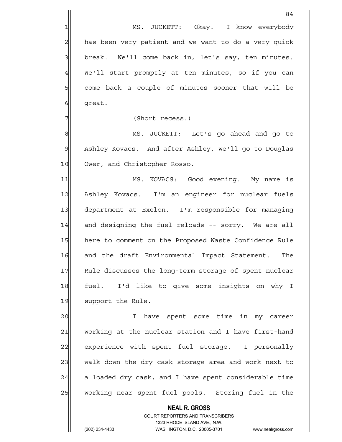4| We'll start promptly at ten minutes, so if you can 5 Some back a couple of minutes sooner that will be 6 great.

84

7 (Short recess.)

8 MS. JUCKETT: Let's go ahead and go to 9 Ashley Kovacs. And after Ashley, we'll go to Douglas 10 Ower, and Christopher Rosso.

11 MS. KOVACS: Good evening. My name is 12 Ashley Kovacs. I'm an engineer for nuclear fuels 13 department at Exelon. I'm responsible for managing 14 and designing the fuel reloads -- sorry. We are all 15 here to comment on the Proposed Waste Confidence Rule 16 and the draft Environmental Impact Statement. The 17 Rule discusses the long-term storage of spent nuclear 18 fuel. I'd like to give some insights on why I 19 support the Rule.

20 I have spent some time in my career 21 working at the nuclear station and I have first-hand 22 experience with spent fuel storage. I personally 23 walk down the dry cask storage area and work next to  $24$  a loaded dry cask, and I have spent considerable time 25 | working near spent fuel pools. Storing fuel in the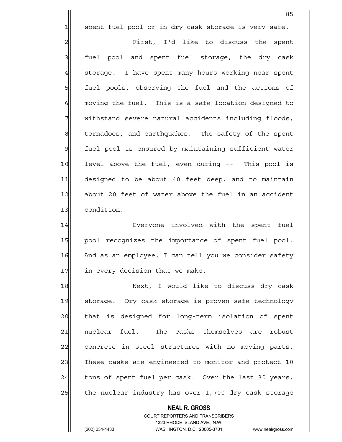1 spent fuel pool or in dry cask storage is very safe.

2 Pirst, I'd like to discuss the spent 3 | fuel pool and spent fuel storage, the dry cask 4 storage. I have spent many hours working near spent 5 | fuel pools, observing the fuel and the actions of  $6$  moving the fuel. This is a safe location designed to 7 | withstand severe natural accidents including floods, 8| tornadoes, and earthquakes. The safety of the spent 9 fuel pool is ensured by maintaining sufficient water 10 level above the fuel, even during -- This pool is 11 designed to be about 40 feet deep, and to maintain 12 about 20 feet of water above the fuel in an accident 13 condition.

14 Everyone involved with the spent fuel 15 | pool recognizes the importance of spent fuel pool. 16 And as an employee, I can tell you we consider safety 17 in every decision that we make.

18 Next, I would like to discuss dry cask 19 storage. Dry cask storage is proven safe technology 20 that is designed for long-term isolation of spent 21 | nuclear fuel. The casks themselves are robust 22 concrete in steel structures with no moving parts. 23 These casks are engineered to monitor and protect 10 24 tons of spent fuel per cask. Over the last 30 years, 25 the nuclear industry has over 1,700 dry cask storage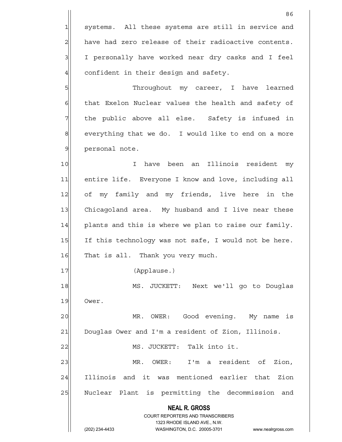**NEAL R. GROSS** COURT REPORTERS AND TRANSCRIBERS 1323 RHODE ISLAND AVE., N.W. <u>86 and 2001 and 2002 and 2003 and 2003 and 2003 and 2003 and 2003 and 2003 and 2003 and 2003 and 2003 and 200</u> 1 systems. All these systems are still in service and  $2$  have had zero release of their radioactive contents. 3| I personally have worked near dry casks and I feel  $4$  confident in their design and safety. 5 SM Shroughout my career, I have learned  $6$  that Exelon Nuclear values the health and safety of 7 The public above all else. Safety is infused in  $8$  everything that we do. I would like to end on a more 9 | personal note. 10 I have been an Illinois resident my 11 entire life. Everyone I know and love, including all 12 of my family and my friends, live here in the 13 Chicagoland area. My husband and I live near these  $14$  plants and this is where we plan to raise our family. 15 If this technology was not safe, I would not be here. 16 That is all. Thank you very much. 17 (Applause.) 18 MS. JUCKETT: Next we'll go to Douglas 19 Ower. 20 | MR. OWER: Good evening. My name is 21 Douglas Ower and I'm a resident of Zion, Illinois. 22 | MS. JUCKETT: Talk into it. 23 | MR. OWER: I'm a resident of Zion, 24 Illinois and it was mentioned earlier that Zion 25 | Nuclear Plant is permitting the decommission and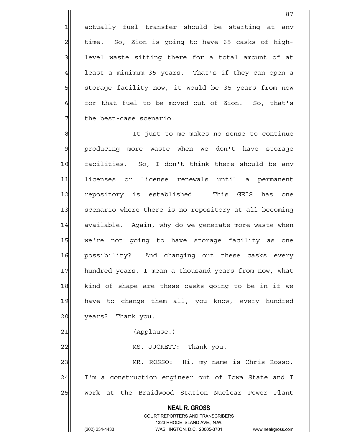1 actually fuel transfer should be starting at any time. So, Zion is going to have 65 casks of high- level waste sitting there for a total amount of at least a minimum 35 years. That's if they can open a 5 storage facility now, it would be 35 years from now for that fuel to be moved out of Zion. So, that's the best-case scenario.

87

8 8 8 It just to me makes no sense to continue 9 producing more waste when we don't have storage 10 facilities. So, I don't think there should be any 11 licenses or license renewals until a permanent 12 repository is established. This GEIS has one 13 scenario where there is no repository at all becoming 14 available. Again, why do we generate more waste when 15 we're not going to have storage facility as one 16 possibility? And changing out these casks every 17 hundred years, I mean a thousand years from now, what 18 kind of shape are these casks going to be in if we 19 have to change them all, you know, every hundred 20 years? Thank you. 21 (Applause.) 22 | MS. JUCKETT: Thank you.

23 MR. ROSSO: Hi, my name is Chris Rosso. 24 I'm a construction engineer out of Iowa State and I 25 work at the Braidwood Station Nuclear Power Plant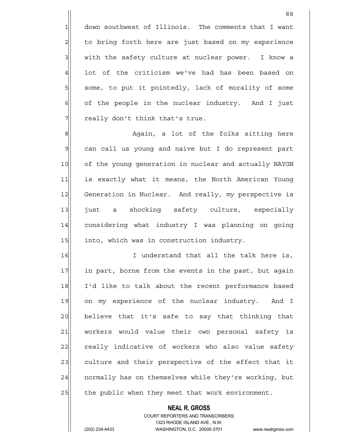1 down southwest of Illinois. The comments that I want 2 to bring forth here are just based on my experience  $3$  with the safety culture at nuclear power. I know a  $4$  lot of the criticism we've had has been based on 5 some, to put it pointedly, lack of morality of some  $6$  of the people in the nuclear industry. And I just  $7$  really don't think that's true.

8 8 Again, a lot of the folks sitting here 9 can call us young and naive but I do represent part 10 of the young generation in nuclear and actually NAYGN 11 is exactly what it means, the North American Young 12 Generation in Nuclear. And really, my perspective is 13 just a shocking safety culture, especially 14 considering what industry I was planning on going 15 15 into, which was in construction industry.

16 I understand that all the talk here is, 17 in part, borne from the events in the past, but again 18 I'd like to talk about the recent performance based 19 on my experience of the nuclear industry. And I 20 believe that it's safe to say that thinking that 21 workers would value their own personal safety is 22 really indicative of workers who also value safety 23 culture and their perspective of the effect that it 24 | normally has on themselves while they're working, but 25 the public when they meet that work environment.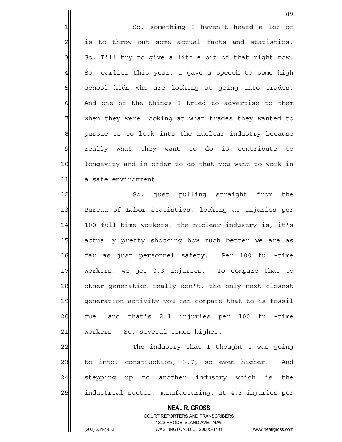1 So, something I haven't heard a lot of  $2$  is to throw out some actual facts and statistics.  $3$  So, I'll try to give a little bit of that right now.  $4$  So, earlier this year, I gave a speech to some high 5 | school kids who are looking at going into trades.  $6$  And one of the things I tried to advertise to them 7 When they were looking at what trades they wanted to 8 pursue is to look into the nuclear industry because 9 really what they want to do is contribute to 10 longevity and in order to do that you want to work in 11 a safe environment.

12 So, just pulling straight from the 13 Bureau of Labor Statistics, looking at injuries per 14 100 full-time workers, the nuclear industry is, it's 15 actually pretty shocking how much better we are as 16 far as just personnel safety. Per 100 full-time 17 workers, we get 0.3 injuries. To compare that to 18 other generation really don't, the only next closest 19 generation activity you can compare that to is fossil 20 fuel and that's 2.1 injuries per 100 full-time 21 | workers. So, several times higher.

22|| The industry that I thought I was going  $23$  to into, construction, 3.7, so even higher. And 24 stepping up to another industry which is the 25 | industrial sector, manufacturing, at 4.3 injuries per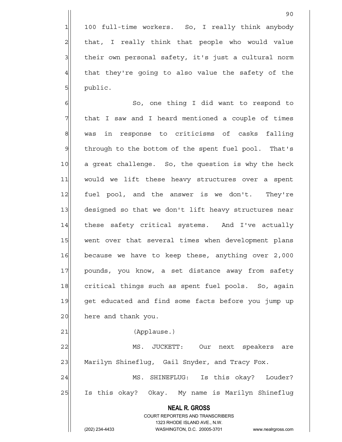1 100 full-time workers. So, I really think anybody 2 | that, I really think that people who would value 3 | their own personal safety, it's just a cultural norm  $4$  that they're going to also value the safety of the 5 | public.

90

6 | So, one thing I did want to respond to  $7$  that I saw and I heard mentioned a couple of times 8 was in response to criticisms of casks falling 9 through to the bottom of the spent fuel pool. That's 10 a great challenge. So, the question is why the heck 11 would we lift these heavy structures over a spent 12 fuel pool, and the answer is we don't. They're 13 designed so that we don't lift heavy structures near 14 these safety critical systems. And I've actually 15 went over that several times when development plans 16 because we have to keep these, anything over 2,000 17 pounds, you know, a set distance away from safety 18 critical things such as spent fuel pools. So, again 19 get educated and find some facts before you jump up 20 here and thank you.

21 (Applause.)

22 MS. JUCKETT: Our next speakers are 23 Marilyn Shineflug, Gail Snyder, and Tracy Fox.

24 MS. SHINEFLUG: Is this okay? Louder? 25 Is this okay? Okay. My name is Marilyn Shineflug

> **NEAL R. GROSS** COURT REPORTERS AND TRANSCRIBERS

 1323 RHODE ISLAND AVE., N.W. (202) 234-4433 WASHINGTON, D.C. 20005-3701 www.nealrgross.com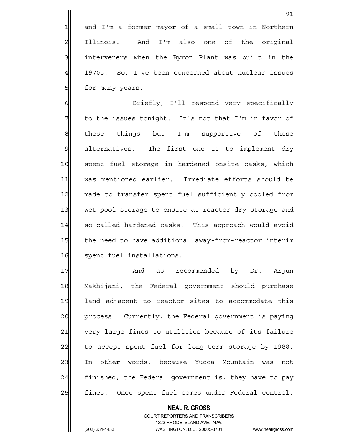1 and I'm a former mayor of a small town in Northern 2 Illinois. And I'm also one of the original 3 3 interveners when the Byron Plant was built in the

4 1970s. So, I've been concerned about nuclear issues 5 5 for many years.

6 Briefly, I'll respond very specifically 7 The issues tonight. It's not that I'm in favor of 8 | Bothese things but I'm supportive of these  $\mathfrak{A}$  alternatives. The first one is to implement dry 10 spent fuel storage in hardened onsite casks, which 11 was mentioned earlier. Immediate efforts should be 12 made to transfer spent fuel sufficiently cooled from 13 wet pool storage to onsite at-reactor dry storage and 14 so-called hardened casks. This approach would avoid 15 the need to have additional away-from-reactor interim 16 spent fuel installations.

17 and as recommended by Dr. Arjun 18 Makhijani, the Federal government should purchase 19 land adjacent to reactor sites to accommodate this 20 process. Currently, the Federal government is paying 21 very large fines to utilities because of its failure 22 to accept spent fuel for long-term storage by 1988. 23 In other words, because Yucca Mountain was not  $24$  finished, the Federal government is, they have to pay 25 | fines. Once spent fuel comes under Federal control,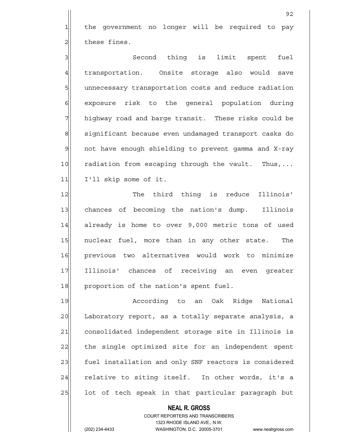1 the government no longer will be required to pay  $2$  these fines.

3 || Second thing is limit spent fuel 4 transportation. Onsite storage also would save 5 5 5 5 b unnecessary transportation costs and reduce radiation 6 6 6 exposure risk to the general population during 7 highway road and barge transit. These risks could be 8 significant because even undamaged transport casks do  $9$  not have enough shielding to prevent gamma and X-ray 10 radiation from escaping through the vault. Thus,... 11 I'll skip some of it.

12 The third thing is reduce Illinois' 13 chances of becoming the nation's dump. Illinois 14 already is home to over 9,000 metric tons of used 15 | nuclear fuel, more than in any other state. The 16 previous two alternatives would work to minimize 17 Illinois' chances of receiving an even greater 18 proportion of the nation's spent fuel.

19 according to an Oak Ridge National 20 Laboratory report, as a totally separate analysis, a 21 consolidated independent storage site in Illinois is 22 the single optimized site for an independent spent 23 fuel installation and only SNF reactors is considered  $24$  relative to siting itself. In other words, it's a 25 lot of tech speak in that particular paragraph but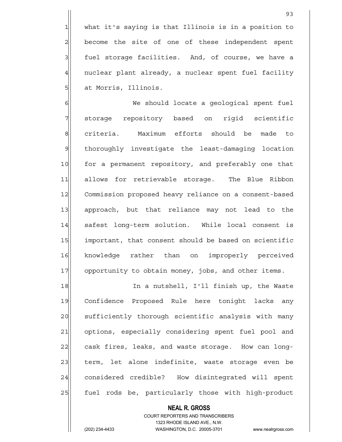1 what it's saying is that Illinois is in a position to 2 become the site of one of these independent spent 3 3 fuel storage facilities. And, of course, we have a 4 nuclear plant already, a nuclear spent fuel facility 5 at Morris, Illinois.

6 Me should locate a geological spent fuel 7 storage repository based on rigid scientific 8 criteria. Maximum efforts should be made to 9 thoroughly investigate the least-damaging location 10 for a permanent repository, and preferably one that 11| allows for retrievable storage. The Blue Ribbon 12 Commission proposed heavy reliance on a consent-based 13 approach, but that reliance may not lead to the 14 safest long-term solution. While local consent is 15 important, that consent should be based on scientific 16 knowledge rather than on improperly perceived 17 opportunity to obtain money, jobs, and other items.

18 In a nutshell, I'll finish up, the Waste 19 Confidence Proposed Rule here tonight lacks any 20 sufficiently thorough scientific analysis with many 21 options, especially considering spent fuel pool and 22 cask fires, leaks, and waste storage. How can long-23 term, let alone indefinite, waste storage even be 24 considered credible? How disintegrated will spent 25 | fuel rods be, particularly those with high-product

> COURT REPORTERS AND TRANSCRIBERS 1323 RHODE ISLAND AVE., N.W. (202) 234-4433 WASHINGTON, D.C. 20005-3701 www.nealrgross.com

 **NEAL R. GROSS**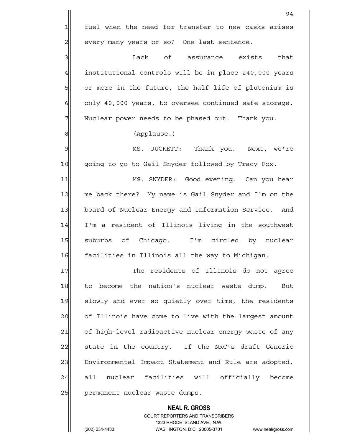**NEAL R. GROSS** COURT REPORTERS AND TRANSCRIBERS 94  $1$  fuel when the need for transfer to new casks arises 2 every many years or so? One last sentence. 3 Lack of assurance exists that 4 institutional controls will be in place 240,000 years 5| or more in the future, the half life of plutonium is  $6$  only 40,000 years, to oversee continued safe storage. 7 Nuclear power needs to be phased out. Thank you. 8 (Applause.) 9 MS. JUCKETT: Thank you. Next, we're 10 going to go to Gail Snyder followed by Tracy Fox. 11 MS. SNYDER: Good evening. Can you hear 12 me back there? My name is Gail Snyder and I'm on the 13 board of Nuclear Energy and Information Service. And 14 I'm a resident of Illinois living in the southwest 15 suburbs of Chicago. I'm circled by nuclear 16 facilities in Illinois all the way to Michigan. 17 The residents of Illinois do not agree 18 to become the nation's nuclear waste dump. But 19 slowly and ever so quietly over time, the residents 20 of Illinois have come to live with the largest amount 21 of high-level radioactive nuclear energy waste of any 22 state in the country. If the NRC's draft Generic 23 | Environmental Impact Statement and Rule are adopted, 24 all nuclear facilities will officially become 25 permanent nuclear waste dumps.

1323 RHODE ISLAND AVE., N.W.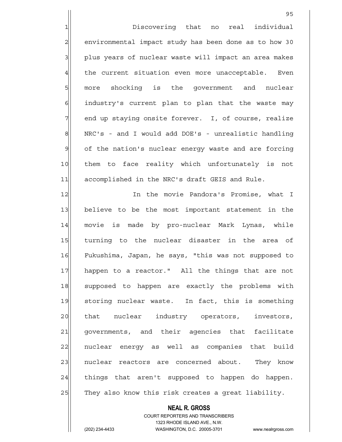1 1 Discovering that no real individual 2 environmental impact study has been done as to how 30 3 | plus years of nuclear waste will impact an area makes  $4$  the current situation even more unacceptable. Even 5 | more shocking is the government and nuclear 6 6 industry's current plan to plan that the waste may 7 and up staying onsite forever. I, of course, realize 8 NRC's - and I would add DOE's - unrealistic handling 9 of the nation's nuclear energy waste and are forcing 10 | them to face reality which unfortunately is not 11 accomplished in the NRC's draft GEIS and Rule.

<u>95 and 2001 and 2001 and 2001 and 2001 and 2001 and 2001 and 2001 and 2001 and 2001 and 2001 and 2001 and 200</u>

12 In the movie Pandora's Promise, what I 13 believe to be the most important statement in the 14 movie is made by pro-nuclear Mark Lynas, while 15 turning to the nuclear disaster in the area of 16 Fukushima, Japan, he says, "this was not supposed to 17 happen to a reactor." All the things that are not 18 supposed to happen are exactly the problems with 19 storing nuclear waste. In fact, this is something 20 at that nuclear industry operators, investors, 21 governments, and their agencies that facilitate 22 | nuclear energy as well as companies that build 23 | nuclear reactors are concerned about. They know 24 | things that aren't supposed to happen do happen.  $25$  They also know this risk creates a great liability.

# COURT REPORTERS AND TRANSCRIBERS 1323 RHODE ISLAND AVE., N.W. (202) 234-4433 WASHINGTON, D.C. 20005-3701 www.nealrgross.com

 **NEAL R. GROSS**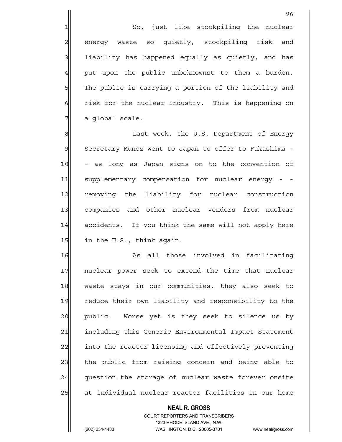1 So, just like stockpiling the nuclear 2 energy waste so quietly, stockpiling risk and 3 3 liability has happened equally as quietly, and has  $4$  put upon the public unbeknownst to them a burden. 5 The public is carrying a portion of the liability and  $6$  risk for the nuclear industry. This is happening on  $7$  a global scale.

8| Bet Week, the U.S. Department of Energy 9 Secretary Munoz went to Japan to offer to Fukushima -10 - as long as Japan signs on to the convention of 11 supplementary compensation for nuclear energy - -12 removing the liability for nuclear construction 13 companies and other nuclear vendors from nuclear 14 accidents. If you think the same will not apply here 15 in the U.S., think again.

16 As all those involved in facilitating 17 | nuclear power seek to extend the time that nuclear 18 waste stays in our communities, they also seek to 19 reduce their own liability and responsibility to the 20 | public. Worse yet is they seek to silence us by 21 including this Generic Environmental Impact Statement 22 into the reactor licensing and effectively preventing 23 the public from raising concern and being able to 24 question the storage of nuclear waste forever onsite 25 at individual nuclear reactor facilities in our home

### **NEAL R. GROSS**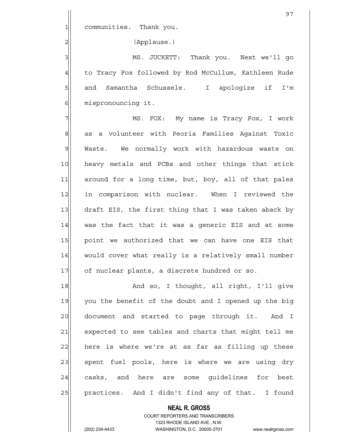1| communities. Thank you.

2 (Applause.)

3 MS. JUCKETT: Thank you. Next we'll go 4 to Tracy Fox followed by Rod McCullum, Kathleen Rude 5 5 5 and Samantha Schussele. I apologize if I'm 6 mispronouncing it.

7 MS. FOX: My name is Tracy Fox, I work 8 as a volunteer with Peoria Families Against Toxic 9 Waste. We normally work with hazardous waste on 10 heavy metals and PCBs and other things that stick 11 around for a long time, but, boy, all of that pales 12 in comparison with nuclear. When I reviewed the 13 draft EIS, the first thing that I was taken aback by 14 was the fact that it was a generic EIS and at some 15 point we authorized that we can have one EIS that 16 would cover what really is a relatively small number 17 of nuclear plants, a discrete hundred or so.

18 and so, I thought, all right, I'll give 19 you the benefit of the doubt and I opened up the big 20 document and started to page through it. And I 21 expected to see tables and charts that might tell me 22 here is where we're at as far as filling up these 23 | spent fuel pools, here is where we are using dry 24 casks, and here are some quidelines for best 25 | practices. And I didn't find any of that. I found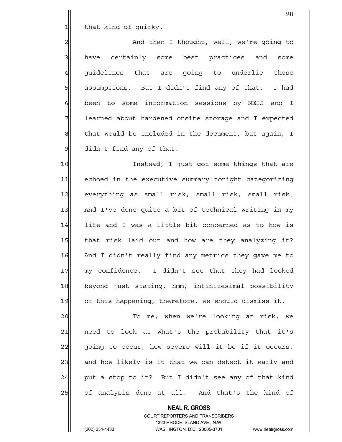1 that kind of quirky.

2 and then I thought, well, we're going to 3 have certainly some best practices and some 4 quidelines that are going to underlie these 5 | assumptions. But I didn't find any of that. I had 6 6 been to some information sessions by NEIS and I 7 learned about hardened onsite storage and I expected  $8$  that would be included in the document, but again, I 9 didn't find any of that.

10 Instead, I just got some things that are 11 echoed in the executive summary tonight categorizing 12 everything as small risk, small risk, small risk. 13 And I've done quite a bit of technical writing in my 14 life and I was a little bit concerned as to how is 15 | that risk laid out and how are they analyzing it? 16 And I didn't really find any metrics they gave me to 17 my confidence. I didn't see that they had looked 18 beyond just stating, hmm, infinitesimal possibility 19 of this happening, therefore, we should dismiss it.

20 To me, when we're looking at risk, we 21 | need to look at what's the probability that it's 22 going to occur, how severe will it be if it occurs, 23 and how likely is it that we can detect it early and  $24$  put a stop to it? But I didn't see any of that kind 25 of analysis done at all. And that's the kind of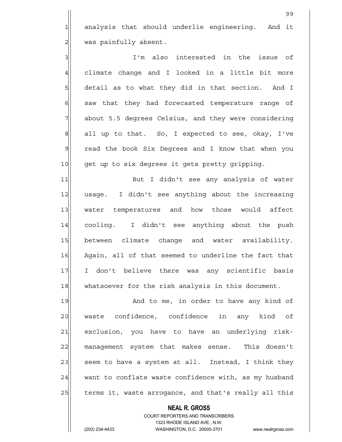1 analysis that should underlie engineering. And it 2 | was painfully absent.

3 I'm also interested in the issue of  $4$  climate change and I looked in a little bit more  $5$  detail as to what they did in that section. And I  $6$  saw that they had forecasted temperature range of 7 about 5.5 degrees Celsius, and they were considering  $8$  all up to that. So, I expected to see, okay, I've 9 read the book Six Deqrees and I know that when you 10 get up to six degrees it gets pretty gripping.

11 But I didn't see any analysis of water 12 usage. I didn't see anything about the increasing 13 water temperatures and how those would affect 14 cooling. I didn't see anything about the push 15 between climate change and water availability. 16 Again, all of that seemed to underline the fact that 17 I don't believe there was any scientific basis 18 whatsoever for the risk analysis in this document.

19 and to me, in order to have any kind of 20 waste confidence, confidence in any kind of 21 exclusion, you have to have an underlying risk-22 management system that makes sense. This doesn't  $23$  seem to have a system at all. Instead, I think they  $24$  want to conflate waste confidence with, as my husband 25 terms it, waste arrogance, and that's really all this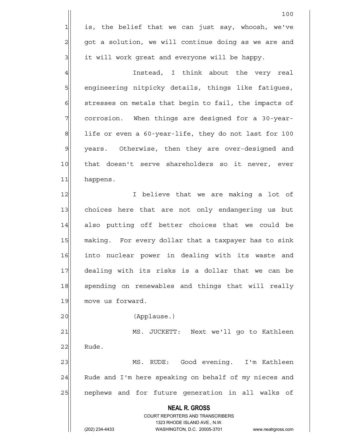**NEAL R. GROSS** COURT REPORTERS AND TRANSCRIBERS 1323 RHODE ISLAND AVE., N.W. 100  $1$  is, the belief that we can just say, whoosh, we've  $2$  got a solution, we will continue doing as we are and 3 it will work great and everyone will be happy. 4 and Instead, I think about the very real 5 | engineering nitpicky details, things like fatigues,  $6$  stresses on metals that begin to fail, the impacts of 7 7 corrosion. When things are designed for a 30-year- $8$  life or even a 60-year-life, they do not last for 100 9 years. Otherwise, then they are over-designed and 10 that doesn't serve shareholders so it never, ever 11 happens. 12 I believe that we are making a lot of 13 choices here that are not only endangering us but 14 also putting off better choices that we could be 15 making. For every dollar that a taxpayer has to sink 16 into nuclear power in dealing with its waste and 17 dealing with its risks is a dollar that we can be 18 spending on renewables and things that will really 19 move us forward. 20 (Applause.) 21 MS. JUCKETT: Next we'll go to Kathleen  $22$  Rude. 23 MS. RUDE: Good evening. I'm Kathleen  $24$  Rude and I'm here speaking on behalf of my nieces and 25 | nephews and for future generation in all walks of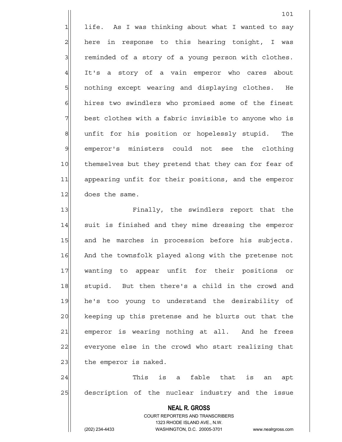$1$  life. As I was thinking about what I wanted to say  $2$  here in response to this hearing tonight, I was  $3$  reminded of a story of a young person with clothes. 4 It's a story of a vain emperor who cares about 5 5 5 5 nothing except wearing and displaying clothes. He  $6$  hires two swindlers who promised some of the finest 7 best clothes with a fabric invisible to anyone who is 8 8 and it for his position or hopelessly stupid. The 9 emperor's ministers could not see the clothing 10 themselves but they pretend that they can for fear of 11 appearing unfit for their positions, and the emperor 12 does the same.

101

13 **Finally,** the swindlers report that the 14 suit is finished and they mime dressing the emperor 15 and he marches in procession before his subjects. 16 And the townsfolk played along with the pretense not 17 wanting to appear unfit for their positions or 18 stupid. But then there's a child in the crowd and 19 he's too young to understand the desirability of 20 keeping up this pretense and he blurts out that the 21 emperor is wearing nothing at all. And he frees 22 everyone else in the crowd who start realizing that  $23$  the emperor is naked.

 $24$  This is a fable that is an apt 25 description of the nuclear industry and the issue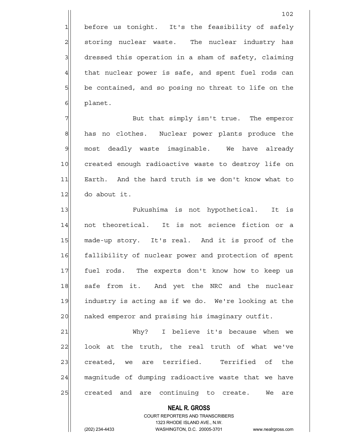1 before us tonight. It's the feasibility of safely 2 storing nuclear waste. The nuclear industry has 3 3 dressed this operation in a sham of safety, claiming  $4$  that nuclear power is safe, and spent fuel rods can  $5$  be contained, and so posing no threat to life on the 6 blanet.

7 But that simply isn't true. The emperor 8 has no clothes. Nuclear power plants produce the 9 most deadly waste imaginable. We have already 10 created enough radioactive waste to destroy life on 11 Earth. And the hard truth is we don't know what to  $12$  do about it.

13 | Fukushima is not hypothetical. It is 14 not theoretical. It is not science fiction or a 15 made-up story. It's real. And it is proof of the 16 fallibility of nuclear power and protection of spent 17 fuel rods. The experts don't know how to keep us 18 safe from it. And yet the NRC and the nuclear 19 industry is acting as if we do. We're looking at the 20 | naked emperor and praising his imaginary outfit.

21 Why? I believe it's because when we  $22$  look at the truth, the real truth of what we've 23 created, we are terrified. Terrified of the 24 magnitude of dumping radioactive waste that we have 25 created and are continuing to create. We are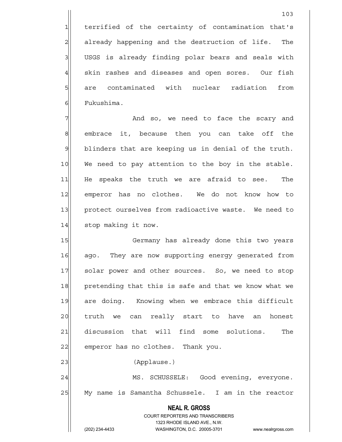1 terrified of the certainty of contamination that's 2 already happening and the destruction of life. The 3 USGS is already finding polar bears and seals with  $4$  skin rashes and diseases and open sores. Our fish 5 5 5 5 5 are contaminated with nuclear radiation from 6 Fukushima.

7 and so, we need to face the scary and 8 embrace it, because then you can take off the  $9$  blinders that are keeping us in denial of the truth. 10 We need to pay attention to the boy in the stable. 11| He speaks the truth we are afraid to see. The 12 emperor has no clothes. We do not know how to 13 protect ourselves from radioactive waste. We need to 14 stop making it now.

15 Germany has already done this two years 16 ago. They are now supporting energy generated from 17 solar power and other sources. So, we need to stop 18 pretending that this is safe and that we know what we 19 are doing. Knowing when we embrace this difficult 20 truth we can really start to have an honest 21 discussion that will find some solutions. The 22 emperor has no clothes. Thank you. 23 | (Applause.)

24 MS. SCHUSSELE: Good evening, everyone. 25 My name is Samantha Schussele. I am in the reactor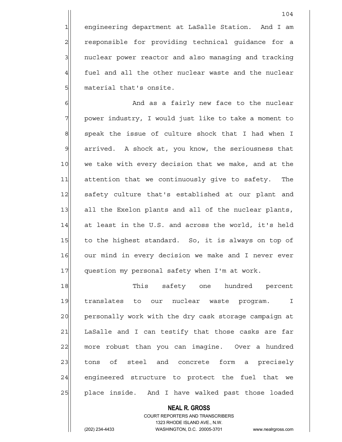1 engineering department at LaSalle Station. And I am 2 responsible for providing technical guidance for a 3 3 3 nuclear power reactor and also managing and tracking  $4$  fuel and all the other nuclear waste and the nuclear 5 material that's onsite.

6 6 And as a fairly new face to the nuclear 7 power industry, I would just like to take a moment to 8 speak the issue of culture shock that I had when I 9 arrived. A shock at, you know, the seriousness that 10 we take with every decision that we make, and at the 11 attention that we continuously give to safety. The 12 safety culture that's established at our plant and 13 all the Exelon plants and all of the nuclear plants,  $14$  at least in the U.S. and across the world, it's held 15 to the highest standard. So, it is always on top of 16 our mind in every decision we make and I never ever 17 question my personal safety when I'm at work.

18 This safety one hundred percent 19 translates to our nuclear waste program. I 20 personally work with the dry cask storage campaign at 21 LaSalle and I can testify that those casks are far 22 | more robust than you can imagine. Over a hundred 23 | tons of steel and concrete form a precisely 24 engineered structure to protect the fuel that we 25 | place inside. And I have walked past those loaded

 **NEAL R. GROSS**

#### COURT REPORTERS AND TRANSCRIBERS 1323 RHODE ISLAND AVE., N.W.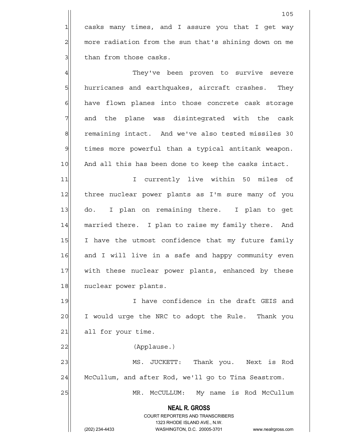1 casks many times, and I assure you that I get way 2 more radiation from the sun that's shining down on me 3 | than from those casks.

4 They've been proven to survive severe 5| hurricanes and earthquakes, aircraft crashes. They 6 have flown planes into those concrete cask storage 7 and the plane was disintegrated with the cask 8 remaining intact. And we've also tested missiles 30 9 times more powerful than a typical antitank weapon. 10 And all this has been done to keep the casks intact.

11 1 I currently live within 50 miles of 12 three nuclear power plants as I'm sure many of you 13 do. I plan on remaining there. I plan to get 14 married there. I plan to raise my family there. And 15 I have the utmost confidence that my future family 16 and I will live in a safe and happy community even 17 | with these nuclear power plants, enhanced by these 18 nuclear power plants.

19 I have confidence in the draft GEIS and 20 I would urge the NRC to adopt the Rule. Thank you  $21$  all for your time.

22 | (Applause.)

23 MS. JUCKETT: Thank you. Next is Rod 24 McCullum, and after Rod, we'll go to Tina Seastrom.

25 MR. McCULLUM: My name is Rod McCullum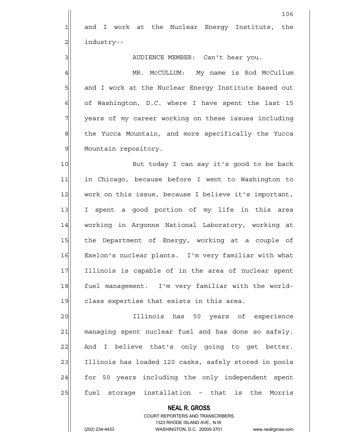1 and I work at the Nuclear Energy Institute, the 2 | industry--

106

3 AUDIENCE MEMBER: Can't hear you.

4 MR. McCULLUM: My name is Rod McCullum 5  $\vert$  and I work at the Nuclear Energy Institute based out  $6$  of Washington, D.C. where I have spent the last 15 7 7 years of my career working on these issues including 8 6 8 the Yucca Mountain, and more specifically the Yucca 9 Mountain repository.

10 But today I can say it's good to be back 11 in Chicago, because before I went to Washington to 12 work on this issue, because I believe it's important, 13 I spent a good portion of my life in this area 14 working in Argonne National Laboratory, working at 15 the Department of Energy, working at a couple of 16 Exelon's nuclear plants. I'm very familiar with what 17 Illinois is capable of in the area of nuclear spent 18 fuel management. I'm very familiar with the world-19 class expertise that exists in this area.

20 **Illinois** has 50 years of experience 21 managing spent nuclear fuel and has done so safely. 22 And I believe that's only going to get better. 23 Illinois has loaded 120 casks, safely stored in pools 24 for 50 years including the only independent spent 25 fuel storage installation - that is the Morris

> **NEAL R. GROSS** COURT REPORTERS AND TRANSCRIBERS 1323 RHODE ISLAND AVE., N.W.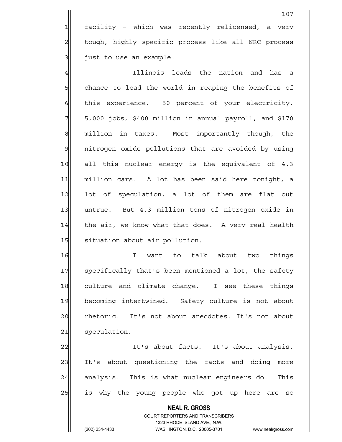1 facility - which was recently relicensed, a very 2 tough, highly specific process like all NRC process  $3$  just to use an example.

4 Illinois leads the nation and has a 5 Sol chance to lead the world in reaping the benefits of 6 6 this experience. 50 percent of your electricity,  $7$   $5,000$  jobs, \$400 million in annual payroll, and \$170 8 million in taxes. Most importantly though, the 9| nitrogen oxide pollutions that are avoided by using 10 all this nuclear energy is the equivalent of 4.3 11 million cars. A lot has been said here tonight, a 12 lot of speculation, a lot of them are flat out 13 untrue. But 4.3 million tons of nitrogen oxide in 14 the air, we know what that does. A very real health 15 situation about air pollution.

16 about to talk about two things 17 specifically that's been mentioned a lot, the safety 18 culture and climate change. I see these things 19 becoming intertwined. Safety culture is not about 20 rhetoric. It's not about anecdotes. It's not about 21 speculation.

22 It's about facts. It's about analysis. 23 It's about questioning the facts and doing more 24 analysis. This is what nuclear engineers do. This 25 is why the young people who got up here are so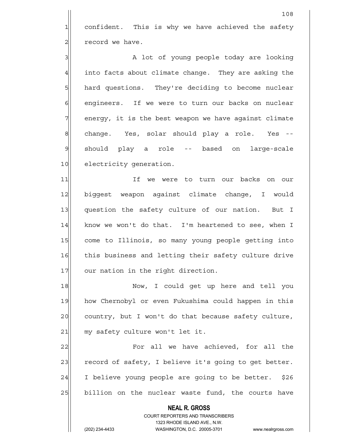1 confident. This is why we have achieved the safety  $2$  record we have.

3 A lot of young people today are looking  $4$  into facts about climate change. They are asking the 5 hard questions. They're deciding to become nuclear 6 6 6 engineers. If we were to turn our backs on nuclear 7 | energy, it is the best weapon we have against climate 8 change. Yes, solar should play a role. Yes --9 should play a role -- based on large-scale 10 electricity generation.

11 1 If we were to turn our backs on our 12 biggest weapon against climate change, I would 13 question the safety culture of our nation. But I  $14$  know we won't do that. I'm heartened to see, when I 15 come to Illinois, so many young people getting into 16 this business and letting their safety culture drive 17 our nation in the right direction.

18 | Now, I could get up here and tell you 19 how Chernobyl or even Fukushima could happen in this 20 country, but I won't do that because safety culture,  $21$  my safety culture won't let it.

22 | Tor all we have achieved, for all the 23 record of safety, I believe it's going to get better. 24 I believe young people are going to be better. \$26 25 billion on the nuclear waste fund, the courts have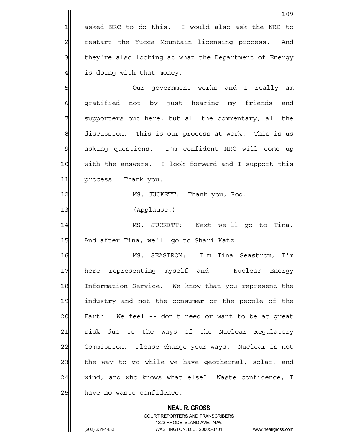$1$  asked NRC to do this. I would also ask the NRC to 2 restart the Yucca Mountain licensing process. And 3 | they're also looking at what the Department of Energy  $4$  is doing with that money.

5 Our government works and I really am 6 gratified not by just hearing my friends and 7 | supporters out here, but all the commentary, all the 8 discussion. This is our process at work. This is us 9 asking questions. I'm confident NRC will come up 10 | with the answers. I look forward and I support this 11 process. Thank you.

12|| MS. JUCKETT: Thank you, Rod.

13 (Applause.)

14 MS. JUCKETT: Next we'll go to Tina. 15 And after Tina, we'll go to Shari Katz.

16 MS. SEASTROM: I'm Tina Seastrom, I'm 17 | here representing myself and -- Nuclear Energy 18 Information Service. We know that you represent the 19 industry and not the consumer or the people of the 20 Earth. We feel -- don't need or want to be at great 21 risk due to the ways of the Nuclear Regulatory 22 Commission. Please change your ways. Nuclear is not 23 the way to go while we have geothermal, solar, and  $24$  wind, and who knows what else? Waste confidence, I 25 have no waste confidence.

#### **NEAL R. GROSS**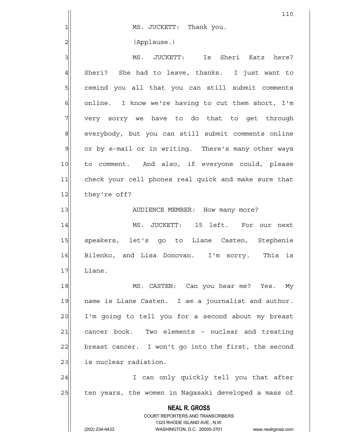|                 | 110                                                                     |
|-----------------|-------------------------------------------------------------------------|
| 1               | MS. JUCKETT: Thank you.                                                 |
| $\overline{c}$  | (Applause.)                                                             |
| 3               | MS. JUCKETT: Is Sheri Katz here?                                        |
| $\overline{4}$  | Sheri? She had to leave, thanks. I just want to                         |
| $5\overline{a}$ | remind you all that you can still submit comments                       |
| $\epsilon$      | online. I know we're having to cut them short, I'm                      |
| 7               | very sorry we have to do that to get through                            |
| $\,8\,$         | everybody, but you can still submit comments online                     |
| $\mathcal{G}$   | or by e-mail or in writing. There's many other ways                     |
| 10              | to comment. And also, if everyone could, please                         |
| 11              | check your cell phones real quick and make sure that                    |
| 12              | they're off?                                                            |
| 13              | AUDIENCE MEMBER: How many more?                                         |
| 14              | MS. JUCKETT: 15 left. For our next                                      |
| 15              | speakers, let's go to Liane Casten, Stephenie                           |
| 16              | Bilenko, and Lisa Donovan. I'm sorry.<br>This is                        |
| 17              | Liane.                                                                  |
| 18              | MS. CASTEN: Can you hear me? Yes. My                                    |
| 19              | name is Liane Casten. I am a journalist and author.                     |
| 20              | I'm going to tell you for a second about my breast                      |
| 21              | cancer book. Two elements - nuclear and treating                        |
| 22              | breast cancer. I won't go into the first, the second                    |
| 23              | is nuclear radiation.                                                   |
| 24              | I can only quickly tell you that after                                  |
| 25              | ten years, the women in Nagasaki developed a mass of                    |
|                 | <b>NEAL R. GROSS</b>                                                    |
|                 | <b>COURT REPORTERS AND TRANSCRIBERS</b><br>1323 RHODE ISLAND AVE., N.W. |
|                 | (202) 234-4433<br>WASHINGTON, D.C. 20005-3701<br>www.nealrgross.com     |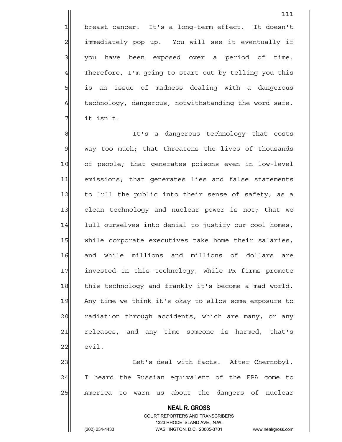1 breast cancer. It's a long-term effect. It doesn't 2 | immediately pop up. You will see it eventually if  $3$  you have been exposed over a period of time.  $4$  Therefore, I'm going to start out by telling you this 5| is an issue of madness dealing with a dangerous  $6$  technology, dangerous, notwithstanding the word safe,  $7$  it isn't.

8 8 B It's a dangerous technology that costs  $9$  way too much; that threatens the lives of thousands 10 of people; that generates poisons even in low-level 11 | emissions; that generates lies and false statements 12 to lull the public into their sense of safety, as a 13 clean technology and nuclear power is not; that we 14 lull ourselves into denial to justify our cool homes, 15 while corporate executives take home their salaries, 16 and while millions and millions of dollars are 17 invested in this technology, while PR firms promote 18 this technology and frankly it's become a mad world. 19 Any time we think it's okay to allow some exposure to 20 radiation through accidents, which are many, or any 21 releases, and any time someone is harmed, that's  $22$  evil.

23 | Let's deal with facts. After Chernobyl, 24 I heard the Russian equivalent of the EPA come to 25 America to warn us about the dangers of nuclear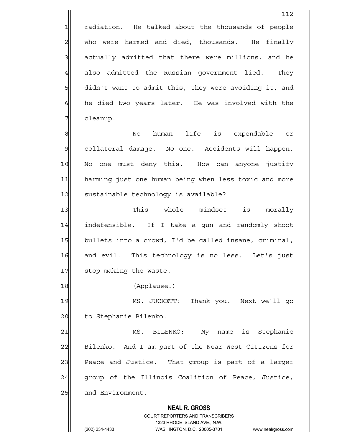1 radiation. He talked about the thousands of people  $2$  who were harmed and died, thousands. He finally  $3$  actually admitted that there were millions, and he  $4$  also admitted the Russian government lied. They 5 didn't want to admit this, they were avoiding it, and 6 6 6 he died two years later. He was involved with the 7 | cleanup.

8 || 8|| No human life is expendable or 9| collateral damage. No one. Accidents will happen. 10 No one must deny this. How can anyone justify 11 harming just one human being when less toxic and more 12 sustainable technology is available?

13 This whole mindset is morally 14 indefensible. If I take a gun and randomly shoot 15 bullets into a crowd, I'd be called insane, criminal, 16 and evil. This technology is no less. Let's just 17 stop making the waste.

18 (Applause.)

19 MS. JUCKETT: Thank you. Next we'll go 20 to Stephanie Bilenko.

21 MS. BILENKO: My name is Stephanie 22 Bilenko. And I am part of the Near West Citizens for 23 Peace and Justice. That group is part of a larger 24 group of the Illinois Coalition of Peace, Justice, 25 and Environment.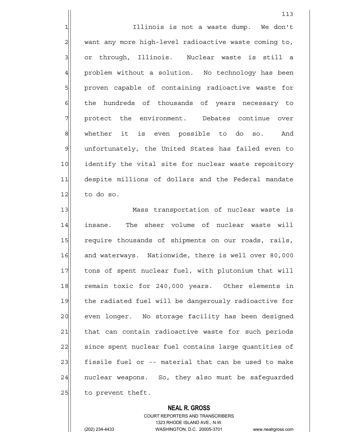1| Illinois is not a waste dump. We don't 2 want any more high-level radioactive waste coming to, 3 or through, Illinois. Nuclear waste is still a 4 problem without a solution. No technology has been 5 proven capable of containing radioactive waste for 6 6 6 6 6 thousands of years necessary to 7 | protect the environment. Debates continue over 8 whether it is even possible to do so. And 9| unfortunately, the United States has failed even to 10 identify the vital site for nuclear waste repository 11 despite millions of dollars and the Federal mandate  $12$  to do so.

13 Mass transportation of nuclear waste is 14 insane. The sheer volume of nuclear waste will 15 require thousands of shipments on our roads, rails, 16 and waterways. Nationwide, there is well over 80,000 17 tons of spent nuclear fuel, with plutonium that will 18 remain toxic for 240,000 years. Other elements in 19 the radiated fuel will be dangerously radioactive for 20 even longer. No storage facility has been designed 21 | that can contain radioactive waste for such periods 22 since spent nuclear fuel contains large quantities of 23 fissile fuel or -- material that can be used to make 24 | nuclear weapons. So, they also must be safeguarded  $25$  to prevent theft.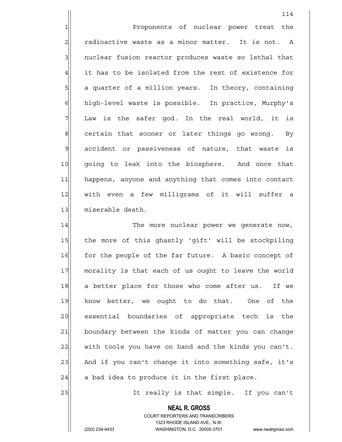1 Proponents of nuclear power treat the  $2$  radioactive waste as a minor matter. It is not. A 3 3 1 nuclear fusion reactor produces waste so lethal that 4 it has to be isolated from the rest of existence for 5 | 5| a quarter of a million years. In theory, containing 6 | high-level waste is possible. In practice, Murphy's  $7$  Law is the safer god. In the real world, it is  $8$  certain that sooner or later things go wrong. By 9 accident or passiveness of nature, that waste is 10 going to leak into the biosphere. And once that 11 happens, anyone and anything that comes into contact 12 with even a few milligrams of it will suffer a 13 | miserable death.

114

14 The more nuclear power we generate now, 15 the more of this ghastly 'gift' will be stockpiling 16 for the people of the far future. A basic concept of 17 morality is that each of us ought to leave the world 18 a better place for those who come after us. If we 19 know better, we ought to do that. One of the 20 essential boundaries of appropriate tech is the 21 boundary between the kinds of matter you can change  $22$  with tools you have on hand and the kinds you can't. 23 And if you can't change it into something safe, it's  $24$  a bad idea to produce it in the first place.

25 | It really is that simple. If you can't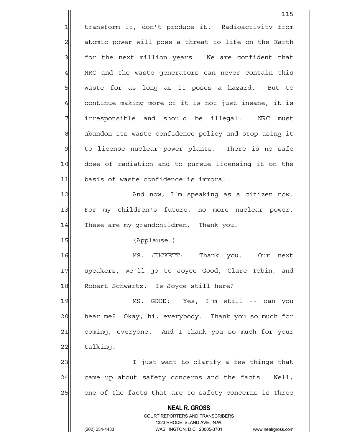**NEAL R. GROSS** COURT REPORTERS AND TRANSCRIBERS 1323 RHODE ISLAND AVE., N.W. 115 1 transform it, don't produce it. Radioactivity from 2| atomic power will pose a threat to life on the Earth  $3$  for the next million years. We are confident that 4 NRC and the waste generators can never contain this 5 | waste for as long as it poses a hazard. But to  $6$  continue making more of it is not just insane, it is 7 | irresponsible and should be illegal. NRC must 8 abandon its waste confidence policy and stop using it 9 to license nuclear power plants. There is no safe 10 dose of radiation and to pursue licensing it on the 11 basis of waste confidence is immoral. 12 And now, I'm speaking as a citizen now. 13 For my children's future, no more nuclear power. 14 These are my grandchildren. Thank you. 15 (Applause.) 16 MS. JUCKETT: Thank you. Our next 17 | speakers, we'll go to Joyce Good, Clare Tobin, and 18 Robert Schwartz. Is Joyce still here? 19 MS. GOOD: Yes, I'm still -- can you 20 hear me? Okay, hi, everybody. Thank you so much for 21 coming, everyone. And I thank you so much for your 22 talking. 23 and 1 I just want to clarify a few things that  $24$  came up about safety concerns and the facts. Well, 25 one of the facts that are to safety concerns is Three

(202) 234-4433 WASHINGTON, D.C. 20005-3701 www.nealrgross.com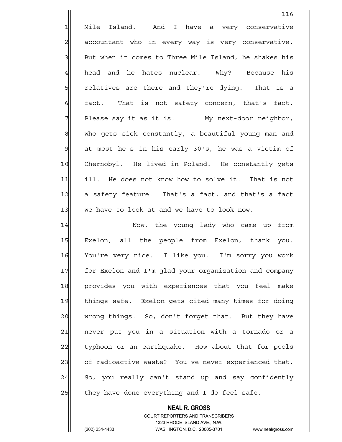1 Mile Island. And I have a very conservative  $2$  accountant who in every way is very conservative. 3 But when it comes to Three Mile Island, he shakes his 4| head and he hates nuclear. Why? Because his 5 5 5 5 relatives are there and they're dying. That is a  $6$  fact. That is not safety concern, that's fact.  $7$  Please say it as it is. My next-door neighbor, 8 who gets sick constantly, a beautiful young man and  $9$  at most he's in his early 30's, he was a victim of 10 Chernobyl. He lived in Poland. He constantly gets 11 ill. He does not know how to solve it. That is not 12 a safety feature. That's a fact, and that's a fact  $13$  we have to look at and we have to look now.

14 Now, the young lady who came up from 15 Exelon, all the people from Exelon, thank you. 16 You're very nice. I like you. I'm sorry you work 17 for Exelon and I'm glad your organization and company 18 provides you with experiences that you feel make 19 things safe. Exelon gets cited many times for doing 20 wrong things. So, don't forget that. But they have 21 never put you in a situation with a tornado or a 22 typhoon or an earthquake. How about that for pools 23 of radioactive waste? You've never experienced that.  $24$  So, you really can't stand up and say confidently  $25$  they have done everything and I do feel safe.

> COURT REPORTERS AND TRANSCRIBERS 1323 RHODE ISLAND AVE., N.W. (202) 234-4433 WASHINGTON, D.C. 20005-3701 www.nealrgross.com

 **NEAL R. GROSS**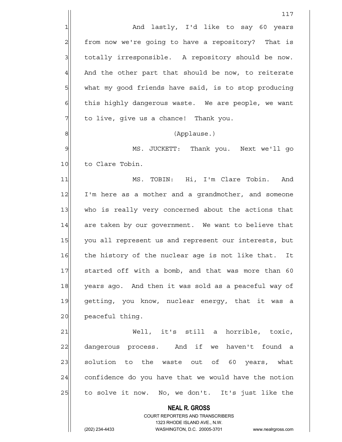1 and lastly, I'd like to say 60 years 2 from now we're going to have a repository? That is 3 3 | totally irresponsible. A repository should be now.  $4$  And the other part that should be now, to reiterate 5 | what my good friends have said, is to stop producing  $6$  this highly dangerous waste. We are people, we want  $7$  to live, give us a chance! Thank you.

8 (Applause.)

9 MS. JUCKETT: Thank you. Next we'll go 10 to Clare Tobin.

11 MS. TOBIN: Hi, I'm Clare Tobin. And 12 I'm here as a mother and a grandmother, and someone 13 who is really very concerned about the actions that 14 are taken by our government. We want to believe that 15 you all represent us and represent our interests, but 16 the history of the nuclear age is not like that. It 17 started off with a bomb, and that was more than 60 18 years ago. And then it was sold as a peaceful way of 19 getting, you know, nuclear energy, that it was a 20 peaceful thing.

21 Well, it's still a horrible, toxic, 22 dangerous process. And if we haven't found a 23 solution to the waste out of 60 years, what  $24$  confidence do you have that we would have the notion 25 to solve it now. No, we don't. It's just like the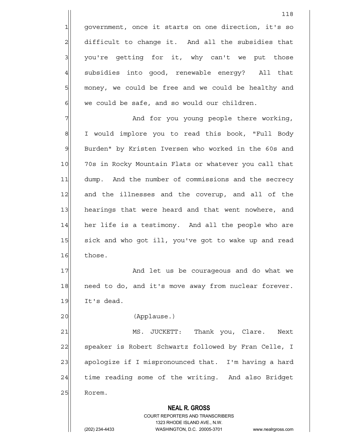1 government, once it starts on one direction, it's so 2 difficult to change it. And all the subsidies that  $3$  you're getting for it, why can't we put those 4 subsidies into good, renewable energy? All that 5 money, we could be free and we could be healthy and  $6$  we could be safe, and so would our children.

7 and for you young people there working, 8 I would implore you to read this book, "Full Body 9 Burden" by Kristen Iversen who worked in the 60s and 10 70s in Rocky Mountain Flats or whatever you call that 11 dump. And the number of commissions and the secrecy 12 and the illnesses and the coverup, and all of the 13 hearings that were heard and that went nowhere, and 14 her life is a testimony. And all the people who are 15 sick and who got ill, you've got to wake up and read 16 those.

17 and let us be courageous and do what we 18 need to do, and it's move away from nuclear forever.  $19$  It's dead.

20 (Applause.)

21 MS. JUCKETT: Thank you, Clare. Next 22 speaker is Robert Schwartz followed by Fran Celle, I 23 apologize if I mispronounced that. I'm having a hard 24 time reading some of the writing. And also Bridget 25 Rorem.

 **NEAL R. GROSS**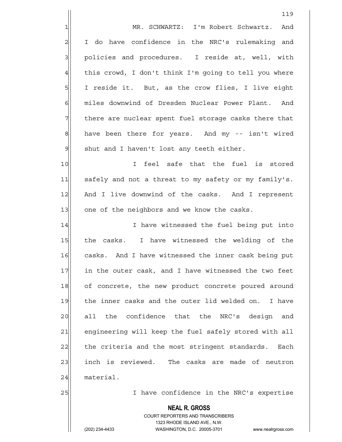119 1 MR. SCHWARTZ: I'm Robert Schwartz. And 2 I do have confidence in the NRC's rulemaking and 3 | policies and procedures. I reside at, well, with 4 this crowd, I don't think I'm going to tell you where  $5$  I reside it. But, as the crow flies, I live eight 6 miles downwind of Dresden Nuclear Power Plant. And 7 There are nuclear spent fuel storage casks there that  $8$  have been there for years. And my  $-$  isn't wired  $9$  shut and I haven't lost any teeth either. 10 I feel safe that the fuel is stored 11 safely and not a threat to my safety or my family's. 12 And I live downwind of the casks. And I represent 13 one of the neighbors and we know the casks. 14 I have witnessed the fuel being put into 15 the casks. I have witnessed the welding of the 16 casks. And I have witnessed the inner cask being put 17 in the outer cask, and I have witnessed the two feet 18 of concrete, the new product concrete poured around 19 the inner casks and the outer lid welded on. I have 20 all the confidence that the NRC's design and 21 engineering will keep the fuel safely stored with all 22 the criteria and the most stringent standards. Each 23 inch is reviewed. The casks are made of neutron 24 material. 25 I have confidence in the NRC's expertise

> COURT REPORTERS AND TRANSCRIBERS 1323 RHODE ISLAND AVE., N.W. (202) 234-4433 WASHINGTON, D.C. 20005-3701 www.nealrgross.com

 **NEAL R. GROSS**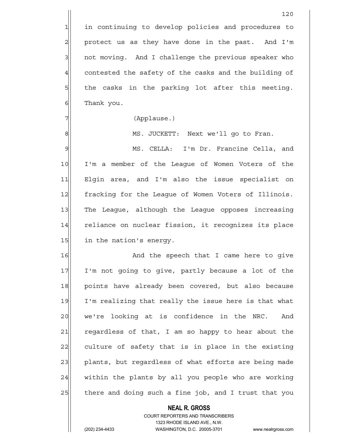1 in continuing to develop policies and procedures to  $2$  protect us as they have done in the past. And I'm 3 3 3 and T challenge the previous speaker who  $4$  contested the safety of the casks and the building of  $5$  the casks in the parking lot after this meeting. 6 Thank you.

7 (Applause.)

8 MS. JUCKETT: Next we'll go to Fran.

9 MS. CELLA: I'm Dr. Francine Cella, and 10 I'm a member of the League of Women Voters of the 11| Elgin area, and I'm also the issue specialist on 12 fracking for the League of Women Voters of Illinois. 13 The League, although the League opposes increasing 14 reliance on nuclear fission, it recognizes its place 15 in the nation's energy.

16 and the speech that I came here to give 17 I'm not going to give, partly because a lot of the 18 points have already been covered, but also because 19 I'm realizing that really the issue here is that what 20 we're looking at is confidence in the NRC. And 21 regardless of that, I am so happy to hear about the 22 culture of safety that is in place in the existing 23 plants, but regardless of what efforts are being made  $24$  within the plants by all you people who are working  $25$  there and doing such a fine job, and I trust that you

# **NEAL R. GROSS**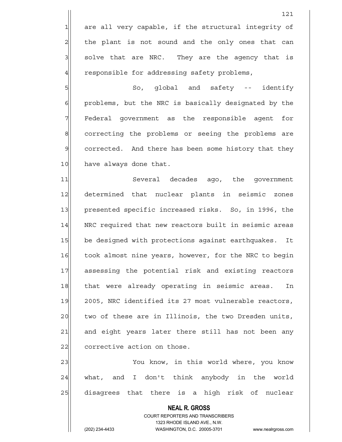1 are all very capable, if the structural integrity of the plant is not sound and the only ones that can solve that are NRC. They are the agency that is responsible for addressing safety problems,

5 So, global and safety -- identify 6 6 6 problems, but the NRC is basically designated by the 7 Tederal government as the responsible agent for 8 8 8 correcting the problems or seeing the problems are 9 corrected. And there has been some history that they 10 have always done that.

11 Several decades ago, the government 12 determined that nuclear plants in seismic zones 13 presented specific increased risks. So, in 1996, the 14 | NRC required that new reactors built in seismic areas 15 be designed with protections against earthquakes. It 16 took almost nine years, however, for the NRC to begin 17 assessing the potential risk and existing reactors 18 that were already operating in seismic areas. In 19 2005, NRC identified its 27 most vulnerable reactors, 20 two of these are in Illinois, the two Dresden units, 21 and eight years later there still has not been any 22 corrective action on those.

23 You know, in this world where, you know  $24$  what, and I don't think anybody in the world 25 disagrees that there is a high risk of nuclear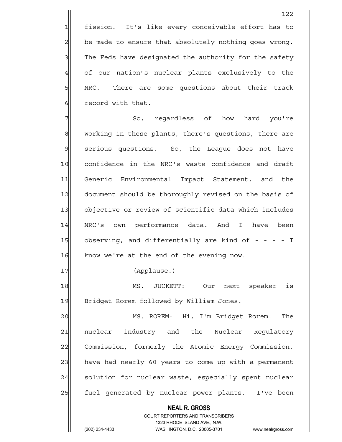1 fission. It's like every conceivable effort has to  $2$  be made to ensure that absolutely nothing goes wrong. 3 The Feds have designated the authority for the safety 4 of our nation's nuclear plants exclusively to the 5| NRC. There are some questions about their track 6 6 6 record with that.

122

7 The So, regardless of how hard you're 8 working in these plants, there's questions, there are 9 serious questions. So, the League does not have 10 confidence in the NRC's waste confidence and draft 11 Generic Environmental Impact Statement, and the 12 document should be thoroughly revised on the basis of 13 objective or review of scientific data which includes 14 NRC's own performance data. And I have been 15 observing, and differentially are kind of - - - - I 16 know we're at the end of the evening now.

17 (Applause.)

18 MS. JUCKETT: Our next speaker is 19 Bridget Rorem followed by William Jones.

20 MS. ROREM: Hi, I'm Bridget Rorem. The 21 nuclear industry and the Nuclear Regulatory 22 Commission, formerly the Atomic Energy Commission, 23 have had nearly 60 years to come up with a permanent 24 solution for nuclear waste, especially spent nuclear 25 | fuel generated by nuclear power plants. I've been

 **NEAL R. GROSS**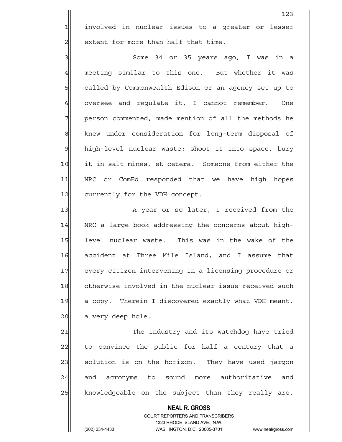1 involved in nuclear issues to a greater or lesser  $2$  extent for more than half that time.

3 Some 34 or 35 years ago, I was in a  $4$  meeting similar to this one. But whether it was 5 | called by Commonwealth Edison or an agency set up to  $6$  oversee and requlate it, I cannot remember. One 7 person commented, made mention of all the methods he 8 knew under consideration for long-term disposal of 9 high-level nuclear waste: shoot it into space, bury 10 it in salt mines, et cetera. Someone from either the 11 | NRC or ComEd responded that we have high hopes 12 currently for the VDH concept.

13 | A year or so later, I received from the 14 NRC a large book addressing the concerns about high-15 level nuclear waste. This was in the wake of the 16 accident at Three Mile Island, and I assume that 17 every citizen intervening in a licensing procedure or 18 otherwise involved in the nuclear issue received such 19 a copy. Therein I discovered exactly what VDH meant,  $20$  a very deep hole.

21 The industry and its watchdog have tried 22 to convince the public for half a century that a 23 solution is on the horizon. They have used jargon 24 and acronyms to sound more authoritative and 25 | knowledgeable on the subject than they really are.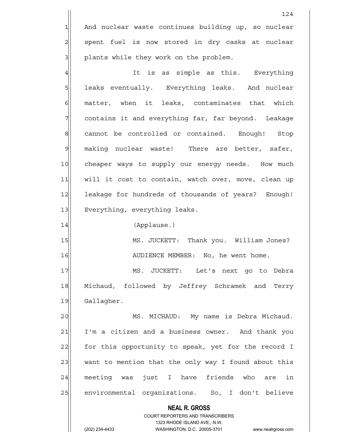1 And nuclear waste continues building up, so nuclear 2 spent fuel is now stored in dry casks at nuclear 3 | plants while they work on the problem.

4 and the state of the simple as this. Everything 5 | leaks eventually. Everything leaks. And nuclear  $6$  matter, when it leaks, contaminates that which 7 7 contains it and everything far, far beyond. Leakage 8 cannot be controlled or contained. Enough! Stop 9 making nuclear waste! There are better, safer, 10 cheaper ways to supply our energy needs. How much 11 | will it cost to contain, watch over, move, clean up 12 leakage for hundreds of thousands of years? Enough! 13 Everything, everything leaks.

14 (Applause.)

15 MS. JUCKETT: Thank you. William Jones? 16 | AUDIENCE MEMBER: No, he went home.

17 | MS. JUCKETT: Let's next go to Debra 18 Michaud, followed by Jeffrey Schramek and Terry 19 Gallagher.

20 MS. MICHAUD: My name is Debra Michaud. 21 I'm a citizen and a business owner. And thank you 22 for this opportunity to speak, yet for the record I 23 want to mention that the only way I found about this 24 meeting was just I have friends who are in 25 environmental organizations. So, I don't believe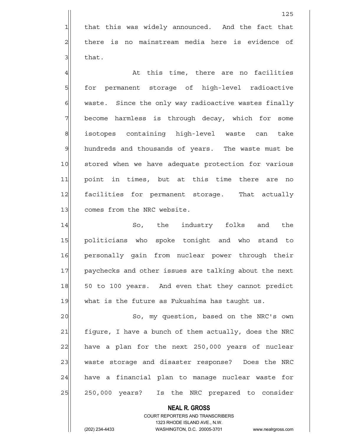1 that this was widely announced. And the fact that 2 there is no mainstream media here is evidence of  $3$  that.

 $\frac{4}{1}$  at this time, there are no facilities 5 for permanent storage of high-level radioactive  $6$  waste. Since the only way radioactive wastes finally 7 become harmless is through decay, which for some 8 isotopes containing high-level waste can take 9 hundreds and thousands of years. The waste must be 10 stored when we have adequate protection for various 11 point in times, but at this time there are no 12 facilities for permanent storage. That actually 13 comes from the NRC website.

14 So, the industry folks and the 15 politicians who spoke tonight and who stand to 16 personally gain from nuclear power through their 17 paychecks and other issues are talking about the next 18 50 to 100 years. And even that they cannot predict  $19$  what is the future as Fukushima has taught us.

20 | So, my question, based on the NRC's own 21 figure, I have a bunch of them actually, does the NRC 22 have a plan for the next 250,000 years of nuclear 23 waste storage and disaster response? Does the NRC 24 have a financial plan to manage nuclear waste for 25 250,000 years? Is the NRC prepared to consider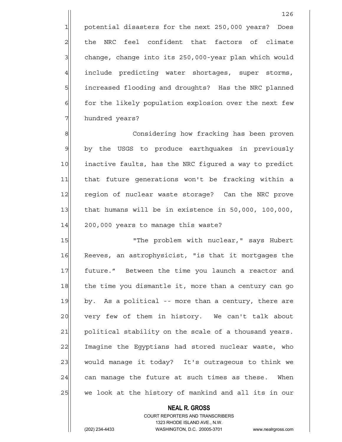1 potential disasters for the next 250,000 years? Does 2 all the NRC feel confident that factors of climate 3 3 change, change into its 250,000-year plan which would  $4$  include predicting water shortages, super storms, 5 5 5 increased flooding and droughts? Has the NRC planned 6 6 for the likely population explosion over the next few 7 hundred years?

8 8 Considering how fracking has been proven 9 by the USGS to produce earthquakes in previously 10 inactive faults, has the NRC figured a way to predict 11 that future generations won't be fracking within a 12 region of nuclear waste storage? Can the NRC prove 13 that humans will be in existence in 50,000, 100,000,  $14$  200,000 years to manage this waste?

15 | The problem with nuclear," says Hubert 16 Reeves, an astrophysicist, "is that it mortgages the 17 | future." Between the time you launch a reactor and 18 the time you dismantle it, more than a century can go 19 by. As a political -- more than a century, there are 20 very few of them in history. We can't talk about 21 political stability on the scale of a thousand years. 22 Imagine the Egyptians had stored nuclear waste, who 23 would manage it today? It's outrageous to think we  $24$  can manage the future at such times as these. When 25 we look at the history of mankind and all its in our

### **NEAL R. GROSS** COURT REPORTERS AND TRANSCRIBERS 1323 RHODE ISLAND AVE., N.W.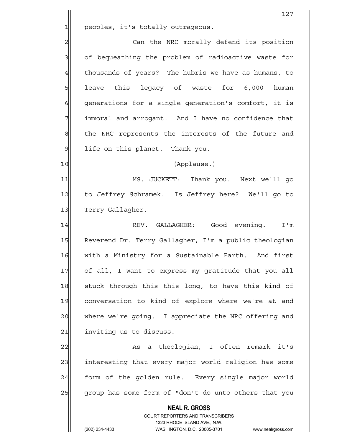$1$  peoples, it's totally outrageous.

2 | Can the NRC morally defend its position 3 3 of bequeathing the problem of radioactive waste for  $4$  thousands of years? The hubris we have as humans, to 5 | leave this legacy of waste for 6,000 human  $6$  generations for a single generation's comfort, it is 7 | immoral and arrogant. And I have no confidence that 8 the NRC represents the interests of the future and  $9$  life on this planet. Thank you.

10|| (Applause.)

11 MS. JUCKETT: Thank you. Next we'll go 12 to Jeffrey Schramek. Is Jeffrey here? We'll go to 13 Terry Gallagher.

14 REV. GALLAGHER: Good evening. I'm 15 Reverend Dr. Terry Gallagher, I'm a public theologian 16 with a Ministry for a Sustainable Earth. And first 17 of all, I want to express my gratitude that you all 18 stuck through this this long, to have this kind of 19 conversation to kind of explore where we're at and 20 where we're going. I appreciate the NRC offering and 21 inviting us to discuss.

22 As a theologian, I often remark it's 23 interesting that every major world religion has some 24 form of the golden rule. Every single major world 25 group has some form of "don't do unto others that you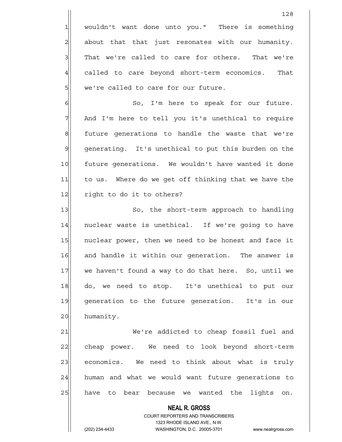1 wouldn't want done unto you." There is something  $2$  about that that just resonates with our humanity. 3 That we're called to care for others. That we're 4 called to care beyond short-term economics. That 5 we're called to care for our future.

6| So, I'm here to speak for our future. 7 And I'm here to tell you it's unethical to require 8 8 future generations to handle the waste that we're 9 | generating. It's unethical to put this burden on the 10 future generations. We wouldn't have wanted it done 11 to us. Where do we get off thinking that we have the 12 right to do it to others?

13 So, the short-term approach to handling 14 | nuclear waste is unethical. If we're going to have 15 | nuclear power, then we need to be honest and face it 16 and handle it within our generation. The answer is 17 we haven't found a way to do that here. So, until we 18 do, we need to stop. It's unethical to put our 19 generation to the future generation. It's in our 20 humanity.

21 We're addicted to cheap fossil fuel and 22 cheap power. We need to look beyond short-term 23 economics. We need to think about what is truly  $24$  human and what we would want future generations to 25 have to bear because we wanted the lights on.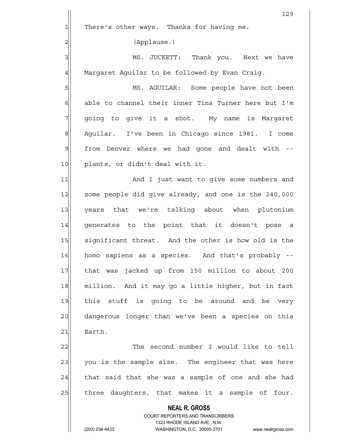**NEAL R. GROSS** COURT REPORTERS AND TRANSCRIBERS 1323 RHODE ISLAND AVE., N.W. (202) 234-4433 WASHINGTON, D.C. 20005-3701 www.nealrgross.com 129  $1$  There's other ways. Thanks for having me. 2 (Applause.) 3 MS. JUCKETT: Thank you. Next we have  $4$  Margaret Aquilar to be followed by Evan Craig. 5 MS. AGUILAR: Some people have not been  $6$  able to channel their inner Tina Turner here but I'm 7 || going to give it a shot. My name is Margaret 8 Aguilar. I've been in Chicago since 1981. I come  $9$  from Denver where we had gone and dealt with  $-$ -10 plants, or didn't deal with it. 11 And I just want to give some numbers and 12 some people did give already, and one is the 240,000 13 years that we're talking about when plutonium 14 generates to the point that it doesn't pose a 15 significant threat. And the other is how old is the 16 homo sapiens as a species. And that's probably --17 that was jacked up from 150 million to about 200 18 million. And it may go a little higher, but in fact 19 this stuff is going to be around and be very 20 dangerous longer than we've been a species on this 21 Earth. 22 The second number I would like to tell 23 you is the sample size. The engineer that was here  $24$  that said that she was a sample of one and she had 25 | three daughters, that makes it a sample of four.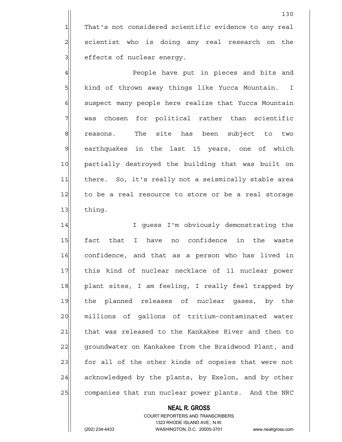1 That's not considered scientific evidence to any real  $2$  scientist who is doing any real research on the 3 | effects of nuclear energy.

4 All and the opple have put in pieces and bits and 5 | kind of thrown away things like Yucca Mountain. I 6 6 suspect many people here realize that Yucca Mountain 7 | was chosen for political rather than scientific 8 8 reasons. The site has been subject to two 9 earthquakes in the last 15 years, one of which 10 partially destroyed the building that was built on 11 | there. So, it's really not a seismically stable area 12 to be a real resource to store or be a real storage 13 thing.

14 I Guess I'm obviously demonstrating the 15 fact that I have no confidence in the waste 16 confidence, and that as a person who has lived in 17 this kind of nuclear necklace of 11 nuclear power 18 plant sites, I am feeling, I really feel trapped by 19 the planned releases of nuclear gases, by the 20 | millions of gallons of tritium-contaminated water 21 that was released to the Kankakee River and then to 22 groundwater on Kankakee from the Braidwood Plant, and 23 for all of the other kinds of oopsies that were not 24 acknowledged by the plants, by Exelon, and by other 25 companies that run nuclear power plants. And the NRC

#### **NEAL R. GROSS**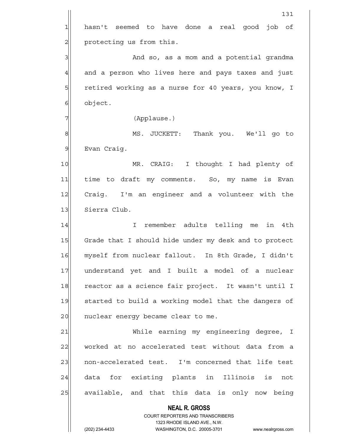**NEAL R. GROSS** COURT REPORTERS AND TRANSCRIBERS 1323 RHODE ISLAND AVE., N.W. 131 1 hasn't seemed to have done a real good job of 2 | protecting us from this. 3 And so, as a mom and a potential grandma  $4$  and a person who lives here and pays taxes and just 5 5 5 5 5 retired working as a nurse for 40 years, you know, I 6 object. 7 (Applause.) 8 MS. JUCKETT: Thank you. We'll go to 9 Evan Craig. 10 MR. CRAIG: I thought I had plenty of 11 time to draft my comments. So, my name is Evan 12 Craig. I'm an engineer and a volunteer with the 13 Sierra Club. 14 I remember adults telling me in 4th 15 Grade that I should hide under my desk and to protect 16 myself from nuclear fallout. In 8th Grade, I didn't 17 understand yet and I built a model of a nuclear 18 reactor as a science fair project. It wasn't until I 19 started to build a working model that the dangers of 20 | nuclear energy became clear to me. 21 | While earning my engineering degree, I 22 worked at no accelerated test without data from a 23 | non-accelerated test. I'm concerned that life test 24 data for existing plants in Illinois is not 25 available, and that this data is only now being

(202) 234-4433 WASHINGTON, D.C. 20005-3701 www.nealrgross.com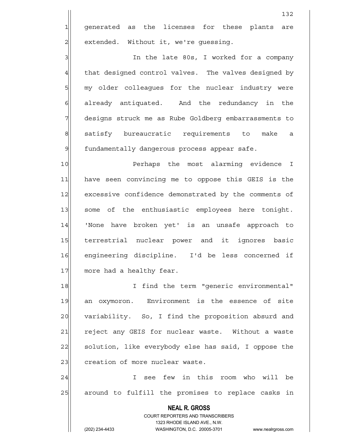1 qenerated as the licenses for these plants are 2 | extended. Without it, we're guessing.

3 3 3 In the late 80s, I worked for a company 4 that designed control valves. The valves designed by 5 5 my older colleagues for the nuclear industry were 6 6 6 6 already antiquated. And the redundancy in the 7 designs struck me as Rube Goldberg embarrassments to 8 satisfy bureaucratic requirements to make a 9 fundamentally dangerous process appear safe.

10 Perhaps the most alarming evidence I 11 have seen convincing me to oppose this GEIS is the 12 excessive confidence demonstrated by the comments of 13 some of the enthusiastic employees here tonight. 14 'None have broken yet' is an unsafe approach to 15 terrestrial nuclear power and it ignores basic 16 engineering discipline. I'd be less concerned if 17 more had a healthy fear.

18 I I find the term "generic environmental" 19 an oxymoron. Environment is the essence of site 20 variability. So, I find the proposition absurd and 21 reject any GEIS for nuclear waste. Without a waste 22 solution, like everybody else has said, I oppose the 23 creation of more nuclear waste.

24 I see few in this room who will be  $25$  around to fulfill the promises to replace casks in

> COURT REPORTERS AND TRANSCRIBERS 1323 RHODE ISLAND AVE., N.W. (202) 234-4433 WASHINGTON, D.C. 20005-3701 www.nealrgross.com

 **NEAL R. GROSS**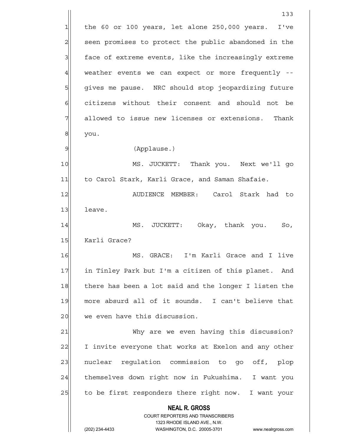**NEAL R. GROSS** COURT REPORTERS AND TRANSCRIBERS 1323 RHODE ISLAND AVE., N.W. (202) 234-4433 WASHINGTON, D.C. 20005-3701 www.nealrgross.com 133  $1$  the 60 or 100 years, let alone 250,000 years. I've 2 seen promises to protect the public abandoned in the 3 face of extreme events, like the increasingly extreme  $4$  weather events we can expect or more frequently --5 | gives me pause. NRC should stop jeopardizing future 6 6 6 citizens without their consent and should not be 7 allowed to issue new licenses or extensions. Thank 8 | you. 9 (Applause.) 10 MS. JUCKETT: Thank you. Next we'll go 11 to Carol Stark, Karli Grace, and Saman Shafaie. 12 AUDIENCE MEMBER: Carol Stark had to 13 leave. 14 MS. JUCKETT: Okay, thank you. So, 15 Karli Grace? 16 MS. GRACE: I'm Karli Grace and I live 17 in Tinley Park but I'm a citizen of this planet. And 18 there has been a lot said and the longer I listen the 19 more absurd all of it sounds. I can't believe that 20| we even have this discussion. 21 Why are we even having this discussion? 22 I invite everyone that works at Exelon and any other 23 | nuclear regulation commission to go off, plop 24 themselves down right now in Fukushima. I want you 25 to be first responders there right now. I want your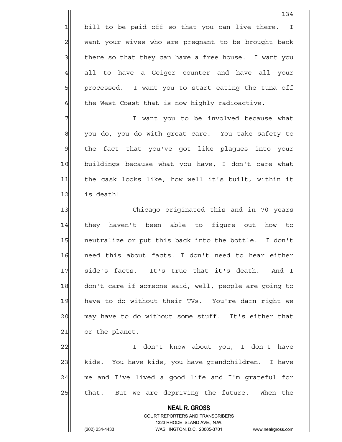1 bill to be paid off so that you can live there. I 2 want your wives who are pregnant to be brought back  $3$  there so that they can have a free house. I want you 4 all to have a Geiger counter and have all your 5 | processed. I want you to start eating the tuna off  $6$  the West Coast that is now highly radioactive.

7 | T want you to be involved because what 8 | you do, you do with great care. You take safety to 9 the fact that you've got like plaques into your 10 buildings because what you have, I don't care what 11 the cask looks like, how well it's built, within it 12 is death!

13 Chicago originated this and in 70 years 14 they haven't been able to figure out how to 15 | neutralize or put this back into the bottle. I don't 16 need this about facts. I don't need to hear either 17 side's facts. It's true that it's death. And I 18 don't care if someone said, well, people are going to 19 have to do without their TVs. You're darn right we 20 may have to do without some stuff. It's either that  $21$  or the planet.

22 I don't know about you, I don't have 23 kids. You have kids, you have grandchildren. I have  $24$  me and I've lived a good life and I'm grateful for 25 | that. But we are depriving the future. When the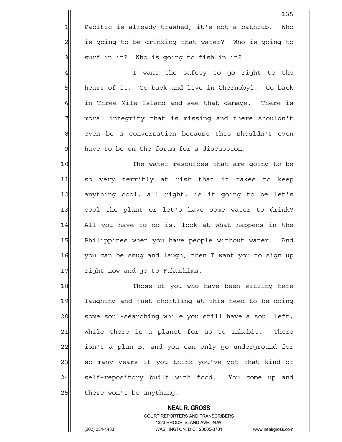135  $1$  Pacific is already trashed, it's not a bathtub. Who 2| is going to be drinking that water? Who is going to  $3$  surf in it? Who is going to fish in it? 4 all the safety to go right to the 5 heart of it. Go back and live in Chernobyl. Go back  $6$  in Three Mile Island and see that damage. There is 7 moral integrity that is missing and there shouldn't

 $9$  have to be on the forum for a discussion.

8 even be a conversation because this shouldn't even

10 The water resources that are going to be 11 so very terribly at risk that it takes to keep 12 anything cool, all right, is it going to be let's 13 cool the plant or let's have some water to drink? 14 All you have to do is, look at what happens in the 15 Philippines when you have people without water. And 16 you can be smug and laugh, then I want you to sign up 17 right now and go to Fukushima.

18 Those of you who have been sitting here 19 laughing and just chortling at this need to be doing 20 some soul-searching while you still have a soul left, 21 while there is a planet for us to inhabit. There 22 isn't a plan B, and you can only go underground for 23 so many years if you think you've got that kind of 24 Self-repository built with food. You come up and  $25$  there won't be anything.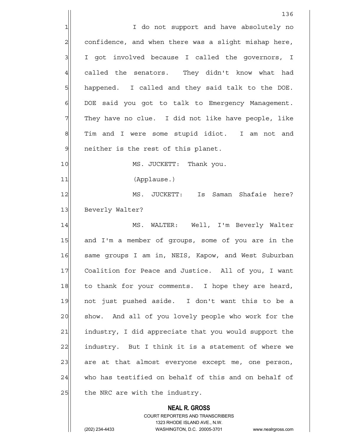136 1 1 I do not support and have absolutely no 2 2 confidence, and when there was a slight mishap here, 3 I got involved because I called the governors, I 4 called the senators. They didn't know what had 5 | happened. I called and they said talk to the DOE. 6 DOE said you got to talk to Emergency Management. 7 They have no clue. I did not like have people, like 8 | Tim and I were some stupid idiot. I am not and 9 9 neither is the rest of this planet. 10 MS. JUCKETT: Thank you. 11|| (Applause.) 12 MS. JUCKETT: Is Saman Shafaie here? 13 Beverly Walter? 14 MS. WALTER: Well, I'm Beverly Walter 15 and I'm a member of groups, some of you are in the 16 Same groups I am in, NEIS, Kapow, and West Suburban 17 Coalition for Peace and Justice. All of you, I want 18 to thank for your comments. I hope they are heard, 19 not just pushed aside. I don't want this to be a 20 show. And all of you lovely people who work for the 21 industry, I did appreciate that you would support the 22 industry. But I think it is a statement of where we 23 are at that almost everyone except me, one person, 24 who has testified on behalf of this and on behalf of  $25$  the NRC are with the industry.

> COURT REPORTERS AND TRANSCRIBERS 1323 RHODE ISLAND AVE., N.W. (202) 234-4433 WASHINGTON, D.C. 20005-3701 www.nealrgross.com

 **NEAL R. GROSS**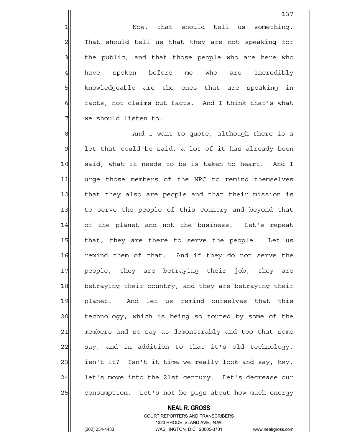1 1 Now, that should tell us something. 2 That should tell us that they are not speaking for  $3$  the public, and that those people who are here who 4 have spoken before me who are incredibly 5 5 5 knowledgeable are the ones that are speaking in 6 6 facts, not claims but facts. And I think that's what 7 we should listen to.

8 8 And I want to quote, although there is a  $9$  lot that could be said, a lot of it has already been 10 said, what it needs to be is taken to heart. And I 11 | urge those members of the NRC to remind themselves 12 that they also are people and that their mission is 13 to serve the people of this country and beyond that 14 of the planet and not the business. Let's repeat 15 that, they are there to serve the people. Let us 16 remind them of that. And if they do not serve the 17 people, they are betraying their job, they are 18 betraying their country, and they are betraying their 19 planet. And let us remind ourselves that this 20 technology, which is being so touted by some of the 21 members and so say as demonstrably and too that some 22 say, and in addition to that it's old technology, 23| isn't it? Isn't it time we really look and say, hey, 24 let's move into the 21st century. Let's decrease our 25 consumption. Let's not be pigs about how much energy

### **NEAL R. GROSS** COURT REPORTERS AND TRANSCRIBERS 1323 RHODE ISLAND AVE., N.W.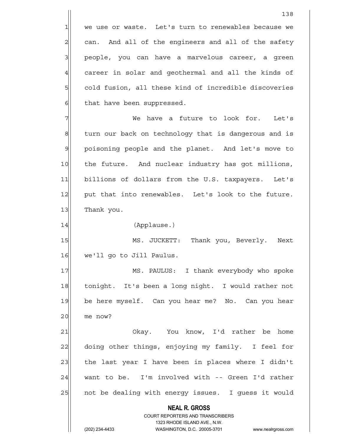$1$  we use or waste. Let's turn to renewables because we  $2$  can. And all of the engineers and all of the safety 3 | people, you can have a marvelous career, a green  $4$  career in solar and geothermal and all the kinds of 5 5 5 cold fusion, all these kind of incredible discoveries  $6$  that have been suppressed. 7 We have a future to look for. Let's

8 turn our back on technology that is dangerous and is 9 poisoning people and the planet. And let's move to 10 the future. And nuclear industry has got millions, 11 billions of dollars from the U.S. taxpayers. Let's 12 put that into renewables. Let's look to the future. 13 Thank you.

14 (Applause.)

15 MS. JUCKETT: Thank you, Beverly. Next 16 we'll go to Jill Paulus.

17 MS. PAULUS: I thank everybody who spoke 18 tonight. It's been a long night. I would rather not 19 be here myself. Can you hear me? No. Can you hear 20 me now?

21 Okay. You know, I'd rather be home 22 doing other things, enjoying my family. I feel for  $23$  the last year I have been in places where I didn't  $24$  want to be. I'm involved with -- Green I'd rather 25 | not be dealing with energy issues. I guess it would

 **NEAL R. GROSS**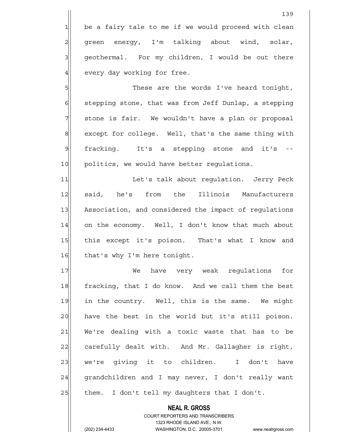be a fairy tale to me if we would proceed with clean 2 green energy, I'm talking about wind, solar, geothermal. For my children, I would be out there every day working for free.

5 S  $6$  stepping stone, that was from Jeff Dunlap, a stepping 7 stone is fair. We wouldn't have a plan or proposal 8 except for college. Well, that's the same thing with 9 fracking. It's a stepping stone and it's 10 politics, we would have better regulations.

11 Let's talk about regulation. Jerry Peck 12 said, he's from the Illinois Manufacturers 13 Association, and considered the impact of regulations 14 on the economy. Well, I don't know that much about 15 | this except it's poison. That's what I know and 16 that's why I'm here tonight.

17 We have very weak requlations for 18 fracking, that I do know. And we call them the best 19 in the country. Well, this is the same. We might 20 have the best in the world but it's still poison. 21 We're dealing with a toxic waste that has to be 22 carefully dealt with. And Mr. Gallagher is right, 23 | we're giving it to children. I don't have 24 grandchildren and I may never, I don't really want  $25$  them. I don't tell my daughters that I don't.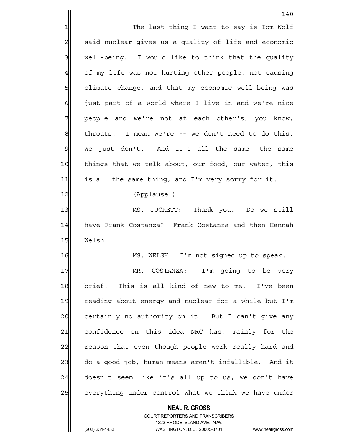**NEAL R. GROSS** COURT REPORTERS AND TRANSCRIBERS 1323 RHODE ISLAND AVE., N.W. 140 1 1 The last thing I want to say is Tom Wolf 2 said nuclear gives us a quality of life and economic  $3$  well-being. I would like to think that the quality 4 of my life was not hurting other people, not causing 5 5 5 climate change, and that my economic well-being was  $6$  just part of a world where I live in and we're nice 7 people and we're not at each other's, you know,  $8$  throats. I mean we're -- we don't need to do this. 9 We just don't. And it's all the same, the same 10 things that we talk about, our food, our water, this 11 is all the same thing, and I'm very sorry for it. 12 (Applause.) 13 MS. JUCKETT: Thank you. Do we still 14 have Frank Costanza? Frank Costanza and then Hannah 15 Welsh. 16 MS. WELSH: I'm not signed up to speak. 17 MR. COSTANZA: I'm going to be very 18 brief. This is all kind of new to me. I've been 19 reading about energy and nuclear for a while but I'm 20 certainly no authority on it. But I can't give any 21 confidence on this idea NRC has, mainly for the 22 reason that even though people work really hard and 23 do a good job, human means aren't infallible. And it  $24$  doesn't seem like it's all up to us, we don't have 25 everything under control what we think we have under

(202) 234-4433 WASHINGTON, D.C. 20005-3701 www.nealrgross.com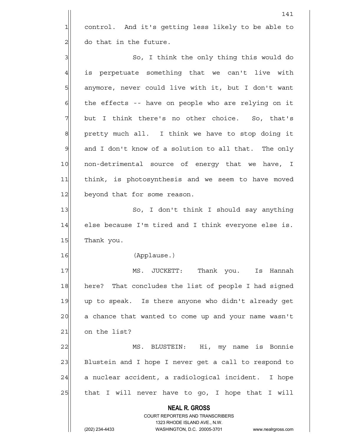1 control. And it's getting less likely to be able to  $2$  do that in the future.

3 | So, I think the only thing this would do 4 is perpetuate something that we can't live with 5 | anymore, never could live with it, but I don't want  $6$  the effects -- have on people who are relying on it  $7$  but I think there's no other choice. So, that's 8 | show pretty much all. I think we have to stop doing it  $9$  and I don't know of a solution to all that. The only 10 non-detrimental source of energy that we have, I 11 think, is photosynthesis and we seem to have moved 12 beyond that for some reason.

13 So, I don't think I should say anything 14 else because I'm tired and I think everyone else is. 15 Thank you.

16 (Applause.)

17 MS. JUCKETT: Thank you. Is Hannah 18 here? That concludes the list of people I had signed 19 up to speak. Is there anyone who didn't already get 20 a chance that wanted to come up and your name wasn't  $21$  on the list?

22 MS. BLUSTEIN: Hi, my name is Bonnie 23 Blustein and I hope I never get a call to respond to 24 a nuclear accident, a radiological incident. I hope 25 | that I will never have to go, I hope that I will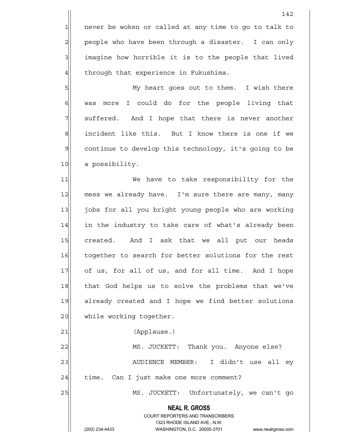1 never be woken or called at any time to go to talk to 2 people who have been through a disaster. I can only 3 3 imagine how horrible it is to the people that lived  $4$  through that experience in Fukushima.

5 My heart goes out to them. I wish there  $6$  was more I could do for the people living that  $7$  suffered. And I hope that there is never another 8 | show incident like this. But I know there is one if we 9 continue to develop this technology, it's going to be 10 a possibility.

11 We have to take responsibility for the 12 mess we already have. I'm sure there are many, many 13 jobs for all you bright young people who are working 14 in the industry to take care of what's already been 15 created. And I ask that we all put our heads 16 together to search for better solutions for the rest 17 of us, for all of us, and for all time. And I hope 18 that God helps us to solve the problems that we've 19 already created and I hope we find better solutions 20 while working together.

21 (Applause.)

22 MS. JUCKETT: Thank you. Anyone else? 23 | AUDIENCE MEMBER: I didn't use all my  $24$  time. Can I just make one more comment?

25 MS. JUCKETT: Unfortunately, we can't go

 **NEAL R. GROSS**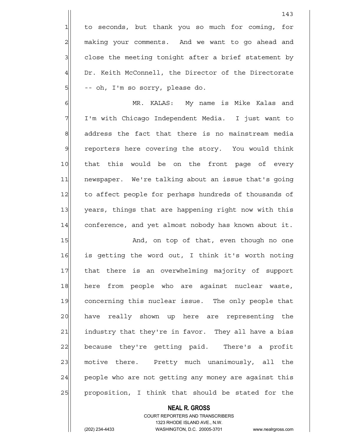1 to seconds, but thank you so much for coming, for 2 making your comments. And we want to go ahead and  $3$  close the meeting tonight after a brief statement by 4 Dr. Keith McConnell, the Director of the Directorate 5| -- oh, I'm so sorry, please do.

6| MR. KALAS: My name is Mike Kalas and 7 I'm with Chicago Independent Media. I just want to 8 address the fact that there is no mainstream media 9 reporters here covering the story. You would think 10 that this would be on the front page of every 11 | newspaper. We're talking about an issue that's going 12 to affect people for perhaps hundreds of thousands of 13 years, things that are happening right now with this 14 conference, and yet almost nobody has known about it.

15 And, on top of that, even though no one 16 is getting the word out, I think it's worth noting 17 | that there is an overwhelming majority of support 18 here from people who are against nuclear waste, 19 concerning this nuclear issue. The only people that 20 have really shown up here are representing the 21 and industry that they're in favor. They all have a bias 22 because they're getting paid. There's a profit 23 motive there. Pretty much unanimously, all the 24 people who are not getting any money are against this 25 | proposition, I think that should be stated for the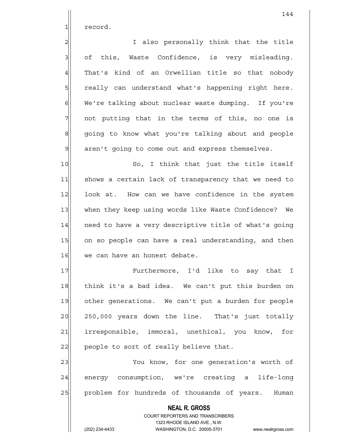1 record.

2 also personally think that the title  $3$  of this, Waste Confidence, is very misleading. 4 That's kind of an Orwellian title so that nobody 5 5 5 5 really can understand what's happening right here. 6 We're talking about nuclear waste dumping. If you're  $7$  not putting that in the terms of this, no one is 8 going to know what you're talking about and people  $9$  aren't going to come out and express themselves.

10 So, I think that just the title itself 11 shows a certain lack of transparency that we need to 12 look at. How can we have confidence in the system 13 when they keep using words like Waste Confidence? We 14 need to have a very descriptive title of what's going 15 on so people can have a real understanding, and then 16 we can have an honest debate.

17 Furthermore, I'd like to say that I 18 think it's a bad idea. We can't put this burden on 19 other generations. We can't put a burden for people 20 250,000 years down the line. That's just totally 21 | irresponsible, immoral, unethical, you know, for 22 people to sort of really believe that.

23 You know, for one generation's worth of 24 energy consumption, we're creating a life-long 25 | problem for hundreds of thousands of years. Human

> **NEAL R. GROSS** COURT REPORTERS AND TRANSCRIBERS 1323 RHODE ISLAND AVE., N.W. (202) 234-4433 WASHINGTON, D.C. 20005-3701 www.nealrgross.com